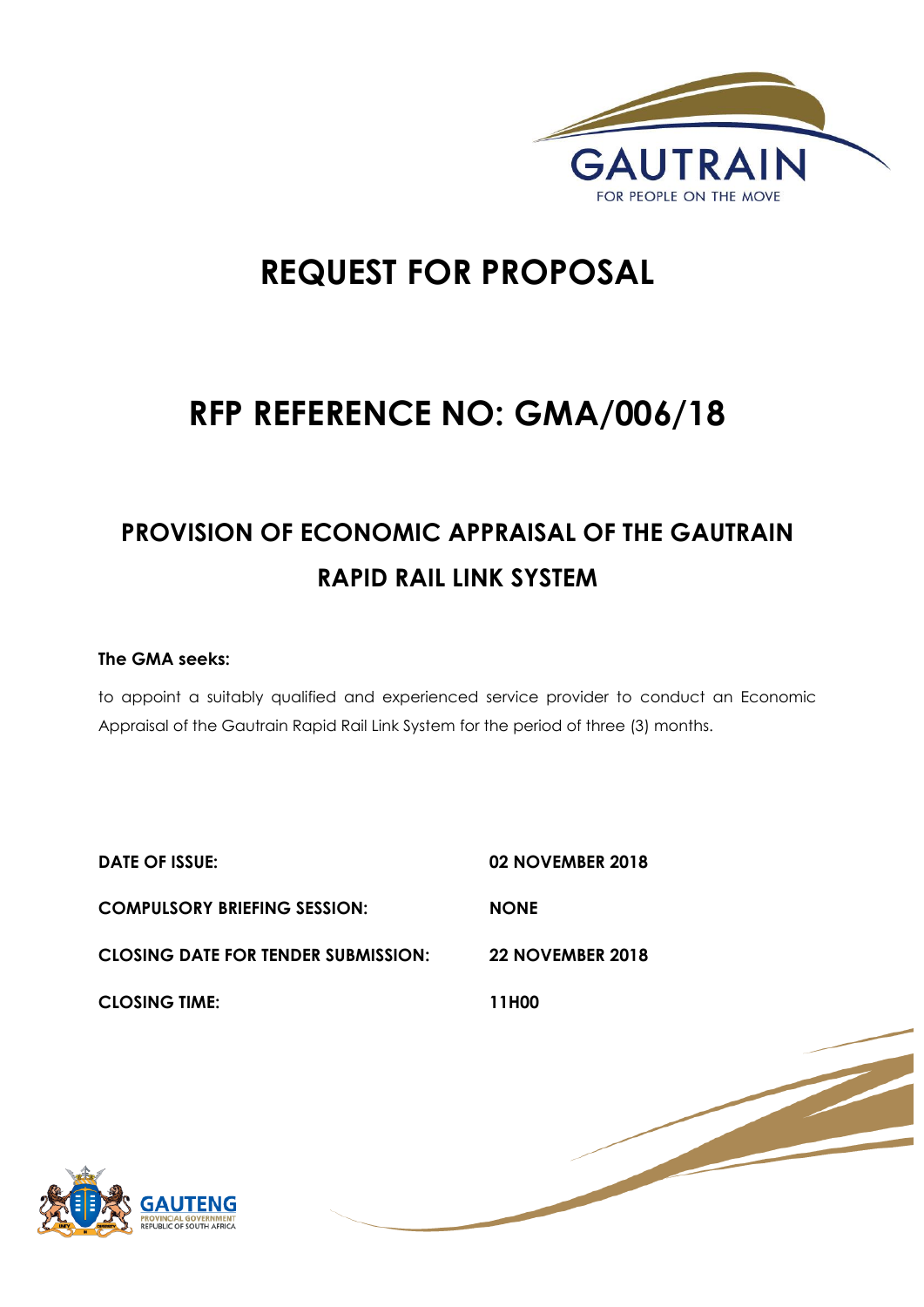

1 | P a g e

# **REQUEST FOR PROPOSAL**

# **RFP REFERENCE NO: GMA/006/18**

# **PROVISION OF ECONOMIC APPRAISAL OF THE GAUTRAIN RAPID RAIL LINK SYSTEM**

# **The GMA seeks:**

to appoint a suitably qualified and experienced service provider to conduct an Economic Appraisal of the Gautrain Rapid Rail Link System for the period of three (3) months.

**DATE OF ISSUE: 02 NOVEMBER 2018 COMPULSORY BRIEFING SESSION: NONE CLOSING DATE FOR TENDER SUBMISSION: 22 NOVEMBER 2018 CLOSING TIME: 11H00**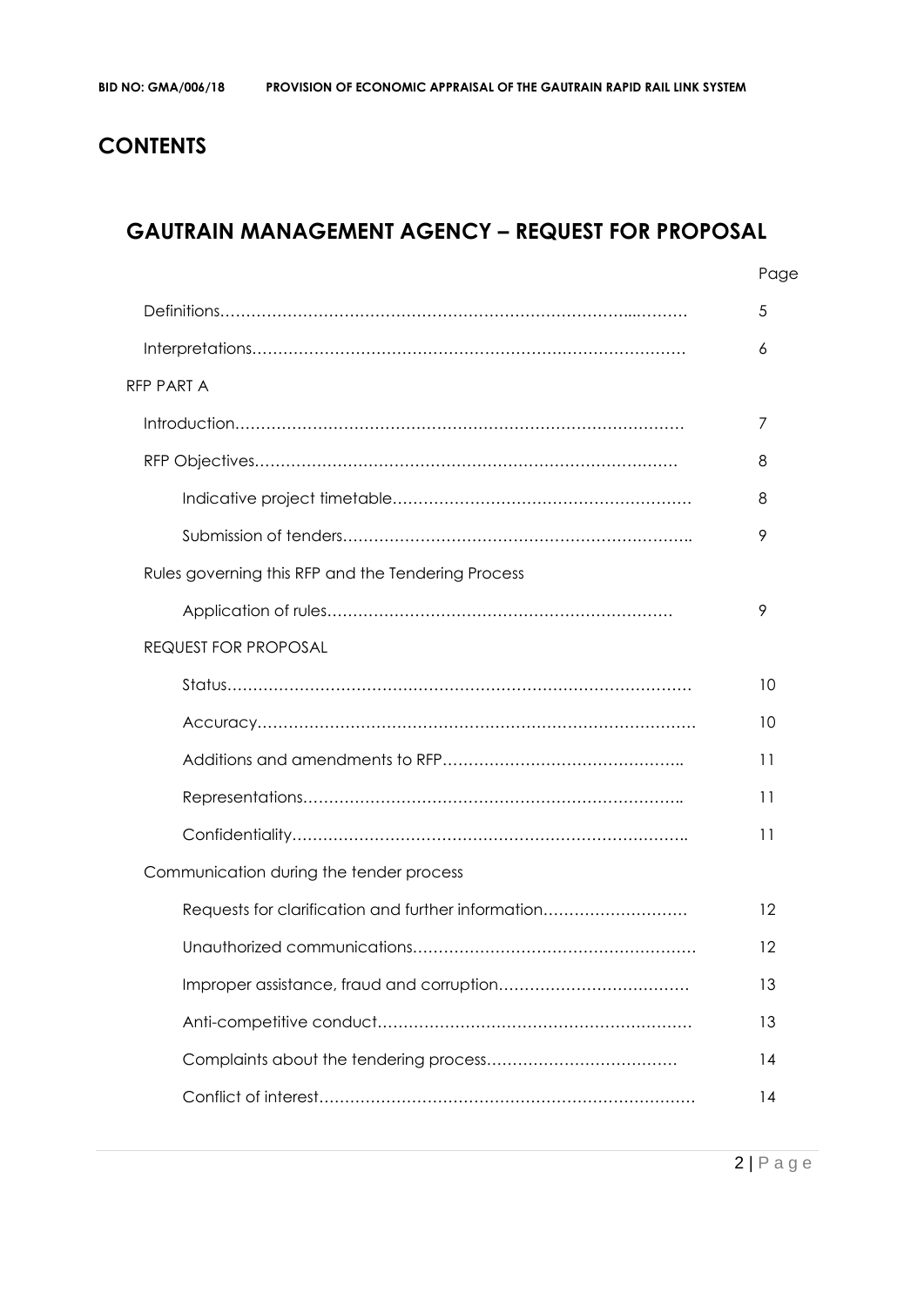# **CONTENTS**

# **GAUTRAIN MANAGEMENT AGENCY – REQUEST FOR PROPOSAL**

|                                                    | Page |
|----------------------------------------------------|------|
|                                                    | 5    |
|                                                    | 6    |
| <b>RFP PART A</b>                                  |      |
|                                                    | 7    |
|                                                    | 8    |
|                                                    | 8    |
|                                                    | 9    |
| Rules governing this RFP and the Tendering Process |      |
|                                                    | 9    |
| <b>REQUEST FOR PROPOSAL</b>                        |      |
|                                                    | 10   |
|                                                    | 10   |
|                                                    | 11   |
|                                                    | 11   |
|                                                    | 11   |
| Communication during the tender process            |      |
| Requests for clarification and further information | 12   |
|                                                    | 12   |
|                                                    | 13   |
|                                                    | 13   |
|                                                    | 14   |
|                                                    | 14   |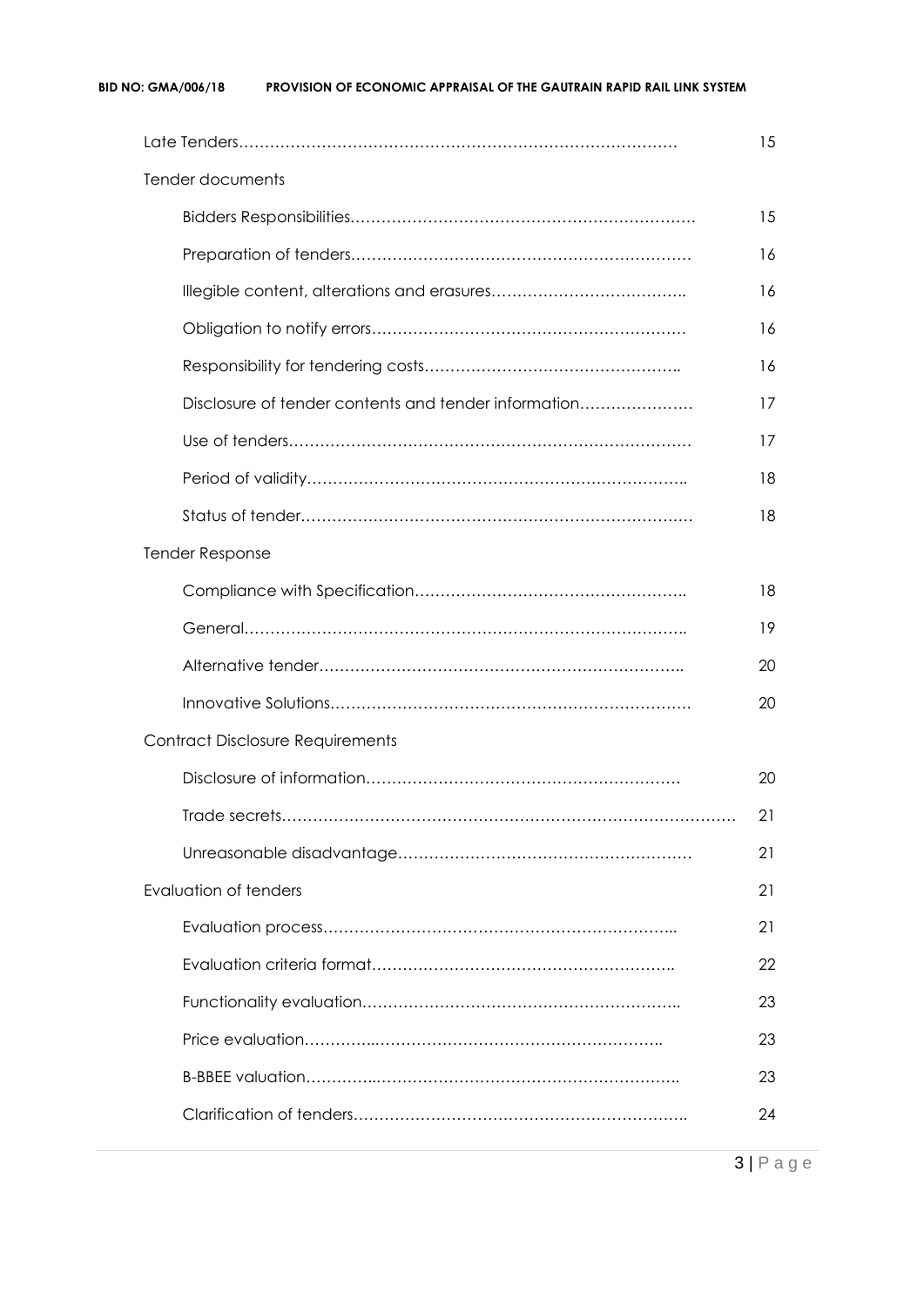#### **BID NO: GMA/006/18 PROVISION OF ECONOMIC APPRAISAL OF THE GAUTRAIN RAPID RAIL LINK SYSTEM**

|                                                      | 15 |
|------------------------------------------------------|----|
| Tender documents                                     |    |
|                                                      | 15 |
|                                                      | 16 |
|                                                      | 16 |
|                                                      | 16 |
|                                                      | 16 |
| Disclosure of tender contents and tender information | 17 |
|                                                      | 17 |
|                                                      | 18 |
|                                                      | 18 |
| Tender Response                                      |    |
|                                                      | 18 |
|                                                      | 19 |
|                                                      | 20 |
|                                                      | 20 |
| <b>Contract Disclosure Requirements</b>              |    |
|                                                      | 20 |
|                                                      | 21 |
|                                                      | 21 |
| <b>Evaluation of tenders</b>                         | 21 |
|                                                      | 21 |
|                                                      | 22 |
|                                                      | 23 |
|                                                      | 23 |
|                                                      | 23 |
|                                                      | 24 |
|                                                      |    |

3 | P a g e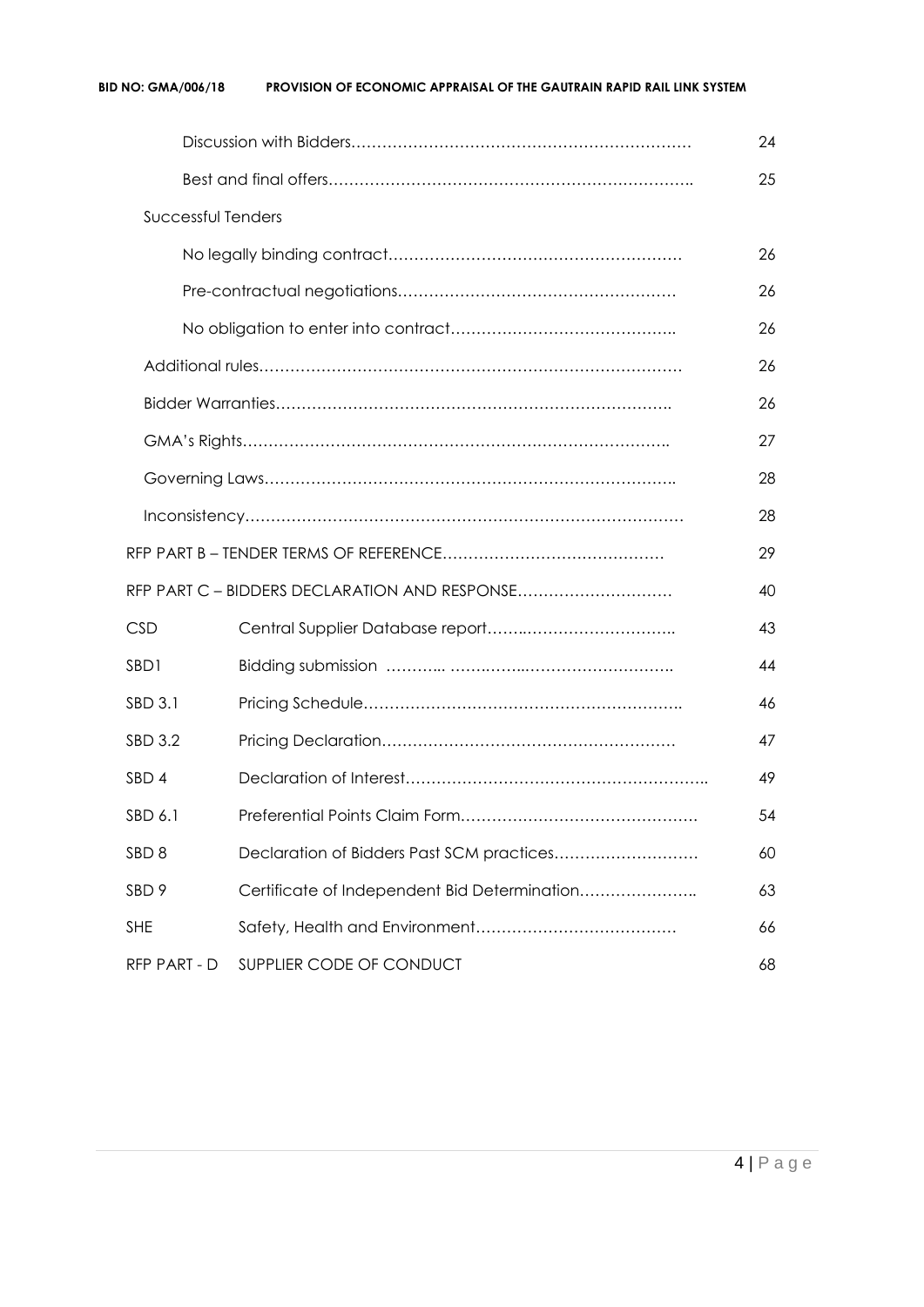#### **BID NO: GMA/006/18 PROVISION OF ECONOMIC APPRAISAL OF THE GAUTRAIN RAPID RAIL LINK SYSTEM**

|                    |                                               | 24 |
|--------------------|-----------------------------------------------|----|
|                    |                                               | 25 |
| Successful Tenders |                                               |    |
|                    |                                               | 26 |
|                    |                                               | 26 |
|                    |                                               | 26 |
|                    |                                               | 26 |
|                    |                                               | 26 |
|                    |                                               | 27 |
|                    |                                               | 28 |
|                    |                                               | 28 |
|                    |                                               | 29 |
|                    | RFP PART C - BIDDERS DECLARATION AND RESPONSE | 40 |
| <b>CSD</b>         |                                               | 43 |
| SBD1               |                                               | 44 |
| SBD 3.1            |                                               | 46 |
| SBD 3.2            |                                               | 47 |
| SBD <sub>4</sub>   |                                               | 49 |
| SBD 6.1            |                                               | 54 |
| SBD <sub>8</sub>   | Declaration of Bidders Past SCM practices     | 60 |
| SBD <sub>9</sub>   | Certificate of Independent Bid Determination  | 63 |
| <b>SHE</b>         |                                               | 66 |
| RFP PART - D       | SUPPLIER CODE OF CONDUCT                      | 68 |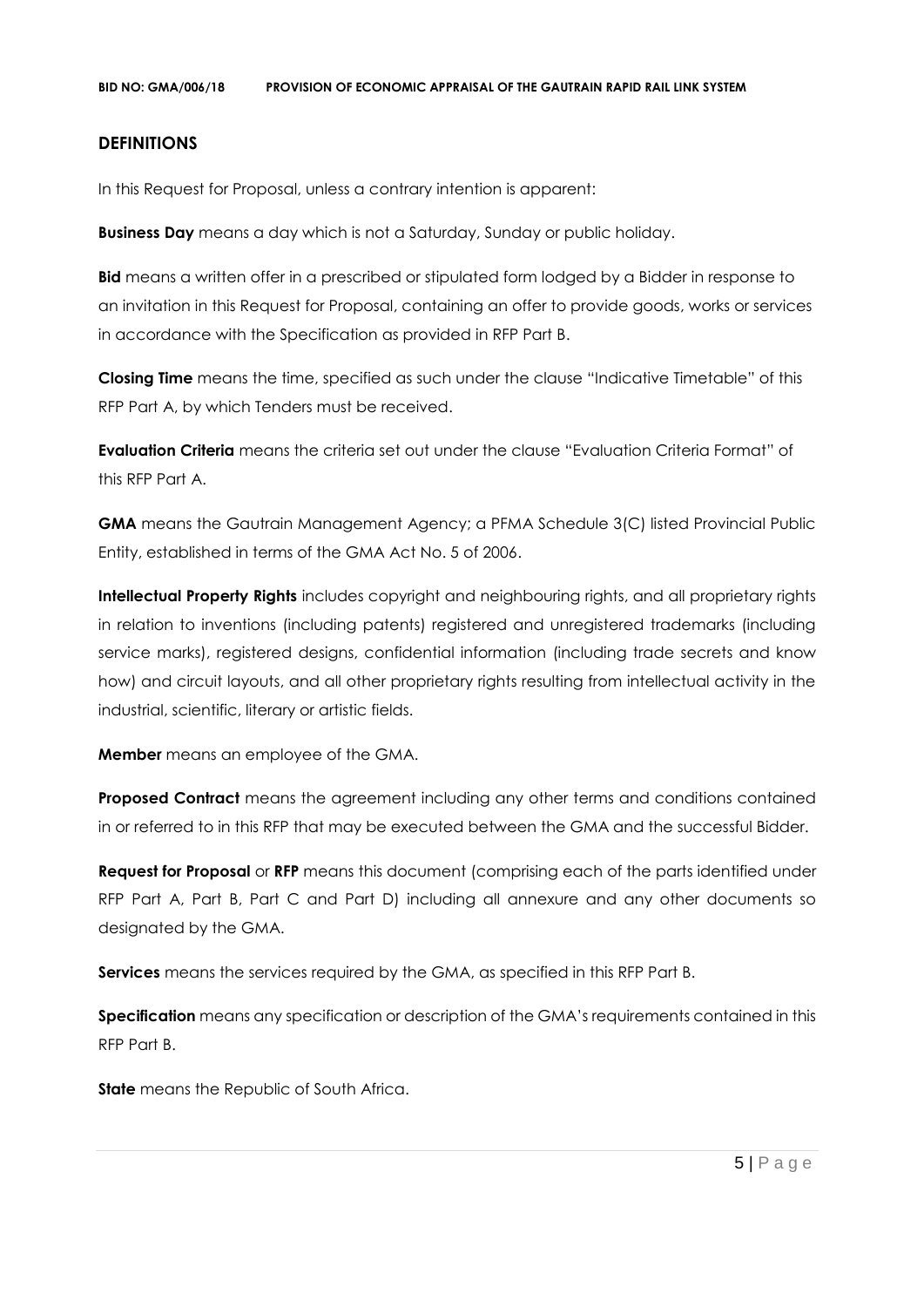## **DEFINITIONS**

In this Request for Proposal, unless a contrary intention is apparent:

**Business Day** means a day which is not a Saturday, Sunday or public holiday.

**Bid** means a written offer in a prescribed or stipulated form lodged by a Bidder in response to an invitation in this Request for Proposal, containing an offer to provide goods, works or services in accordance with the Specification as provided in RFP Part B.

**Closing Time** means the time, specified as such under the clause "Indicative Timetable" of this RFP Part A, by which Tenders must be received.

**Evaluation Criteria** means the criteria set out under the clause "Evaluation Criteria Format" of this RFP Part A.

**GMA** means the Gautrain Management Agency; a PFMA Schedule 3(C) listed Provincial Public Entity, established in terms of the GMA Act No. 5 of 2006.

**Intellectual Property Rights** includes copyright and neighbouring rights, and all proprietary rights in relation to inventions (including patents) registered and unregistered trademarks (including service marks), registered designs, confidential information (including trade secrets and know how) and circuit layouts, and all other proprietary rights resulting from intellectual activity in the industrial, scientific, literary or artistic fields.

**Member** means an employee of the GMA.

**Proposed Contract** means the agreement including any other terms and conditions contained in or referred to in this RFP that may be executed between the GMA and the successful Bidder.

**Request for Proposal** or **RFP** means this document (comprising each of the parts identified under RFP Part A, Part B, Part C and Part D) including all annexure and any other documents so designated by the GMA.

**Services** means the services required by the GMA, as specified in this RFP Part B.

**Specification** means any specification or description of the GMA's requirements contained in this RFP Part B.

**State** means the Republic of South Africa.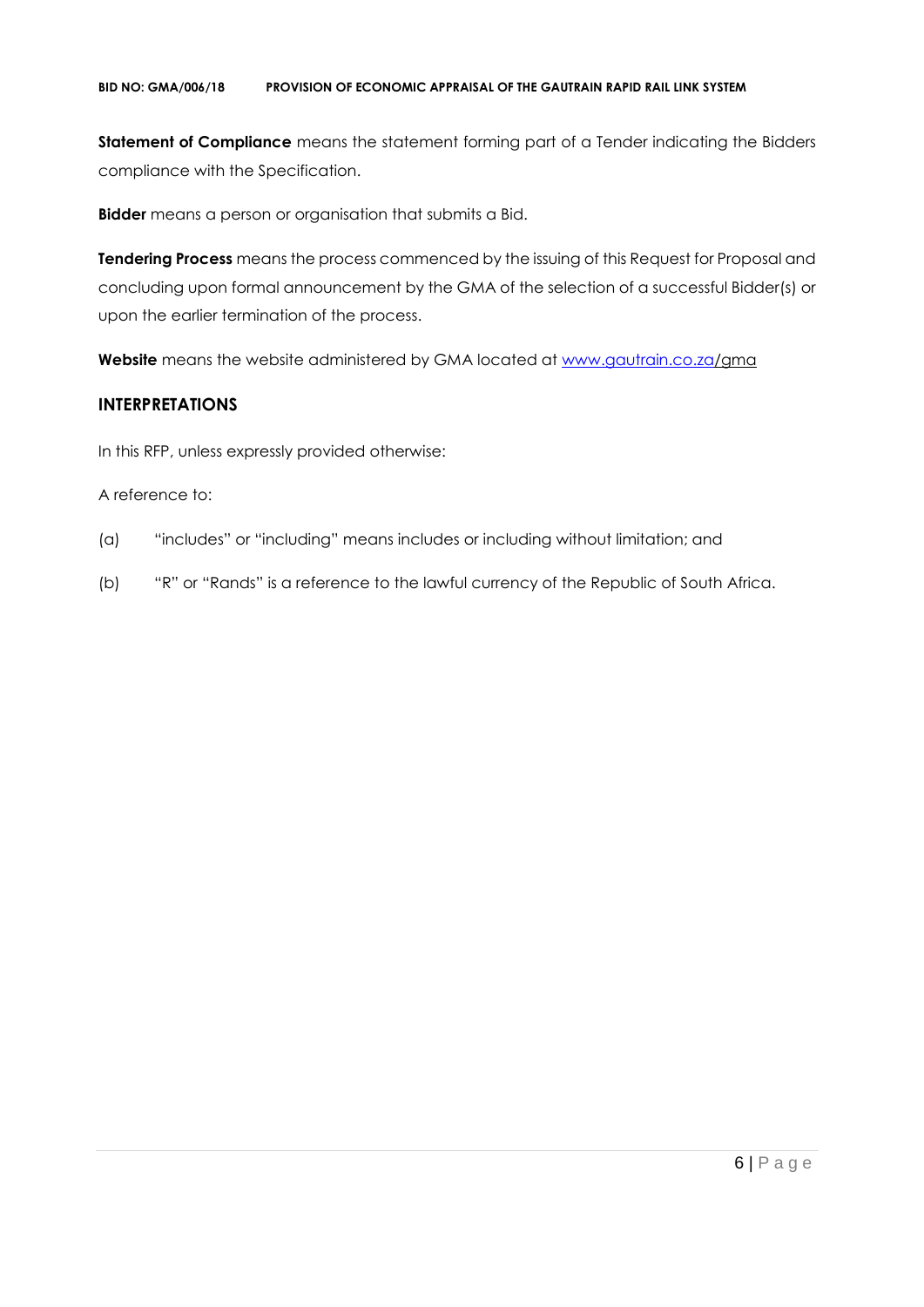#### **BID NO: GMA/006/18 PROVISION OF ECONOMIC APPRAISAL OF THE GAUTRAIN RAPID RAIL LINK SYSTEM**

**Statement of Compliance** means the statement forming part of a Tender indicating the Bidders compliance with the Specification.

**Bidder** means a person or organisation that submits a Bid.

**Tendering Process** means the process commenced by the issuing of this Request for Proposal and concluding upon formal announcement by the GMA of the selection of a successful Bidder(s) or upon the earlier termination of the process.

**Website** means the website administered by GMA located at [www.gautrain.co.za/](http://www.gautrain.co.za/)gma

# **INTERPRETATIONS**

In this RFP, unless expressly provided otherwise:

## A reference to:

- (a) "includes" or "including" means includes or including without limitation; and
- (b) "R" or "Rands" is a reference to the lawful currency of the Republic of South Africa.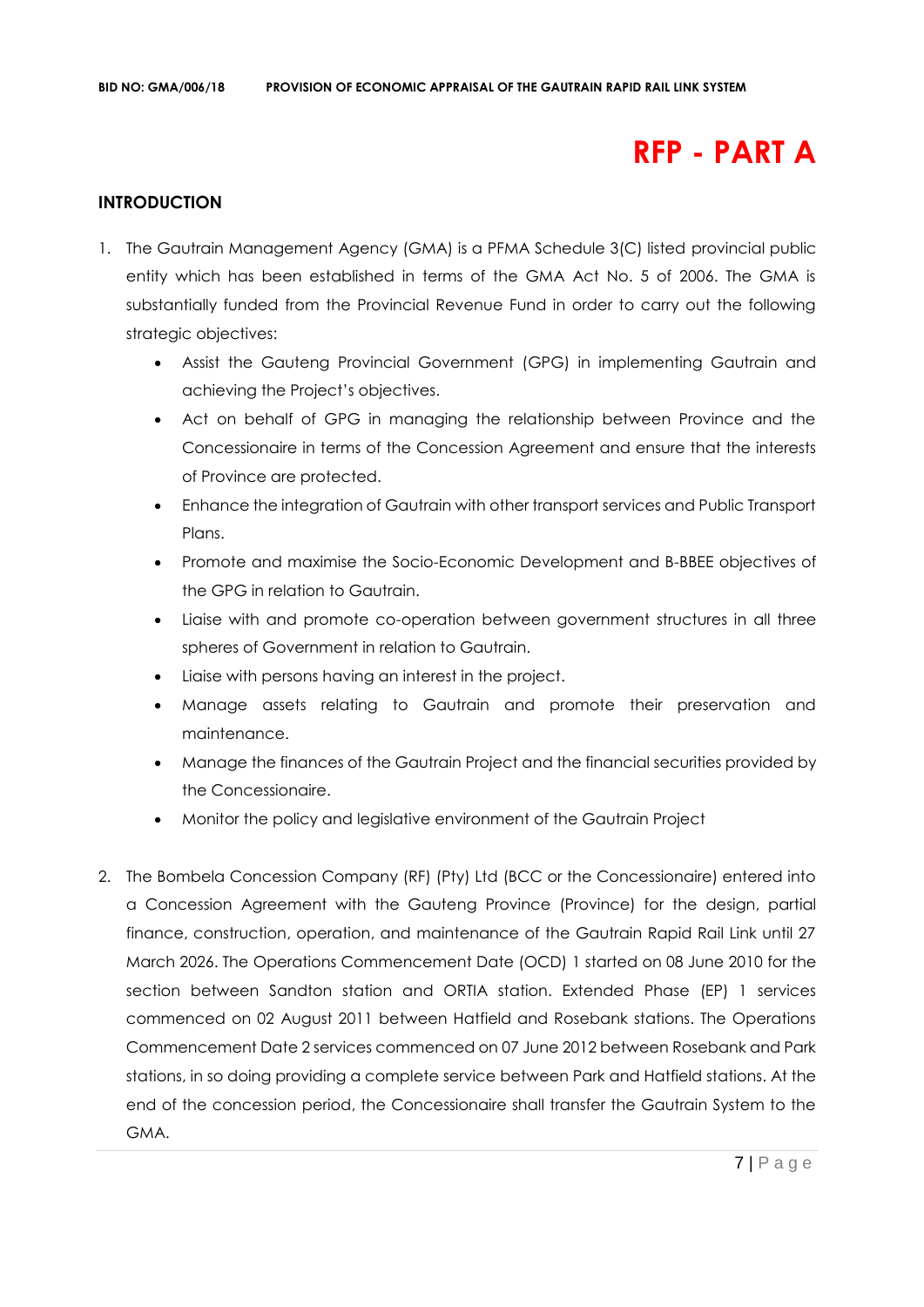# **RFP - PART A**

# **INTRODUCTION**

- 1. The Gautrain Management Agency (GMA) is a PFMA Schedule 3(C) listed provincial public entity which has been established in terms of the GMA Act No. 5 of 2006. The GMA is substantially funded from the Provincial Revenue Fund in order to carry out the following strategic objectives:
	- Assist the Gauteng Provincial Government (GPG) in implementing Gautrain and achieving the Project's objectives.
	- Act on behalf of GPG in managing the relationship between Province and the Concessionaire in terms of the Concession Agreement and ensure that the interests of Province are protected.
	- Enhance the integration of Gautrain with other transport services and Public Transport Plans.
	- Promote and maximise the Socio-Economic Development and B-BBEE objectives of the GPG in relation to Gautrain.
	- Liaise with and promote co-operation between government structures in all three spheres of Government in relation to Gautrain.
	- Liaise with persons having an interest in the project.
	- Manage assets relating to Gautrain and promote their preservation and maintenance.
	- Manage the finances of the Gautrain Project and the financial securities provided by the Concessionaire.
	- Monitor the policy and legislative environment of the Gautrain Project
- 2. The Bombela Concession Company (RF) (Pty) Ltd (BCC or the Concessionaire) entered into a Concession Agreement with the Gauteng Province (Province) for the design, partial finance, construction, operation, and maintenance of the Gautrain Rapid Rail Link until 27 March 2026. The Operations Commencement Date (OCD) 1 started on 08 June 2010 for the section between Sandton station and ORTIA station. Extended Phase (EP) 1 services commenced on 02 August 2011 between Hatfield and Rosebank stations. The Operations Commencement Date 2 services commenced on 07 June 2012 between Rosebank and Park stations, in so doing providing a complete service between Park and Hatfield stations. At the end of the concession period, the Concessionaire shall transfer the Gautrain System to the GMA.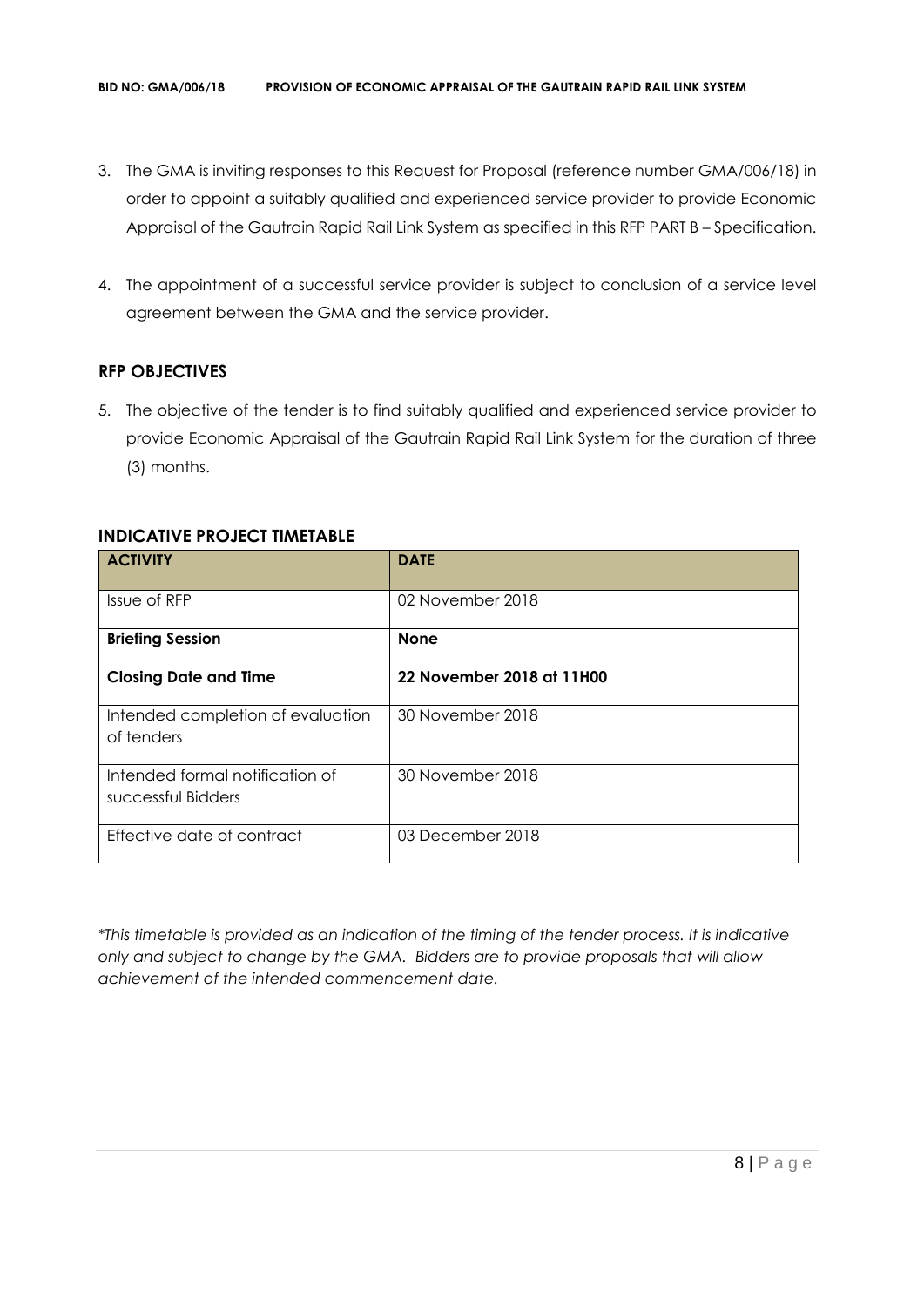- 3. The GMA is inviting responses to this Request for Proposal (reference number GMA/006/18) in order to appoint a suitably qualified and experienced service provider to provide Economic Appraisal of the Gautrain Rapid Rail Link System as specified in this RFP PART B – Specification.
- 4. The appointment of a successful service provider is subject to conclusion of a service level agreement between the GMA and the service provider.

# **RFP OBJECTIVES**

5. The objective of the tender is to find suitably qualified and experienced service provider to provide Economic Appraisal of the Gautrain Rapid Rail Link System for the duration of three (3) months.

| <b>ACTIVITY</b>                                       | <b>DATE</b>               |
|-------------------------------------------------------|---------------------------|
| Issue of RFP                                          | 02 November 2018          |
| <b>Briefing Session</b>                               | <b>None</b>               |
| <b>Closing Date and Time</b>                          | 22 November 2018 at 11H00 |
| Intended completion of evaluation<br>of tenders       | 30 November 2018          |
| Intended formal notification of<br>successful Bidders | 30 November 2018          |
| Effective date of contract                            | 03 December 2018          |

# **INDICATIVE PROJECT TIMETABLE**

*\*This timetable is provided as an indication of the timing of the tender process. It is indicative only and subject to change by the GMA. Bidders are to provide proposals that will allow achievement of the intended commencement date.*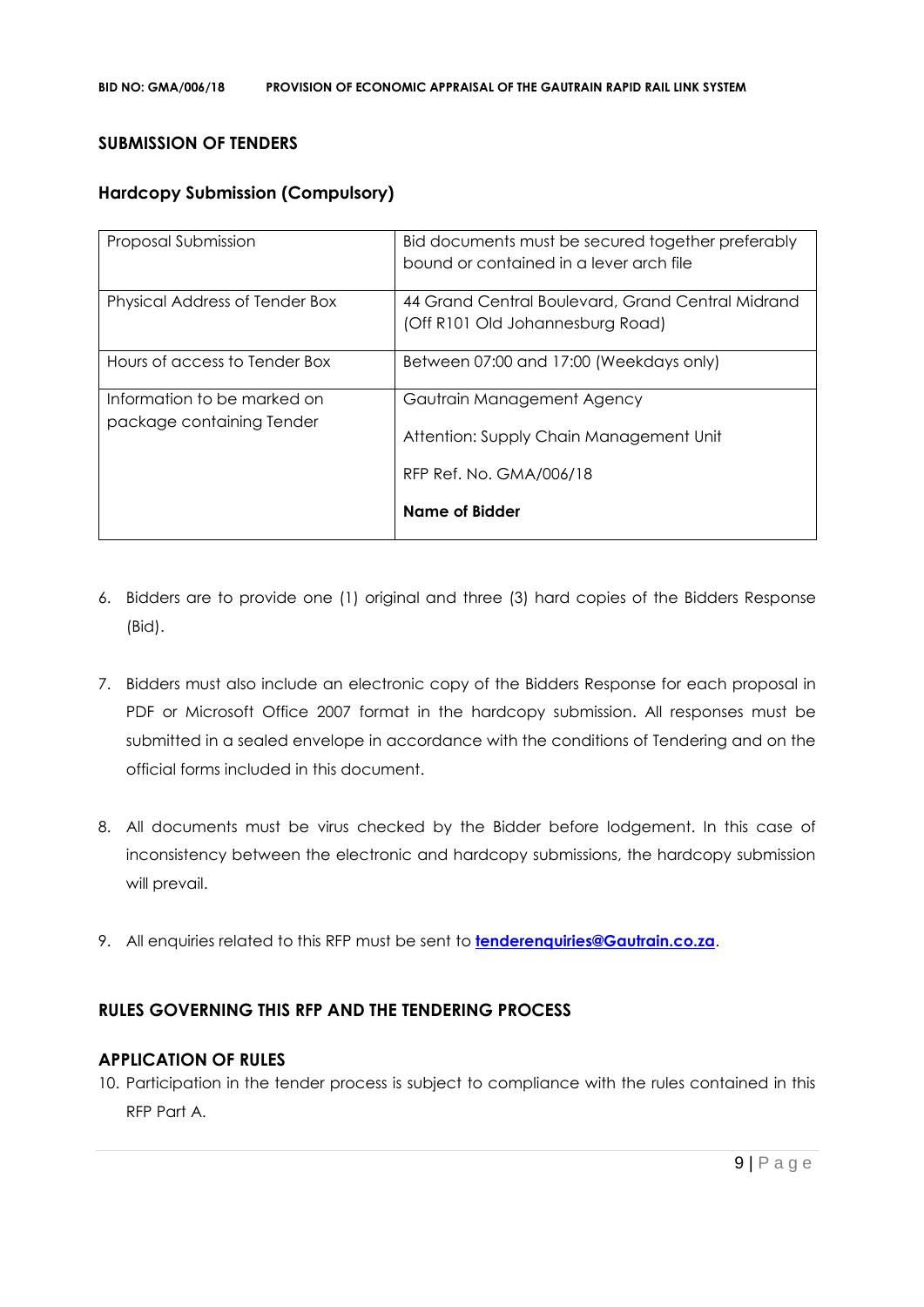#### **SUBMISSION OF TENDERS**

## **Hardcopy Submission (Compulsory)**

| Proposal Submission                                      | Bid documents must be secured together preferably<br>bound or contained in a lever arch file |
|----------------------------------------------------------|----------------------------------------------------------------------------------------------|
| Physical Address of Tender Box                           | 44 Grand Central Boulevard, Grand Central Midrand<br>(Off R101 Old Johannesburg Road)        |
| Hours of access to Tender Box                            | Between 07:00 and 17:00 (Weekdays only)                                                      |
| Information to be marked on<br>package containing Tender | Gautrain Management Agency<br>Attention: Supply Chain Management Unit                        |
|                                                          | RFP Ref. No. GMA/006/18                                                                      |
|                                                          | <b>Name of Bidder</b>                                                                        |

- 6. Bidders are to provide one (1) original and three (3) hard copies of the Bidders Response (Bid).
- 7. Bidders must also include an electronic copy of the Bidders Response for each proposal in PDF or Microsoft Office 2007 format in the hardcopy submission. All responses must be submitted in a sealed envelope in accordance with the conditions of Tendering and on the official forms included in this document.
- 8. All documents must be virus checked by the Bidder before lodgement. In this case of inconsistency between the electronic and hardcopy submissions, the hardcopy submission will prevail.
- 9. All enquiries related to this RFP must be sent to **[tenderenquiries@Gautrain.co.za](mailto:tenderenquiries@Gautrain.co.za)**.

# **RULES GOVERNING THIS RFP AND THE TENDERING PROCESS**

## **APPLICATION OF RULES**

10. Participation in the tender process is subject to compliance with the rules contained in this RFP Part A.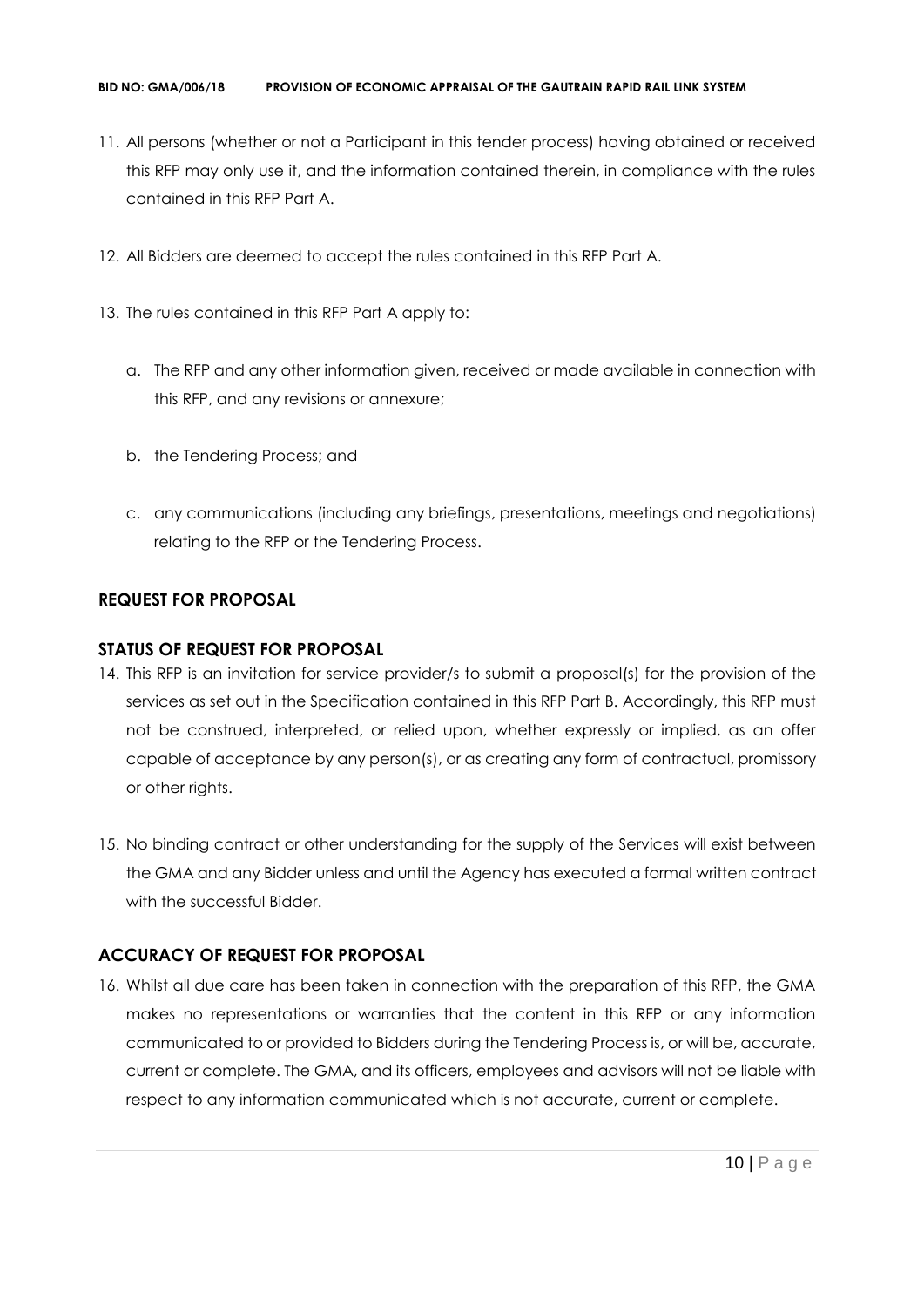- 11. All persons (whether or not a Participant in this tender process) having obtained or received this RFP may only use it, and the information contained therein, in compliance with the rules contained in this RFP Part A.
- 12. All Bidders are deemed to accept the rules contained in this RFP Part A.
- 13. The rules contained in this RFP Part A apply to:
	- a. The RFP and any other information given, received or made available in connection with this RFP, and any revisions or annexure;
	- b. the Tendering Process; and
	- c. any communications (including any briefings, presentations, meetings and negotiations) relating to the RFP or the Tendering Process.

# **REQUEST FOR PROPOSAL**

# **STATUS OF REQUEST FOR PROPOSAL**

- 14. This RFP is an invitation for service provider/s to submit a proposal(s) for the provision of the services as set out in the Specification contained in this RFP Part B. Accordingly, this RFP must not be construed, interpreted, or relied upon, whether expressly or implied, as an offer capable of acceptance by any person(s), or as creating any form of contractual, promissory or other rights.
- 15. No binding contract or other understanding for the supply of the Services will exist between the GMA and any Bidder unless and until the Agency has executed a formal written contract with the successful Bidder.

# **ACCURACY OF REQUEST FOR PROPOSAL**

16. Whilst all due care has been taken in connection with the preparation of this RFP, the GMA makes no representations or warranties that the content in this RFP or any information communicated to or provided to Bidders during the Tendering Process is, or will be, accurate, current or complete. The GMA, and its officers, employees and advisors will not be liable with respect to any information communicated which is not accurate, current or complete.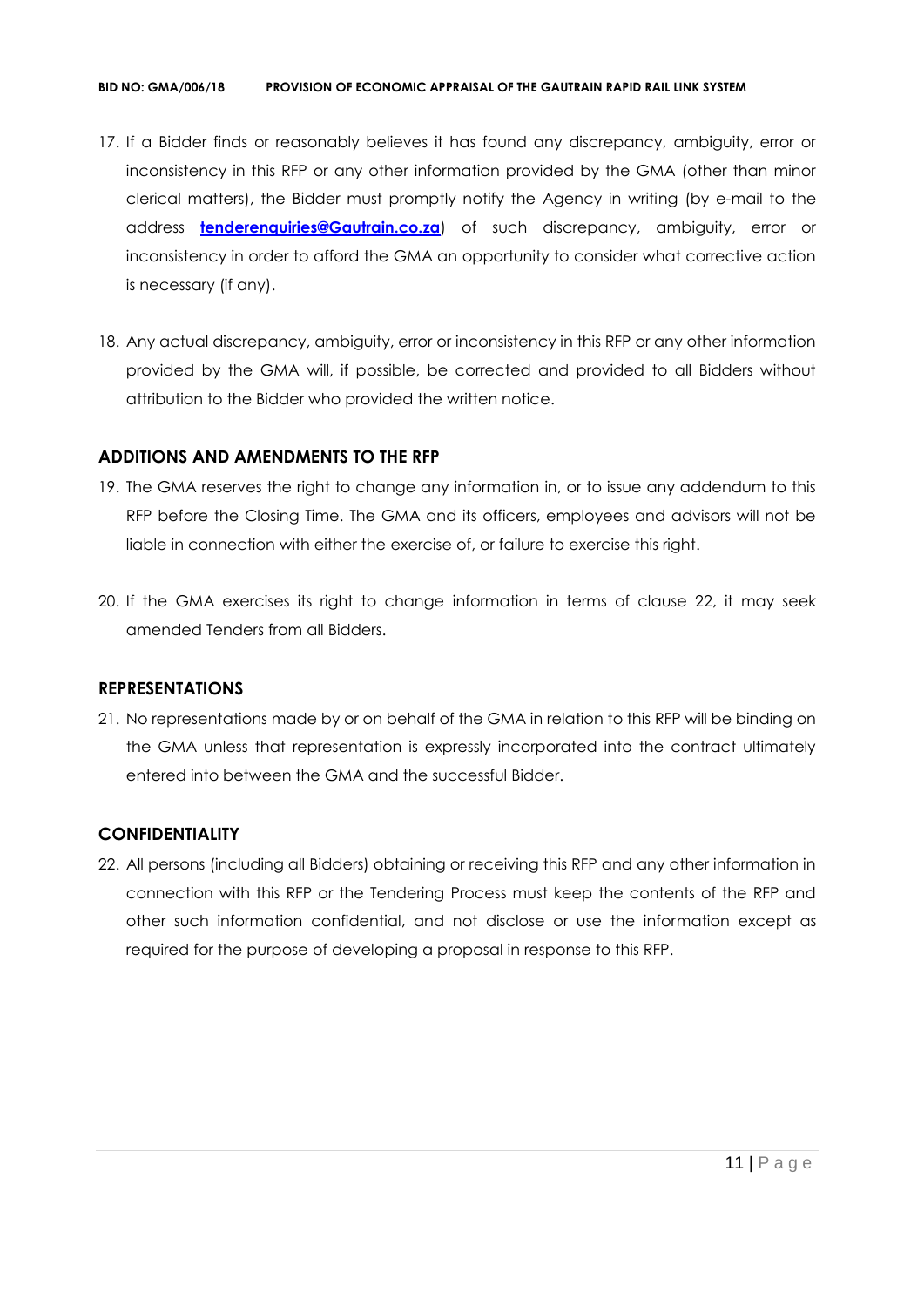#### **BID NO: GMA/006/18 PROVISION OF ECONOMIC APPRAISAL OF THE GAUTRAIN RAPID RAIL LINK SYSTEM**

- 17. If a Bidder finds or reasonably believes it has found any discrepancy, ambiguity, error or inconsistency in this RFP or any other information provided by the GMA (other than minor clerical matters), the Bidder must promptly notify the Agency in writing (by e-mail to the address **[tenderenquiries@Gautrain.co.za](mailto:tenderenquiries@gautrainpo.co.za)**) of such discrepancy, ambiguity, error or inconsistency in order to afford the GMA an opportunity to consider what corrective action is necessary (if any).
- 18. Any actual discrepancy, ambiguity, error or inconsistency in this RFP or any other information provided by the GMA will, if possible, be corrected and provided to all Bidders without attribution to the Bidder who provided the written notice.

# **ADDITIONS AND AMENDMENTS TO THE RFP**

- 19. The GMA reserves the right to change any information in, or to issue any addendum to this RFP before the Closing Time. The GMA and its officers, employees and advisors will not be liable in connection with either the exercise of, or failure to exercise this right.
- 20. If the GMA exercises its right to change information in terms of clause 22, it may seek amended Tenders from all Bidders.

## **REPRESENTATIONS**

21. No representations made by or on behalf of the GMA in relation to this RFP will be binding on the GMA unless that representation is expressly incorporated into the contract ultimately entered into between the GMA and the successful Bidder.

# **CONFIDENTIALITY**

22. All persons (including all Bidders) obtaining or receiving this RFP and any other information in connection with this RFP or the Tendering Process must keep the contents of the RFP and other such information confidential, and not disclose or use the information except as required for the purpose of developing a proposal in response to this RFP.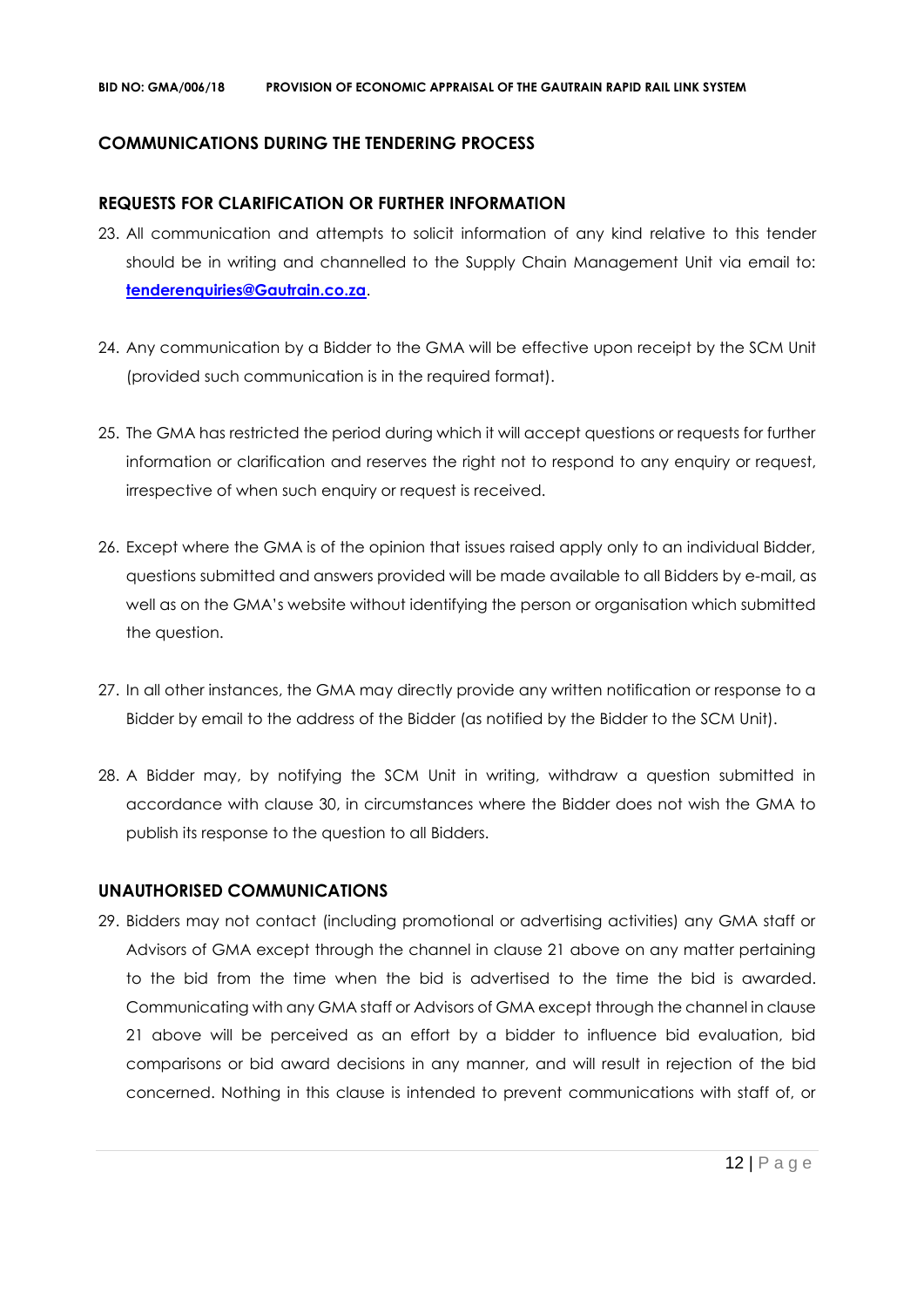# **COMMUNICATIONS DURING THE TENDERING PROCESS**

## **REQUESTS FOR CLARIFICATION OR FURTHER INFORMATION**

- 23. All communication and attempts to solicit information of any kind relative to this tender should be in writing and channelled to the Supply Chain Management Unit via email to: **[tenderenquiries@Gautrain.co.za](mailto:tenderenquiries@gautrainpo.co.za)**.
- 24. Any communication by a Bidder to the GMA will be effective upon receipt by the SCM Unit (provided such communication is in the required format).
- 25. The GMA has restricted the period during which it will accept questions or requests for further information or clarification and reserves the right not to respond to any enquiry or request, irrespective of when such enquiry or request is received.
- 26. Except where the GMA is of the opinion that issues raised apply only to an individual Bidder, questions submitted and answers provided will be made available to all Bidders by e-mail, as well as on the GMA's website without identifying the person or organisation which submitted the question.
- 27. In all other instances, the GMA may directly provide any written notification or response to a Bidder by email to the address of the Bidder (as notified by the Bidder to the SCM Unit).
- 28. A Bidder may, by notifying the SCM Unit in writing, withdraw a question submitted in accordance with clause 30, in circumstances where the Bidder does not wish the GMA to publish its response to the question to all Bidders.

## **UNAUTHORISED COMMUNICATIONS**

29. Bidders may not contact (including promotional or advertising activities) any GMA staff or Advisors of GMA except through the channel in clause 21 above on any matter pertaining to the bid from the time when the bid is advertised to the time the bid is awarded. Communicating with any GMA staff or Advisors of GMA except through the channel in clause 21 above will be perceived as an effort by a bidder to influence bid evaluation, bid comparisons or bid award decisions in any manner, and will result in rejection of the bid concerned. Nothing in this clause is intended to prevent communications with staff of, or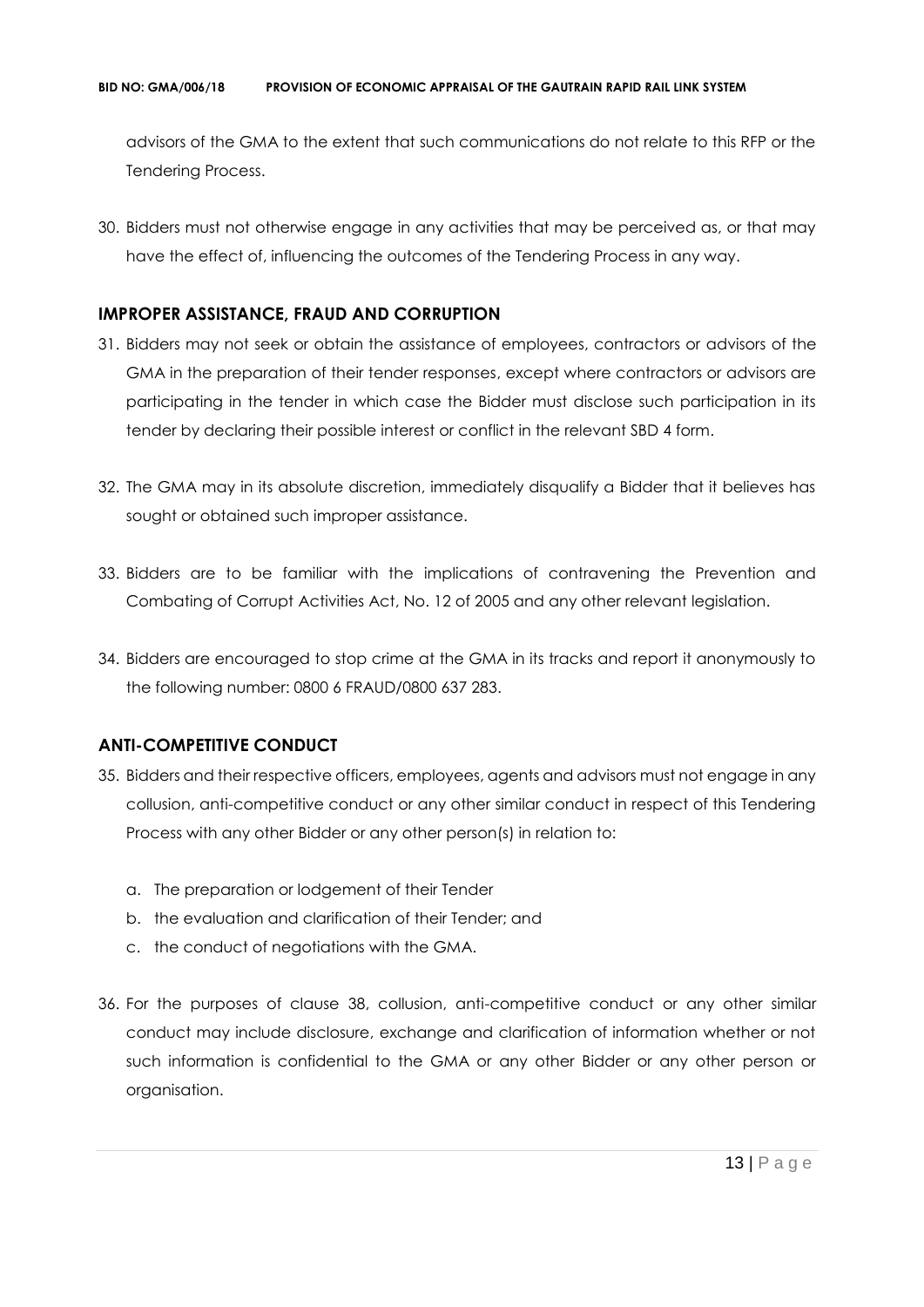advisors of the GMA to the extent that such communications do not relate to this RFP or the Tendering Process.

30. Bidders must not otherwise engage in any activities that may be perceived as, or that may have the effect of, influencing the outcomes of the Tendering Process in any way.

# **IMPROPER ASSISTANCE, FRAUD AND CORRUPTION**

- 31. Bidders may not seek or obtain the assistance of employees, contractors or advisors of the GMA in the preparation of their tender responses, except where contractors or advisors are participating in the tender in which case the Bidder must disclose such participation in its tender by declaring their possible interest or conflict in the relevant SBD 4 form.
- 32. The GMA may in its absolute discretion, immediately disqualify a Bidder that it believes has sought or obtained such improper assistance.
- 33. Bidders are to be familiar with the implications of contravening the Prevention and Combating of Corrupt Activities Act, No. 12 of 2005 and any other relevant legislation.
- 34. Bidders are encouraged to stop crime at the GMA in its tracks and report it anonymously to the following number: 0800 6 FRAUD/0800 637 283.

# **ANTI-COMPETITIVE CONDUCT**

- 35. Bidders and their respective officers, employees, agents and advisors must not engage in any collusion, anti-competitive conduct or any other similar conduct in respect of this Tendering Process with any other Bidder or any other person(s) in relation to:
	- a. The preparation or lodgement of their Tender
	- b. the evaluation and clarification of their Tender; and
	- c. the conduct of negotiations with the GMA.
- 36. For the purposes of clause 38, collusion, anti-competitive conduct or any other similar conduct may include disclosure, exchange and clarification of information whether or not such information is confidential to the GMA or any other Bidder or any other person or organisation.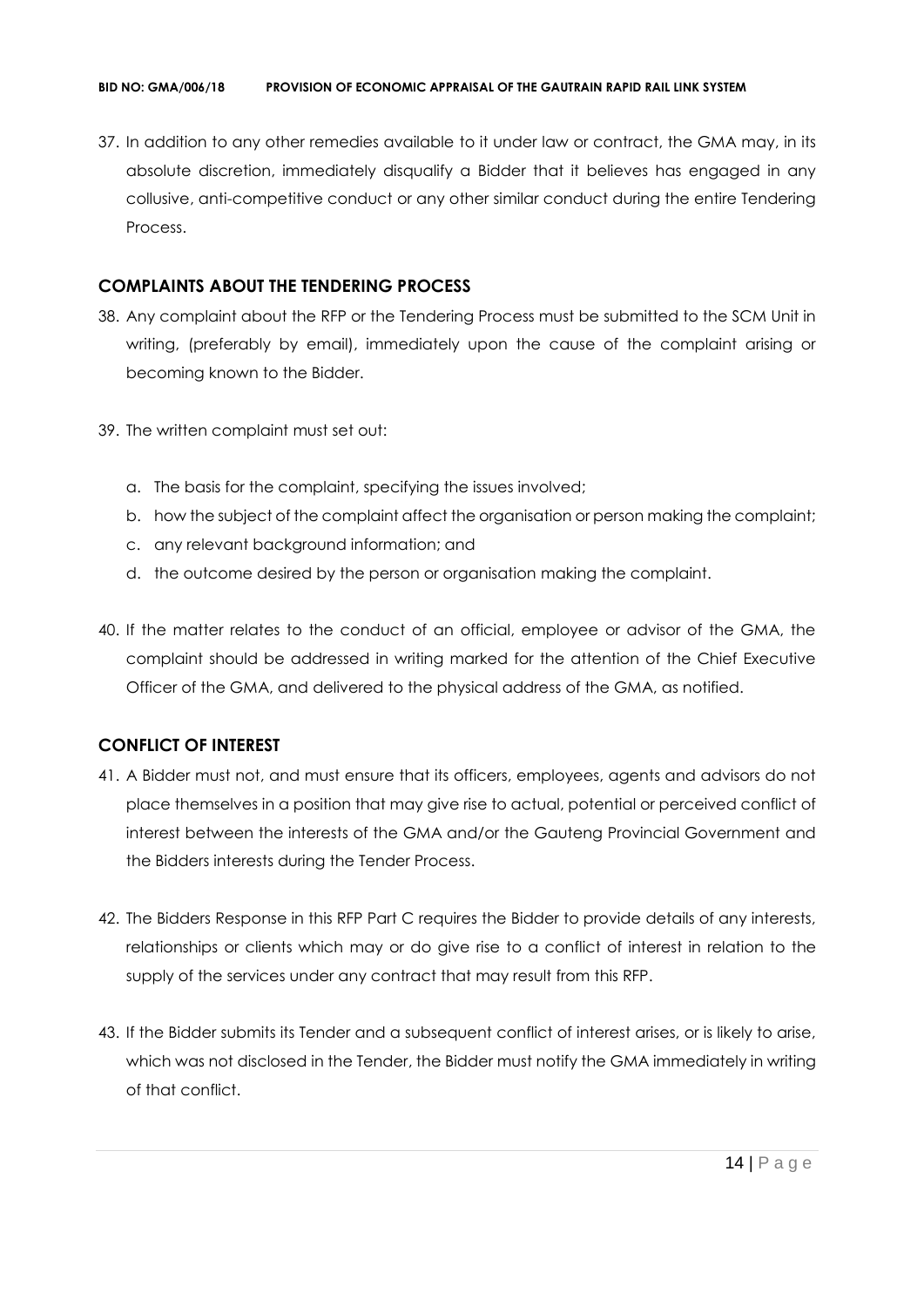37. In addition to any other remedies available to it under law or contract, the GMA may, in its absolute discretion, immediately disqualify a Bidder that it believes has engaged in any collusive, anti-competitive conduct or any other similar conduct during the entire Tendering Process.

# **COMPLAINTS ABOUT THE TENDERING PROCESS**

- 38. Any complaint about the RFP or the Tendering Process must be submitted to the SCM Unit in writing, (preferably by email), immediately upon the cause of the complaint arising or becoming known to the Bidder.
- 39. The written complaint must set out:
	- a. The basis for the complaint, specifying the issues involved;
	- b. how the subject of the complaint affect the organisation or person making the complaint;
	- c. any relevant background information; and
	- d. the outcome desired by the person or organisation making the complaint.
- 40. If the matter relates to the conduct of an official, employee or advisor of the GMA, the complaint should be addressed in writing marked for the attention of the Chief Executive Officer of the GMA, and delivered to the physical address of the GMA, as notified.

# **CONFLICT OF INTEREST**

- 41. A Bidder must not, and must ensure that its officers, employees, agents and advisors do not place themselves in a position that may give rise to actual, potential or perceived conflict of interest between the interests of the GMA and/or the Gauteng Provincial Government and the Bidders interests during the Tender Process.
- 42. The Bidders Response in this RFP Part C requires the Bidder to provide details of any interests, relationships or clients which may or do give rise to a conflict of interest in relation to the supply of the services under any contract that may result from this RFP.
- 43. If the Bidder submits its Tender and a subsequent conflict of interest arises, or is likely to arise, which was not disclosed in the Tender, the Bidder must notify the GMA immediately in writing of that conflict.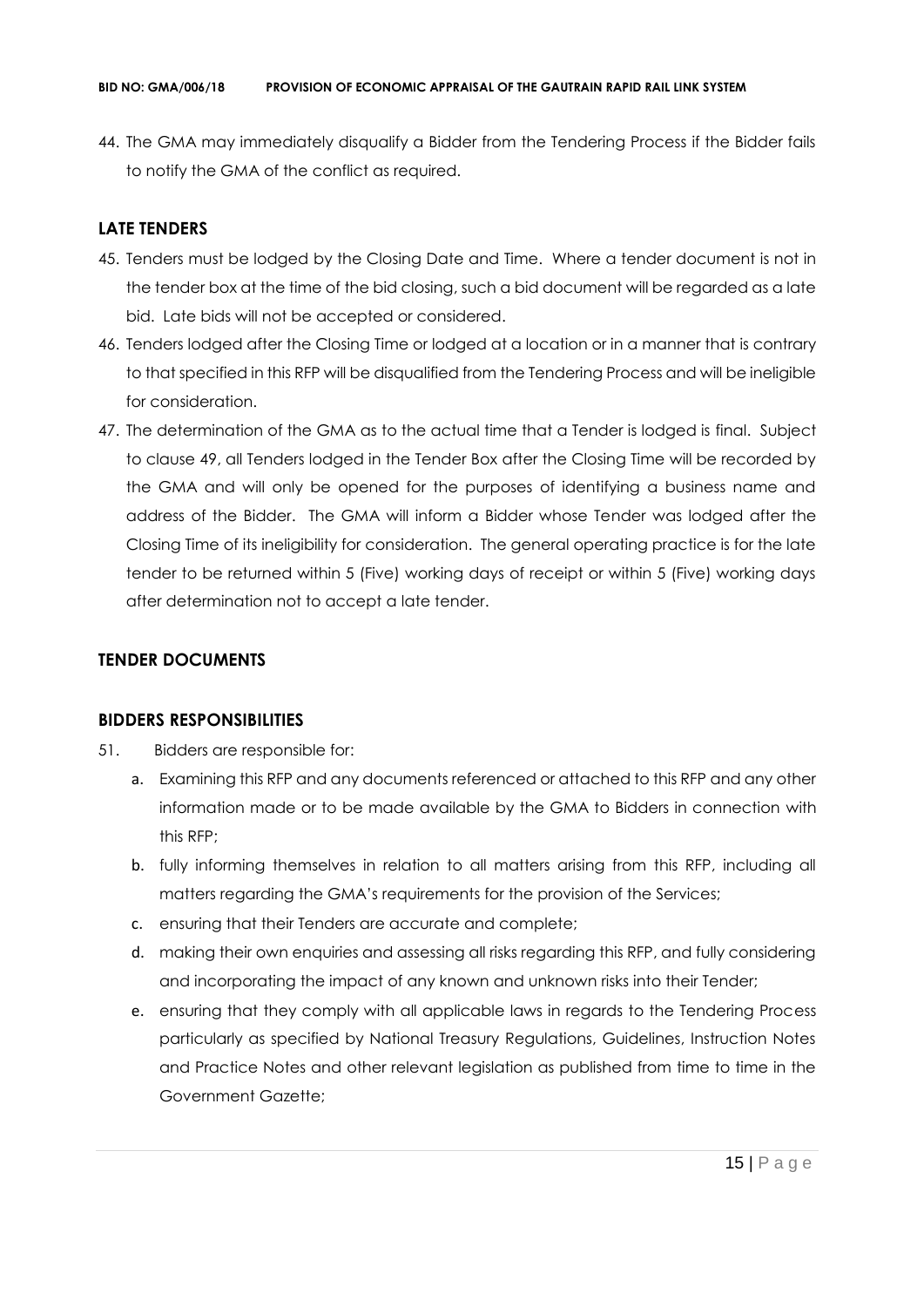44. The GMA may immediately disqualify a Bidder from the Tendering Process if the Bidder fails to notify the GMA of the conflict as required.

# **LATE TENDERS**

- 45. Tenders must be lodged by the Closing Date and Time. Where a tender document is not in the tender box at the time of the bid closing, such a bid document will be regarded as a late bid. Late bids will not be accepted or considered.
- 46. Tenders lodged after the Closing Time or lodged at a location or in a manner that is contrary to that specified in this RFP will be disqualified from the Tendering Process and will be ineligible for consideration.
- 47. The determination of the GMA as to the actual time that a Tender is lodged is final. Subject to clause 49, all Tenders lodged in the Tender Box after the Closing Time will be recorded by the GMA and will only be opened for the purposes of identifying a business name and address of the Bidder. The GMA will inform a Bidder whose Tender was lodged after the Closing Time of its ineligibility for consideration. The general operating practice is for the late tender to be returned within 5 (Five) working days of receipt or within 5 (Five) working days after determination not to accept a late tender.

# **TENDER DOCUMENTS**

# **BIDDERS RESPONSIBILITIES**

- 51. Bidders are responsible for:
	- a. Examining this RFP and any documents referenced or attached to this RFP and any other information made or to be made available by the GMA to Bidders in connection with this RFP;
	- b. fully informing themselves in relation to all matters arising from this RFP, including all matters regarding the GMA's requirements for the provision of the Services;
	- c. ensuring that their Tenders are accurate and complete;
	- d. making their own enquiries and assessing all risks regarding this RFP, and fully considering and incorporating the impact of any known and unknown risks into their Tender;
	- e. ensuring that they comply with all applicable laws in regards to the Tendering Process particularly as specified by National Treasury Regulations, Guidelines, Instruction Notes and Practice Notes and other relevant legislation as published from time to time in the Government Gazette;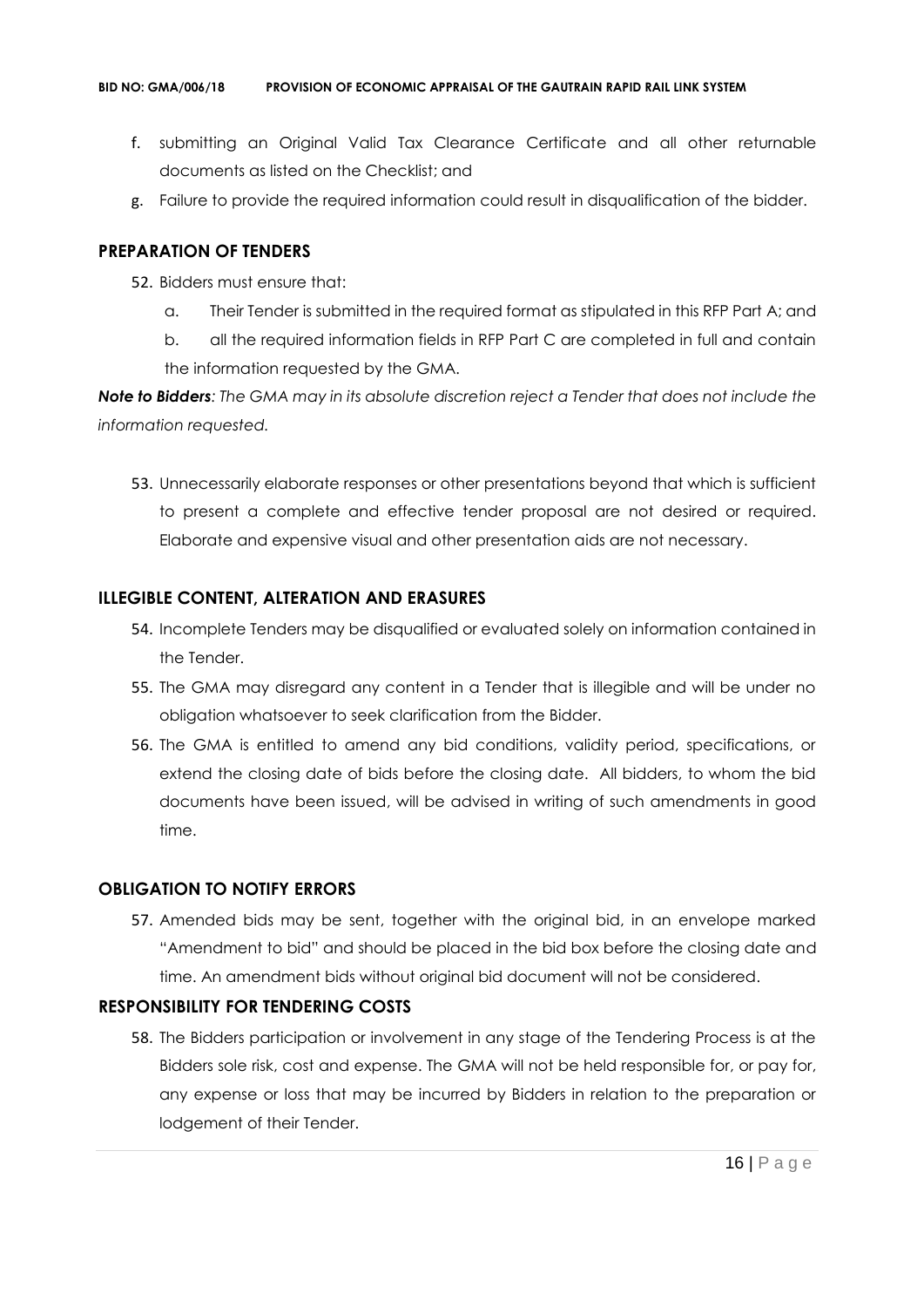- f. submitting an Original Valid Tax Clearance Certificate and all other returnable documents as listed on the Checklist; and
- g. Failure to provide the required information could result in disqualification of the bidder.

# **PREPARATION OF TENDERS**

- 52. Bidders must ensure that:
	- a. Their Tender is submitted in the required format as stipulated in this RFP Part A; and
	- b. all the required information fields in RFP Part C are completed in full and contain the information requested by the GMA.

*Note to Bidders: The GMA may in its absolute discretion reject a Tender that does not include the information requested.*

53. Unnecessarily elaborate responses or other presentations beyond that which is sufficient to present a complete and effective tender proposal are not desired or required. Elaborate and expensive visual and other presentation aids are not necessary.

# **ILLEGIBLE CONTENT, ALTERATION AND ERASURES**

- 54. Incomplete Tenders may be disqualified or evaluated solely on information contained in the Tender.
- 55. The GMA may disregard any content in a Tender that is illegible and will be under no obligation whatsoever to seek clarification from the Bidder.
- 56. The GMA is entitled to amend any bid conditions, validity period, specifications, or extend the closing date of bids before the closing date. All bidders, to whom the bid documents have been issued, will be advised in writing of such amendments in good time.

# **OBLIGATION TO NOTIFY ERRORS**

57. Amended bids may be sent, together with the original bid, in an envelope marked "Amendment to bid" and should be placed in the bid box before the closing date and time. An amendment bids without original bid document will not be considered.

# **RESPONSIBILITY FOR TENDERING COSTS**

58. The Bidders participation or involvement in any stage of the Tendering Process is at the Bidders sole risk, cost and expense. The GMA will not be held responsible for, or pay for, any expense or loss that may be incurred by Bidders in relation to the preparation or lodgement of their Tender.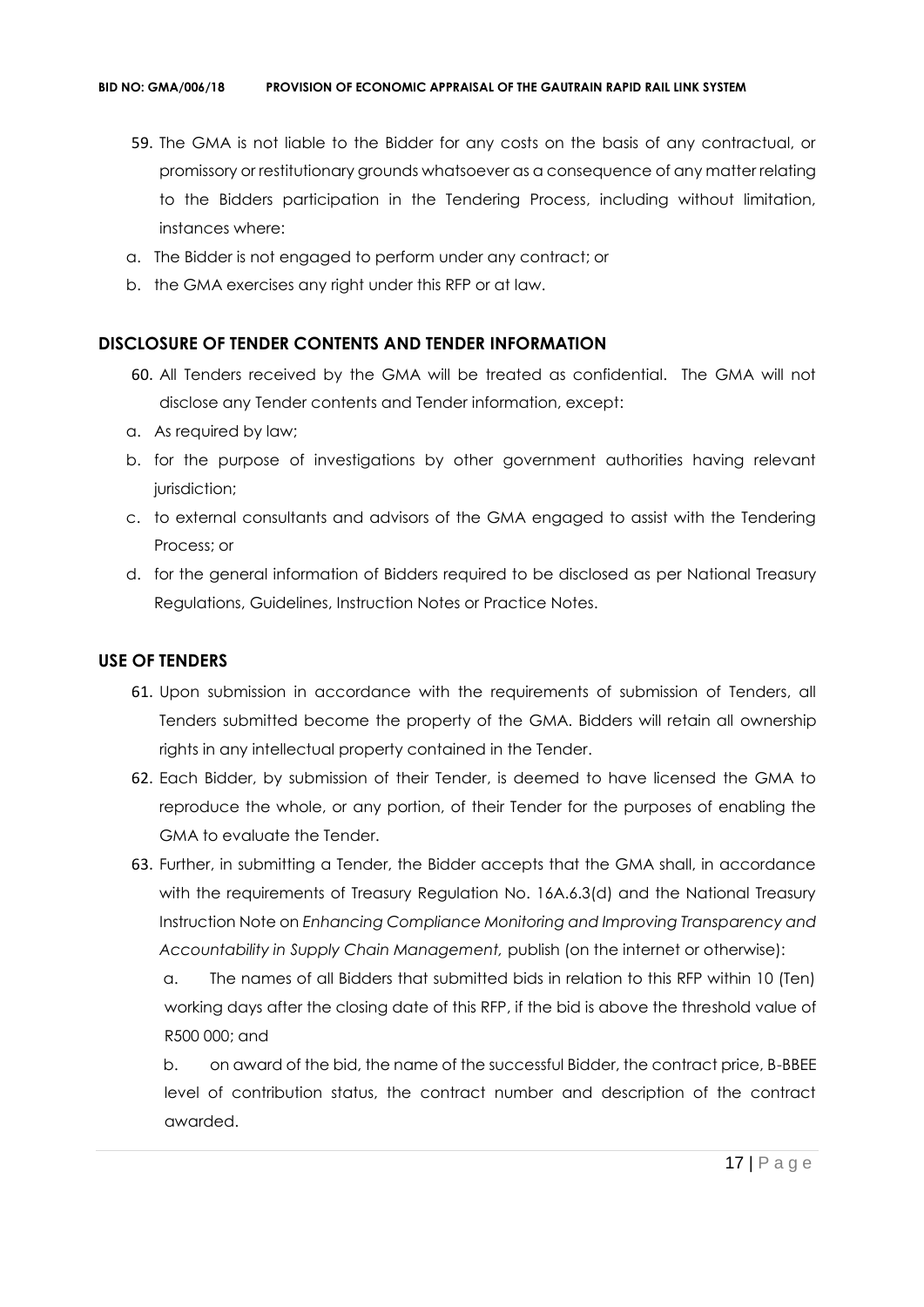- 59. The GMA is not liable to the Bidder for any costs on the basis of any contractual, or promissory or restitutionary grounds whatsoever as a consequence of any matter relating to the Bidders participation in the Tendering Process, including without limitation, instances where:
- a. The Bidder is not engaged to perform under any contract; or
- b. the GMA exercises any right under this RFP or at law.

# **DISCLOSURE OF TENDER CONTENTS AND TENDER INFORMATION**

- 60. All Tenders received by the GMA will be treated as confidential. The GMA will not disclose any Tender contents and Tender information, except:
- a. As required by law;
- b. for the purpose of investigations by other government authorities having relevant jurisdiction;
- c. to external consultants and advisors of the GMA engaged to assist with the Tendering Process; or
- d. for the general information of Bidders required to be disclosed as per National Treasury Regulations, Guidelines, Instruction Notes or Practice Notes.

# **USE OF TENDERS**

- 61. Upon submission in accordance with the requirements of submission of Tenders, all Tenders submitted become the property of the GMA. Bidders will retain all ownership rights in any intellectual property contained in the Tender.
- 62. Each Bidder, by submission of their Tender, is deemed to have licensed the GMA to reproduce the whole, or any portion, of their Tender for the purposes of enabling the GMA to evaluate the Tender.
- 63. Further, in submitting a Tender, the Bidder accepts that the GMA shall, in accordance with the requirements of Treasury Regulation No. 16A.6.3(d) and the National Treasury Instruction Note on *Enhancing Compliance Monitoring and Improving Transparency and Accountability in Supply Chain Management,* publish (on the internet or otherwise):

a. The names of all Bidders that submitted bids in relation to this RFP within 10 (Ten) working days after the closing date of this RFP, if the bid is above the threshold value of R500 000; and

b. on award of the bid, the name of the successful Bidder, the contract price, B-BBEE level of contribution status, the contract number and description of the contract awarded.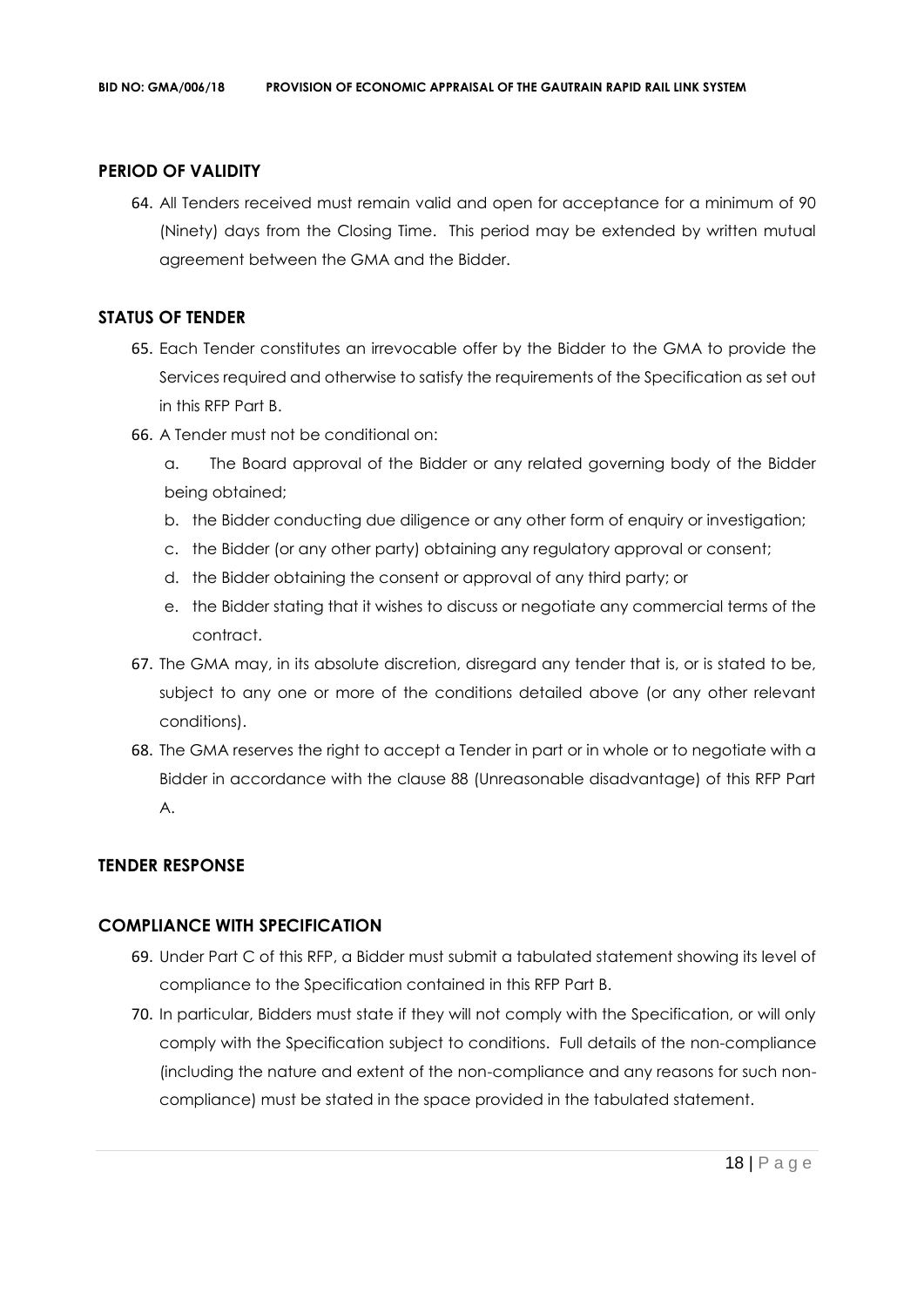# **PERIOD OF VALIDITY**

64. All Tenders received must remain valid and open for acceptance for a minimum of 90 (Ninety) days from the Closing Time. This period may be extended by written mutual agreement between the GMA and the Bidder.

## **STATUS OF TENDER**

- 65. Each Tender constitutes an irrevocable offer by the Bidder to the GMA to provide the Services required and otherwise to satisfy the requirements of the Specification as set out in this RFP Part B.
- 66. A Tender must not be conditional on:
	- a. The Board approval of the Bidder or any related governing body of the Bidder being obtained;
	- b. the Bidder conducting due diligence or any other form of enquiry or investigation;
	- c. the Bidder (or any other party) obtaining any regulatory approval or consent;
	- d. the Bidder obtaining the consent or approval of any third party; or
	- e. the Bidder stating that it wishes to discuss or negotiate any commercial terms of the contract.
- 67. The GMA may, in its absolute discretion, disregard any tender that is, or is stated to be, subject to any one or more of the conditions detailed above (or any other relevant conditions).
- 68. The GMA reserves the right to accept a Tender in part or in whole or to negotiate with a Bidder in accordance with the clause 88 (Unreasonable disadvantage) of this RFP Part A.

# **TENDER RESPONSE**

# **COMPLIANCE WITH SPECIFICATION**

- 69. Under Part C of this RFP, a Bidder must submit a tabulated statement showing its level of compliance to the Specification contained in this RFP Part B.
- 70. In particular, Bidders must state if they will not comply with the Specification, or will only comply with the Specification subject to conditions. Full details of the non-compliance (including the nature and extent of the non-compliance and any reasons for such noncompliance) must be stated in the space provided in the tabulated statement.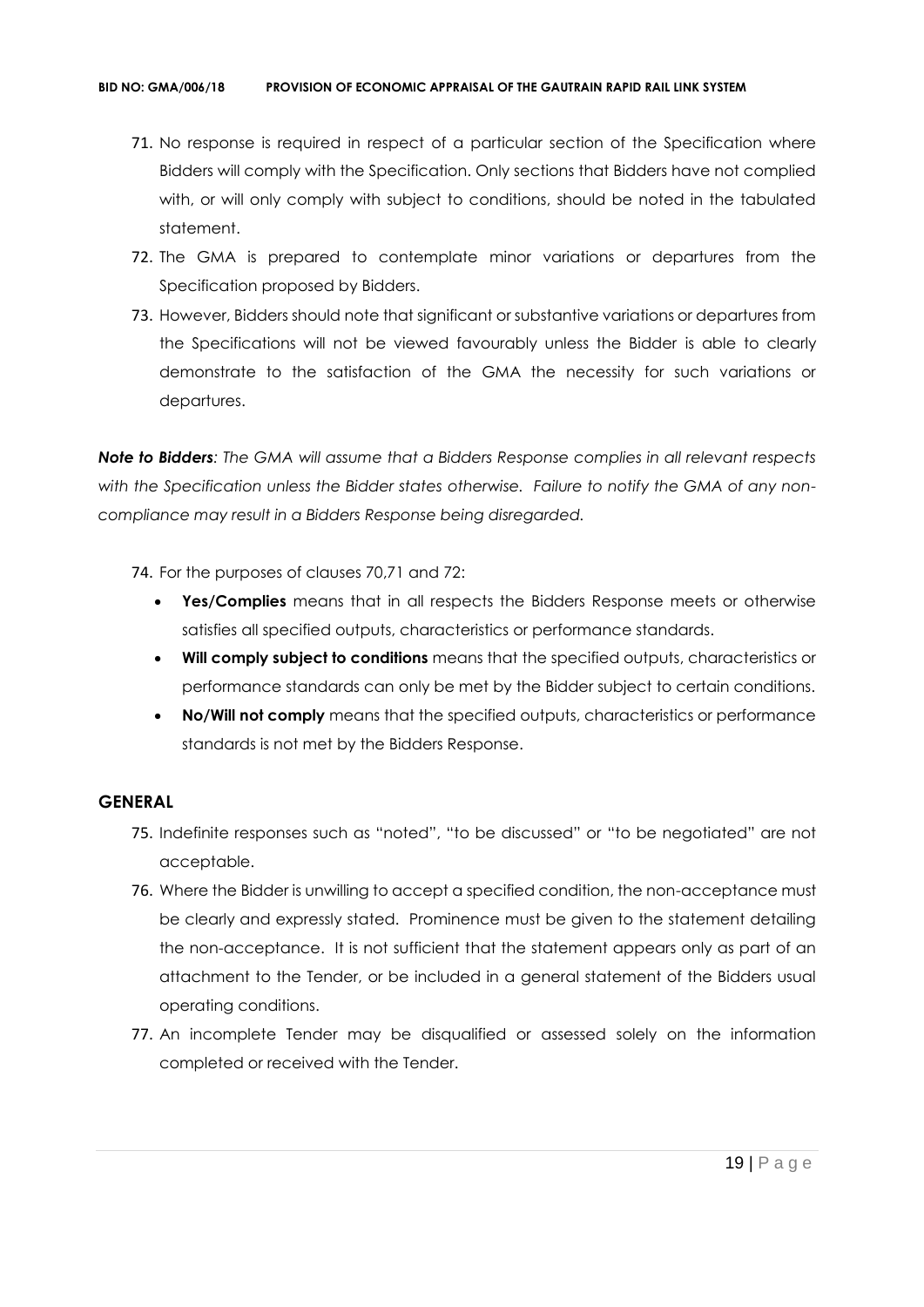- 71. No response is required in respect of a particular section of the Specification where Bidders will comply with the Specification. Only sections that Bidders have not complied with, or will only comply with subject to conditions, should be noted in the tabulated statement.
- 72. The GMA is prepared to contemplate minor variations or departures from the Specification proposed by Bidders.
- 73. However, Bidders should note that significant or substantive variations or departures from the Specifications will not be viewed favourably unless the Bidder is able to clearly demonstrate to the satisfaction of the GMA the necessity for such variations or departures.

*Note to Bidders: The GMA will assume that a Bidders Response complies in all relevant respects with the Specification unless the Bidder states otherwise. Failure to notify the GMA of any noncompliance may result in a Bidders Response being disregarded.*

- 74. For the purposes of clauses 70,71 and 72:
	- **Yes/Complies** means that in all respects the Bidders Response meets or otherwise satisfies all specified outputs, characteristics or performance standards.
	- **Will comply subject to conditions** means that the specified outputs, characteristics or performance standards can only be met by the Bidder subject to certain conditions.
	- **No/Will not comply** means that the specified outputs, characteristics or performance standards is not met by the Bidders Response.

# **GENERAL**

- 75. Indefinite responses such as "noted", "to be discussed" or "to be negotiated" are not acceptable.
- 76. Where the Bidder is unwilling to accept a specified condition, the non-acceptance must be clearly and expressly stated. Prominence must be given to the statement detailing the non-acceptance. It is not sufficient that the statement appears only as part of an attachment to the Tender, or be included in a general statement of the Bidders usual operating conditions.
- 77. An incomplete Tender may be disqualified or assessed solely on the information completed or received with the Tender.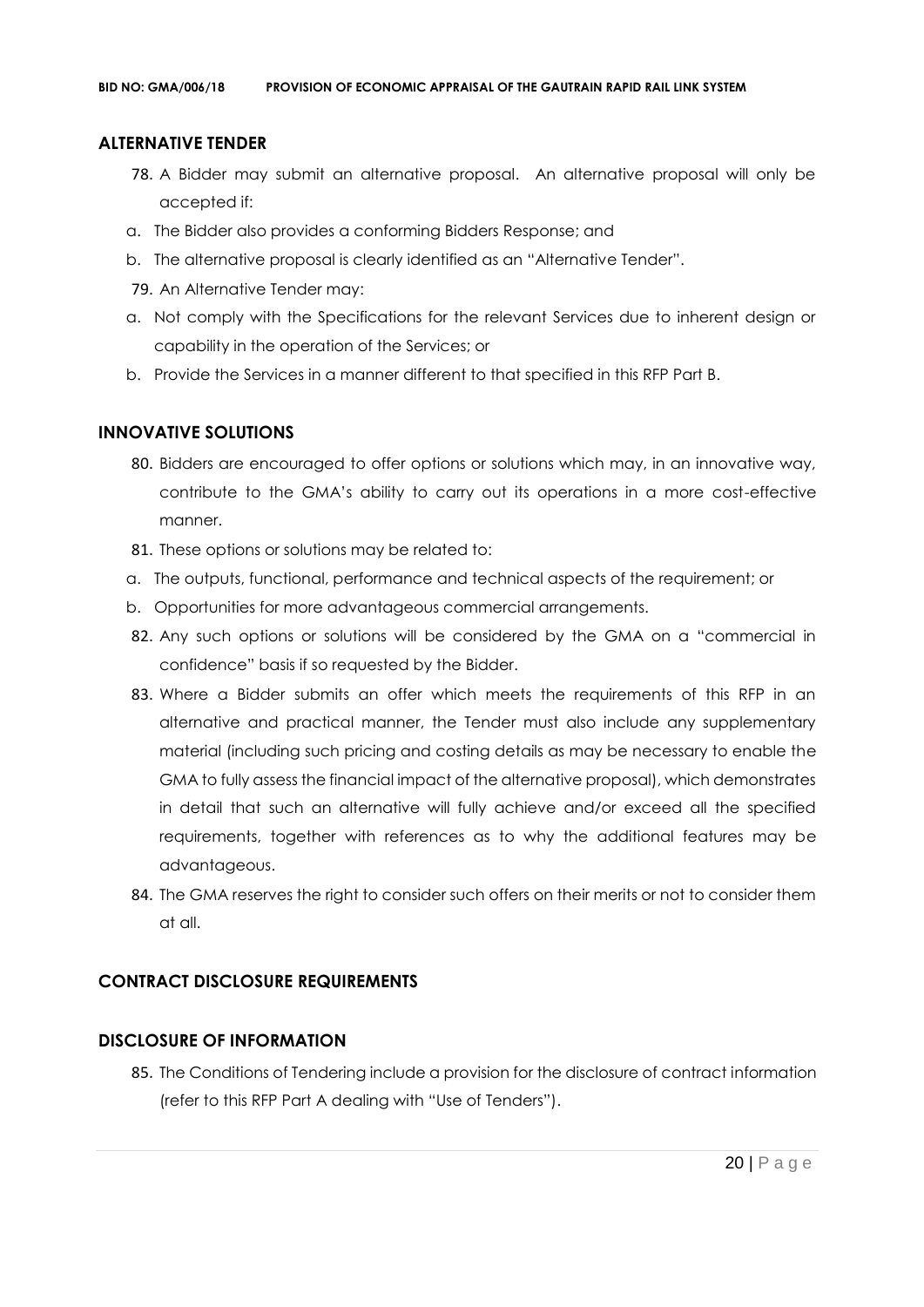# **ALTERNATIVE TENDER**

- 78. A Bidder may submit an alternative proposal. An alternative proposal will only be accepted if:
- a. The Bidder also provides a conforming Bidders Response; and
- b. The alternative proposal is clearly identified as an "Alternative Tender".
- 79. An Alternative Tender may:
- a. Not comply with the Specifications for the relevant Services due to inherent design or capability in the operation of the Services; or
- b. Provide the Services in a manner different to that specified in this RFP Part B.

# **INNOVATIVE SOLUTIONS**

- 80. Bidders are encouraged to offer options or solutions which may, in an innovative way, contribute to the GMA's ability to carry out its operations in a more cost-effective manner.
- 81. These options or solutions may be related to:
- a. The outputs, functional, performance and technical aspects of the requirement; or
- b. Opportunities for more advantageous commercial arrangements.
- 82. Any such options or solutions will be considered by the GMA on a "commercial in confidence" basis if so requested by the Bidder.
- 83. Where a Bidder submits an offer which meets the requirements of this RFP in an alternative and practical manner, the Tender must also include any supplementary material (including such pricing and costing details as may be necessary to enable the GMA to fully assess the financial impact of the alternative proposal), which demonstrates in detail that such an alternative will fully achieve and/or exceed all the specified requirements, together with references as to why the additional features may be advantageous.
- 84. The GMA reserves the right to consider such offers on their merits or not to consider them at all.

# **CONTRACT DISCLOSURE REQUIREMENTS**

# **DISCLOSURE OF INFORMATION**

85. The Conditions of Tendering include a provision for the disclosure of contract information (refer to this RFP Part A dealing with "Use of Tenders").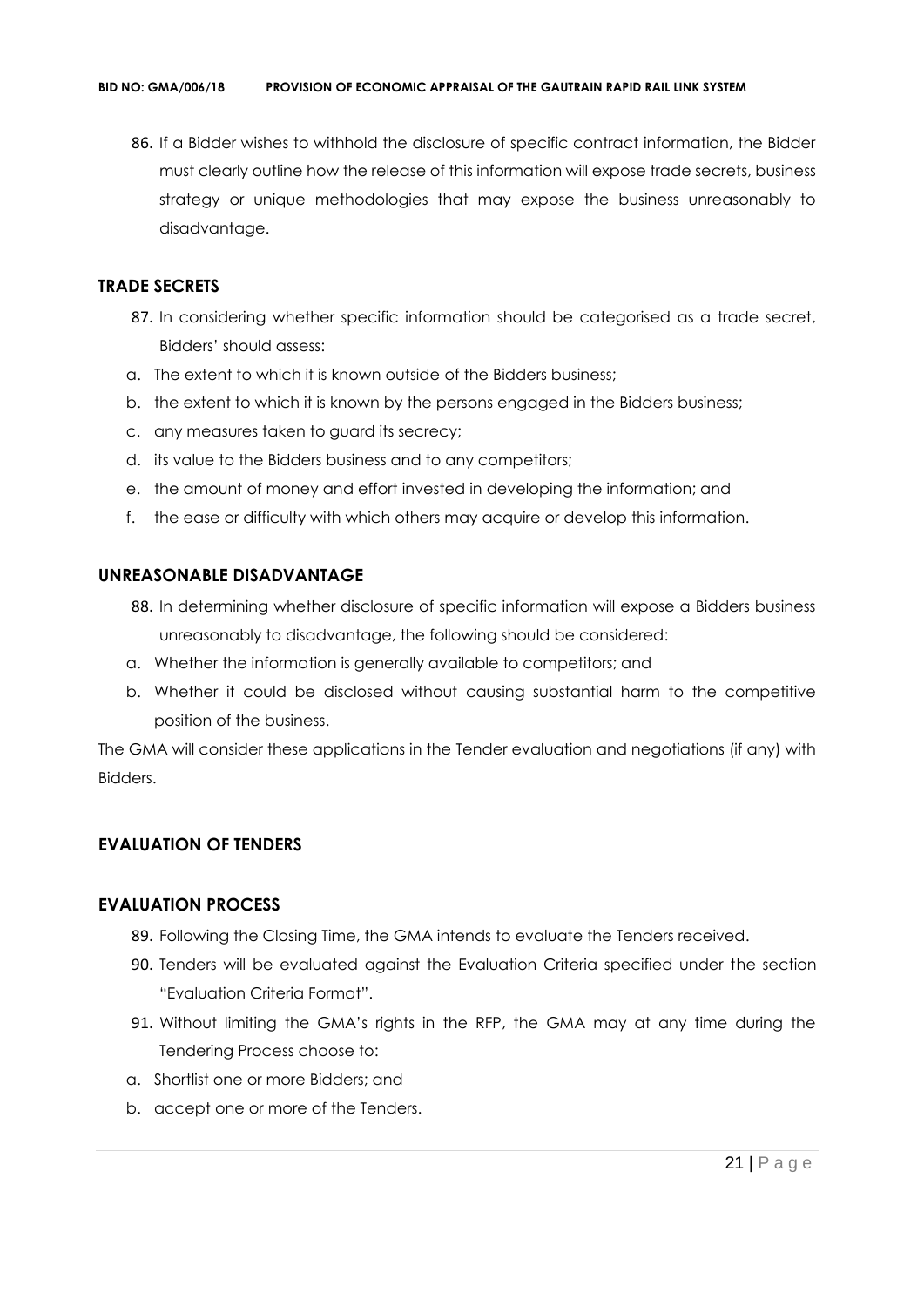86. If a Bidder wishes to withhold the disclosure of specific contract information, the Bidder must clearly outline how the release of this information will expose trade secrets, business strategy or unique methodologies that may expose the business unreasonably to disadvantage.

# **TRADE SECRETS**

- 87. In considering whether specific information should be categorised as a trade secret, Bidders' should assess:
- a. The extent to which it is known outside of the Bidders business;
- b. the extent to which it is known by the persons engaged in the Bidders business;
- c. any measures taken to guard its secrecy;
- d. its value to the Bidders business and to any competitors;
- e. the amount of money and effort invested in developing the information; and
- f. the ease or difficulty with which others may acquire or develop this information.

## **UNREASONABLE DISADVANTAGE**

- 88. In determining whether disclosure of specific information will expose a Bidders business unreasonably to disadvantage, the following should be considered:
- a. Whether the information is generally available to competitors; and
- b. Whether it could be disclosed without causing substantial harm to the competitive position of the business.

The GMA will consider these applications in the Tender evaluation and negotiations (if any) with Bidders.

# **EVALUATION OF TENDERS**

## **EVALUATION PROCESS**

- 89. Following the Closing Time, the GMA intends to evaluate the Tenders received.
- 90. Tenders will be evaluated against the Evaluation Criteria specified under the section "Evaluation Criteria Format".
- 91. Without limiting the GMA's rights in the RFP, the GMA may at any time during the Tendering Process choose to:
- a. Shortlist one or more Bidders; and
- b. accept one or more of the Tenders.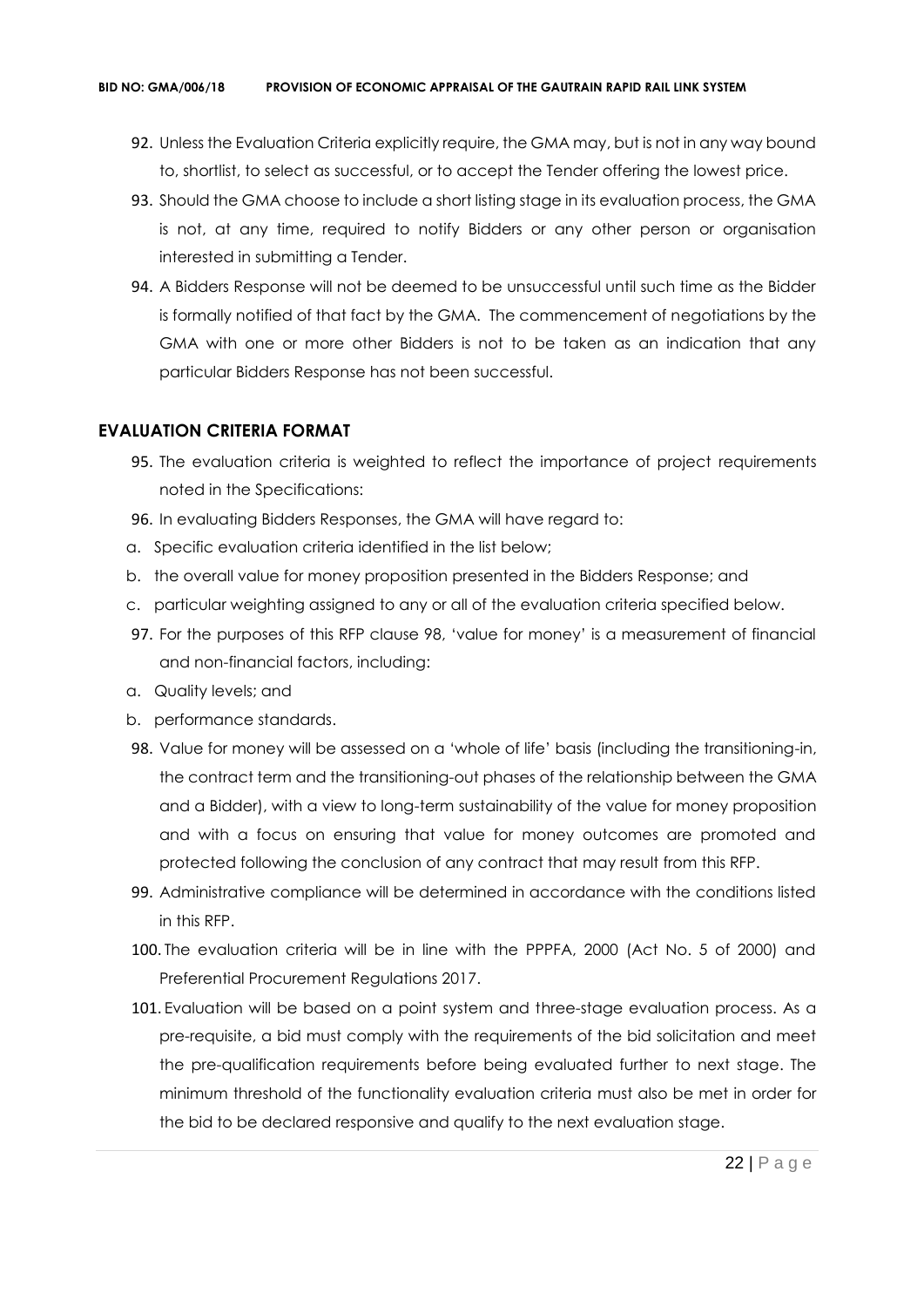- 92. Unless the Evaluation Criteria explicitly require, the GMA may, but is not in any way bound to, shortlist, to select as successful, or to accept the Tender offering the lowest price.
- 93. Should the GMA choose to include a short listing stage in its evaluation process, the GMA is not, at any time, required to notify Bidders or any other person or organisation interested in submitting a Tender.
- 94. A Bidders Response will not be deemed to be unsuccessful until such time as the Bidder is formally notified of that fact by the GMA. The commencement of negotiations by the GMA with one or more other Bidders is not to be taken as an indication that any particular Bidders Response has not been successful.

# **EVALUATION CRITERIA FORMAT**

- 95. The evaluation criteria is weighted to reflect the importance of project requirements noted in the Specifications:
- 96. In evaluating Bidders Responses, the GMA will have regard to:
- a. Specific evaluation criteria identified in the list below;
- b. the overall value for money proposition presented in the Bidders Response; and
- c. particular weighting assigned to any or all of the evaluation criteria specified below.
- 97. For the purposes of this RFP clause 98, 'value for money' is a measurement of financial and non-financial factors, including:
- a. Quality levels; and
- b. performance standards.
- 98. Value for money will be assessed on a 'whole of life' basis (including the transitioning-in, the contract term and the transitioning-out phases of the relationship between the GMA and a Bidder), with a view to long-term sustainability of the value for money proposition and with a focus on ensuring that value for money outcomes are promoted and protected following the conclusion of any contract that may result from this RFP.
- 99. Administrative compliance will be determined in accordance with the conditions listed in this RFP.
- 100. The evaluation criteria will be in line with the PPPFA, 2000 (Act No. 5 of 2000) and Preferential Procurement Regulations 2017.
- 101. Evaluation will be based on a point system and three-stage evaluation process. As a pre-requisite, a bid must comply with the requirements of the bid solicitation and meet the pre-qualification requirements before being evaluated further to next stage. The minimum threshold of the functionality evaluation criteria must also be met in order for the bid to be declared responsive and qualify to the next evaluation stage.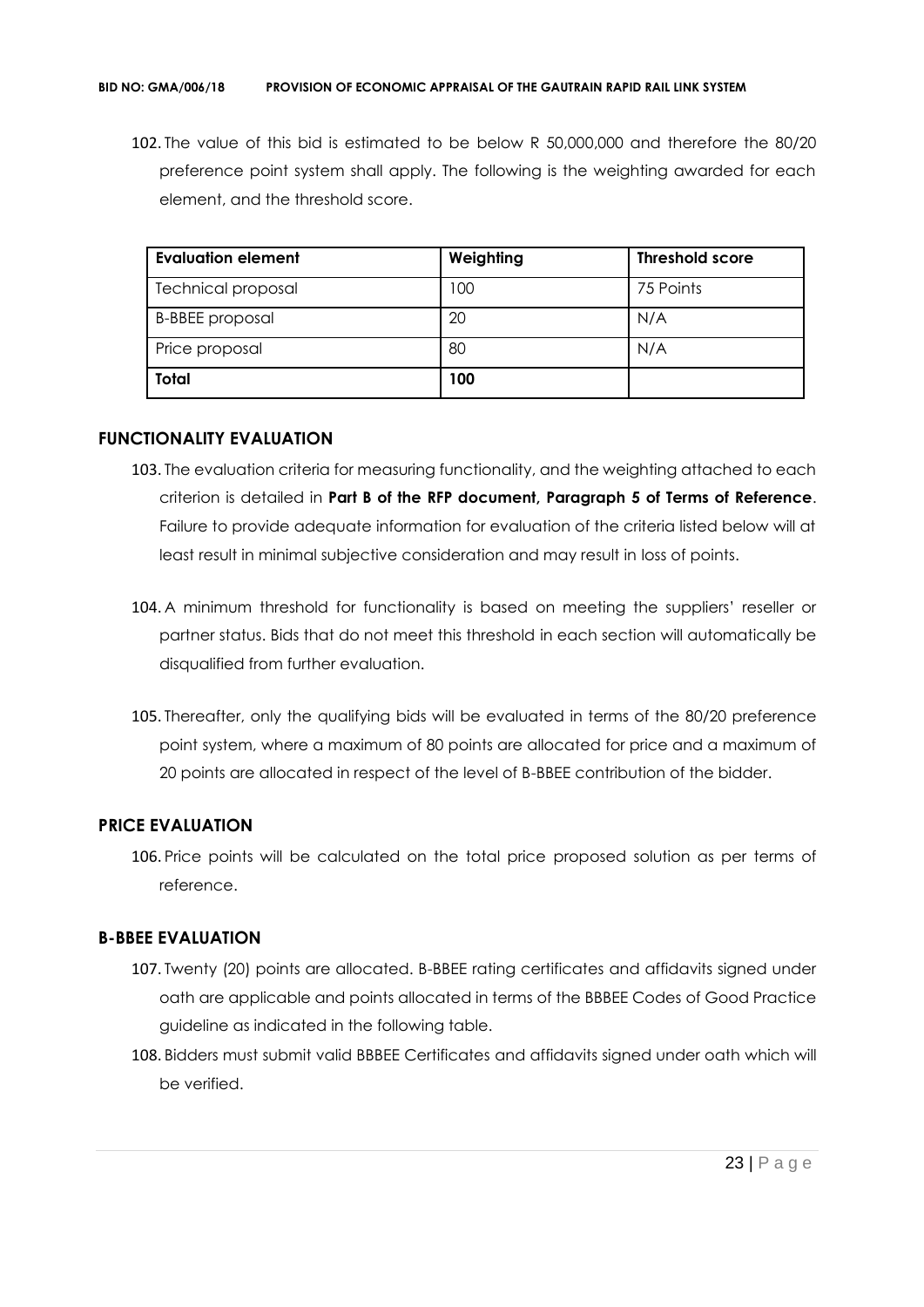102. The value of this bid is estimated to be below R 50,000,000 and therefore the 80/20 preference point system shall apply. The following is the weighting awarded for each element, and the threshold score.

| <b>Evaluation element</b> | Weighting | <b>Threshold score</b> |
|---------------------------|-----------|------------------------|
| <b>Technical proposal</b> | 00        | 75 Points              |
| <b>B-BBEE</b> proposal    | 20        | N/A                    |
| Price proposal            | 80        | N/A                    |
| <b>Total</b>              | 100       |                        |

# **FUNCTIONALITY EVALUATION**

- 103. The evaluation criteria for measuring functionality, and the weighting attached to each criterion is detailed in **Part B of the RFP document, Paragraph 5 of Terms of Reference**. Failure to provide adequate information for evaluation of the criteria listed below will at least result in minimal subjective consideration and may result in loss of points.
- 104. A minimum threshold for functionality is based on meeting the suppliers' reseller or partner status. Bids that do not meet this threshold in each section will automatically be disqualified from further evaluation.
- 105. Thereafter, only the qualifying bids will be evaluated in terms of the 80/20 preference point system, where a maximum of 80 points are allocated for price and a maximum of 20 points are allocated in respect of the level of B-BBEE contribution of the bidder.

# **PRICE EVALUATION**

106. Price points will be calculated on the total price proposed solution as per terms of reference.

# **B-BBEE EVALUATION**

- 107. Twenty (20) points are allocated. B-BBEE rating certificates and affidavits signed under oath are applicable and points allocated in terms of the BBBEE Codes of Good Practice guideline as indicated in the following table.
- 108. Bidders must submit valid BBBEE Certificates and affidavits signed under oath which will be verified.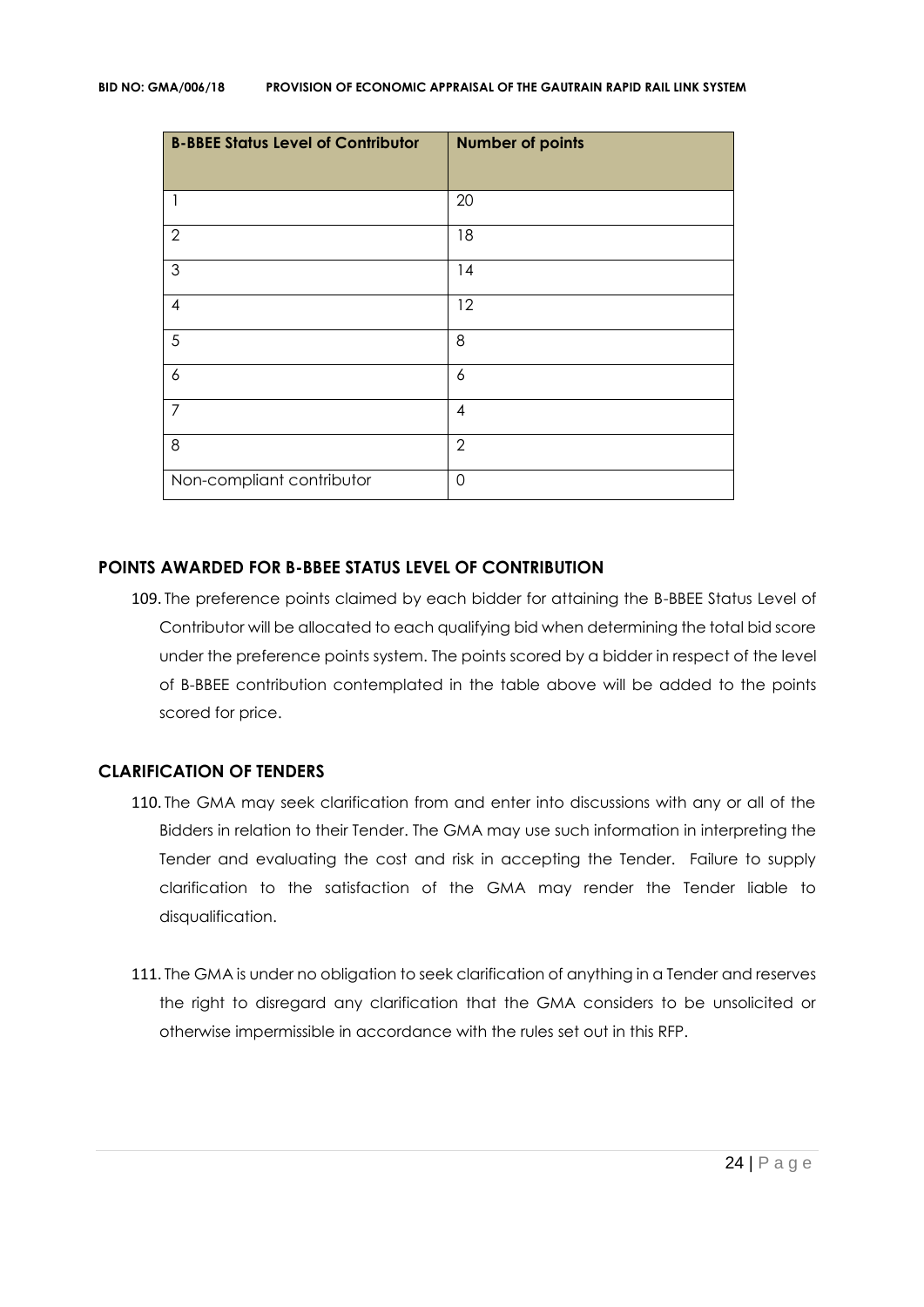| <b>B-BBEE Status Level of Contributor</b> | <b>Number of points</b> |
|-------------------------------------------|-------------------------|
|                                           | 20                      |
| $\overline{2}$                            | 18                      |
| 3                                         | 14                      |
| $\overline{4}$                            | 12                      |
| 5                                         | 8                       |
| 6                                         | 6                       |
| $\overline{7}$                            | $\overline{4}$          |
| 8                                         | $\mathbf{2}$            |
| Non-compliant contributor                 | $\overline{0}$          |

## **POINTS AWARDED FOR B-BBEE STATUS LEVEL OF CONTRIBUTION**

109. The preference points claimed by each bidder for attaining the B-BBEE Status Level of Contributor will be allocated to each qualifying bid when determining the total bid score under the preference points system. The points scored by a bidder in respect of the level of B-BBEE contribution contemplated in the table above will be added to the points scored for price.

## **CLARIFICATION OF TENDERS**

- 110. The GMA may seek clarification from and enter into discussions with any or all of the Bidders in relation to their Tender. The GMA may use such information in interpreting the Tender and evaluating the cost and risk in accepting the Tender. Failure to supply clarification to the satisfaction of the GMA may render the Tender liable to disqualification.
- 111. The GMA is under no obligation to seek clarification of anything in a Tender and reserves the right to disregard any clarification that the GMA considers to be unsolicited or otherwise impermissible in accordance with the rules set out in this RFP.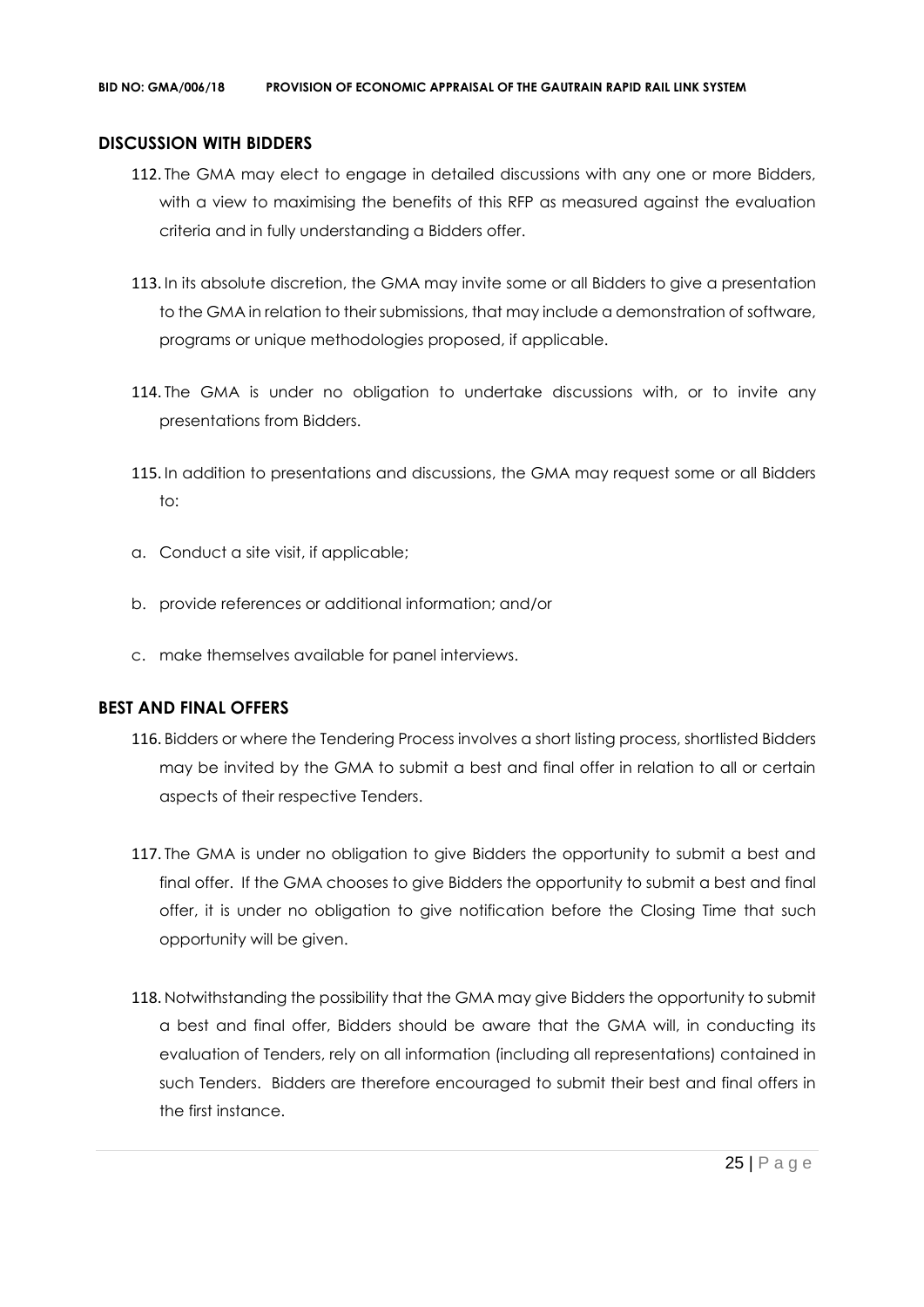## **DISCUSSION WITH BIDDERS**

- 112. The GMA may elect to engage in detailed discussions with any one or more Bidders, with a view to maximising the benefits of this RFP as measured against the evaluation criteria and in fully understanding a Bidders offer.
- 113. In its absolute discretion, the GMA may invite some or all Bidders to give a presentation to the GMA in relation to their submissions, that may include a demonstration of software, programs or unique methodologies proposed, if applicable.
- 114. The GMA is under no obligation to undertake discussions with, or to invite any presentations from Bidders.
- 115. In addition to presentations and discussions, the GMA may request some or all Bidders to:
- a. Conduct a site visit, if applicable;
- b. provide references or additional information; and/or
- c. make themselves available for panel interviews.

# **BEST AND FINAL OFFERS**

- 116. Bidders or where the Tendering Process involves a short listing process, shortlisted Bidders may be invited by the GMA to submit a best and final offer in relation to all or certain aspects of their respective Tenders.
- 117. The GMA is under no obligation to give Bidders the opportunity to submit a best and final offer. If the GMA chooses to give Bidders the opportunity to submit a best and final offer, it is under no obligation to give notification before the Closing Time that such opportunity will be given.
- 118. Notwithstanding the possibility that the GMA may give Bidders the opportunity to submit a best and final offer, Bidders should be aware that the GMA will, in conducting its evaluation of Tenders, rely on all information (including all representations) contained in such Tenders. Bidders are therefore encouraged to submit their best and final offers in the first instance.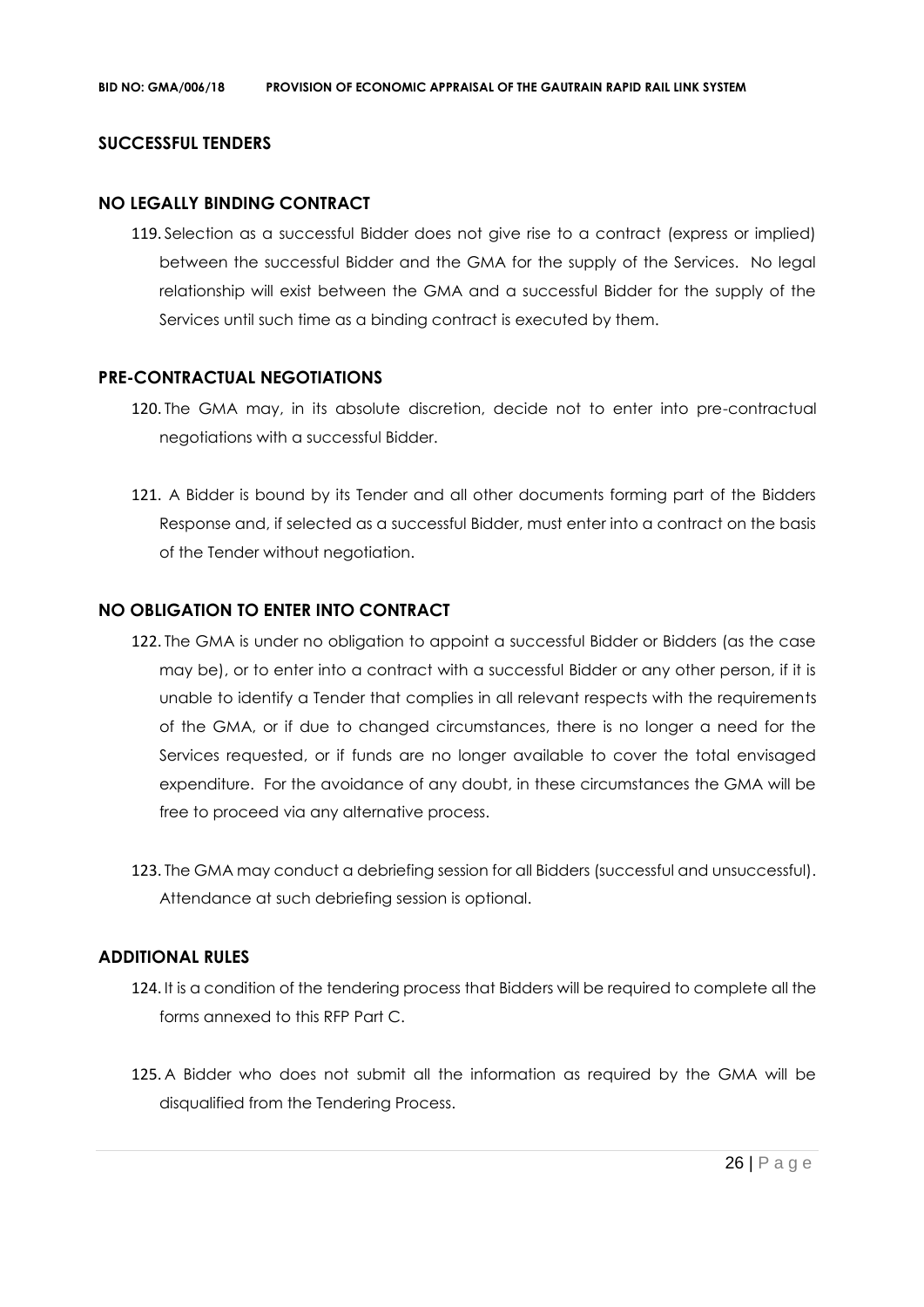## **SUCCESSFUL TENDERS**

## **NO LEGALLY BINDING CONTRACT**

119. Selection as a successful Bidder does not give rise to a contract (express or implied) between the successful Bidder and the GMA for the supply of the Services. No legal relationship will exist between the GMA and a successful Bidder for the supply of the Services until such time as a binding contract is executed by them.

## **PRE-CONTRACTUAL NEGOTIATIONS**

- 120. The GMA may, in its absolute discretion, decide not to enter into pre-contractual negotiations with a successful Bidder.
- 121. A Bidder is bound by its Tender and all other documents forming part of the Bidders Response and, if selected as a successful Bidder, must enter into a contract on the basis of the Tender without negotiation.

## **NO OBLIGATION TO ENTER INTO CONTRACT**

- 122. The GMA is under no obligation to appoint a successful Bidder or Bidders (as the case may be), or to enter into a contract with a successful Bidder or any other person, if it is unable to identify a Tender that complies in all relevant respects with the requirements of the GMA, or if due to changed circumstances, there is no longer a need for the Services requested, or if funds are no longer available to cover the total envisaged expenditure. For the avoidance of any doubt, in these circumstances the GMA will be free to proceed via any alternative process.
- 123. The GMA may conduct a debriefing session for all Bidders (successful and unsuccessful). Attendance at such debriefing session is optional.

## **ADDITIONAL RULES**

- 124. It is a condition of the tendering process that Bidders will be required to complete all the forms annexed to this RFP Part C.
- 125. A Bidder who does not submit all the information as required by the GMA will be disqualified from the Tendering Process.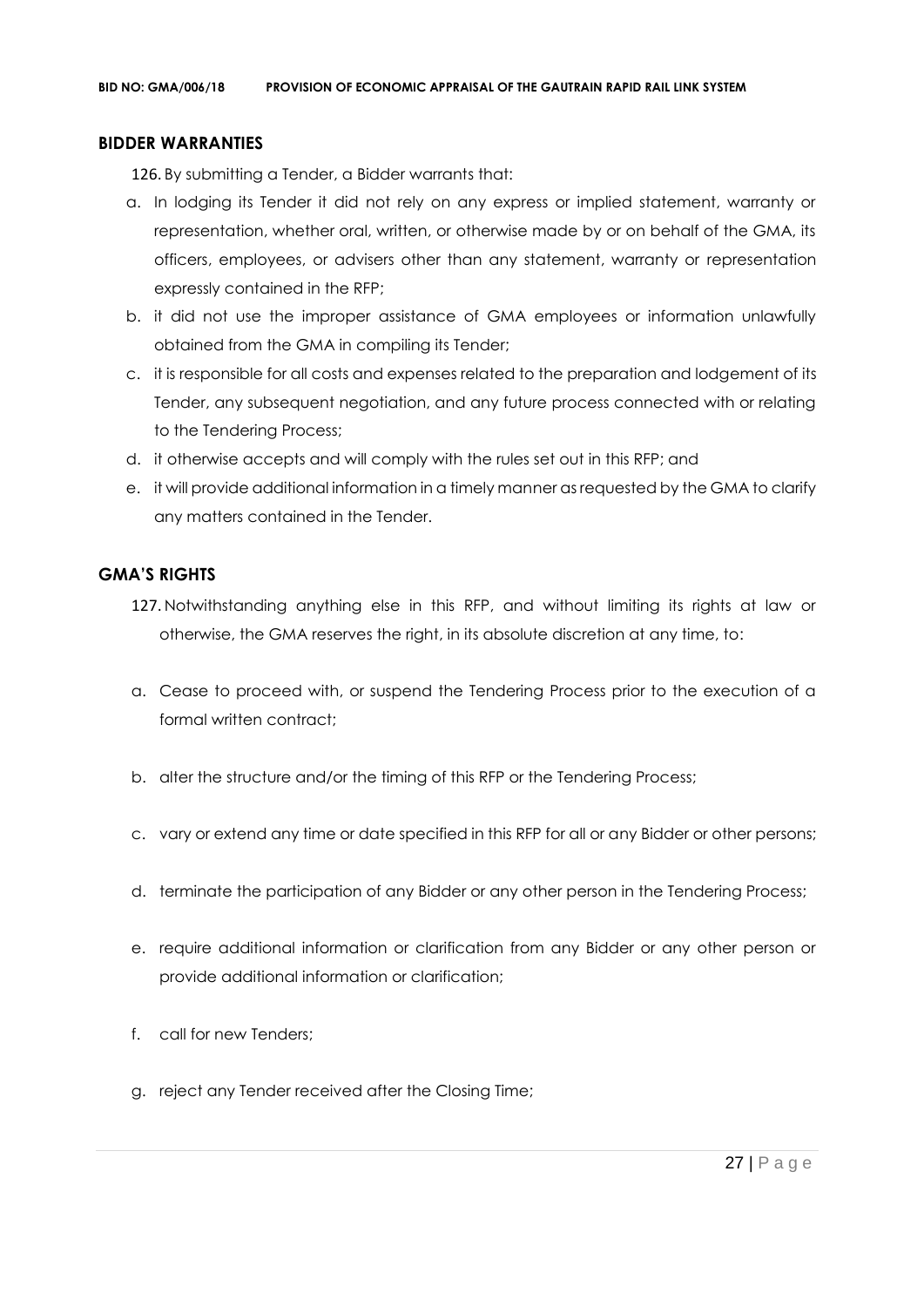## **BIDDER WARRANTIES**

126. By submitting a Tender, a Bidder warrants that:

- a. In lodging its Tender it did not rely on any express or implied statement, warranty or representation, whether oral, written, or otherwise made by or on behalf of the GMA, its officers, employees, or advisers other than any statement, warranty or representation expressly contained in the RFP;
- b. it did not use the improper assistance of GMA employees or information unlawfully obtained from the GMA in compiling its Tender;
- c. it is responsible for all costs and expenses related to the preparation and lodgement of its Tender, any subsequent negotiation, and any future process connected with or relating to the Tendering Process;
- d. it otherwise accepts and will comply with the rules set out in this RFP; and
- e. it will provide additional information in a timely manner as requested by the GMA to clarify any matters contained in the Tender.

# **GMA'S RIGHTS**

- 127. Notwithstanding anything else in this RFP, and without limiting its rights at law or otherwise, the GMA reserves the right, in its absolute discretion at any time, to:
- a. Cease to proceed with, or suspend the Tendering Process prior to the execution of a formal written contract:
- b. alter the structure and/or the timing of this RFP or the Tendering Process;
- c. vary or extend any time or date specified in this RFP for all or any Bidder or other persons;
- d. terminate the participation of any Bidder or any other person in the Tendering Process;
- e. require additional information or clarification from any Bidder or any other person or provide additional information or clarification;
- f. call for new Tenders;
- g. reject any Tender received after the Closing Time;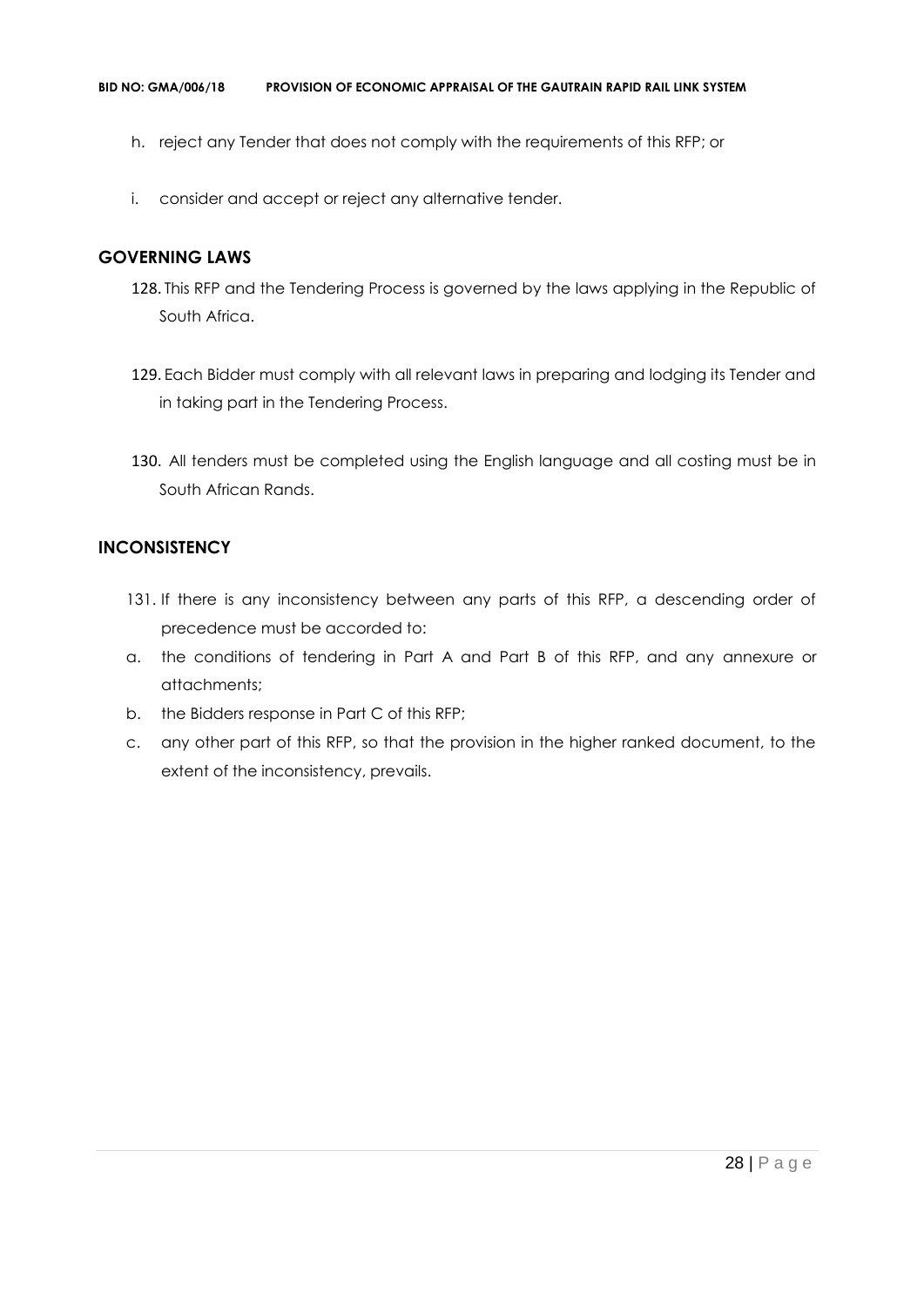- h. reject any Tender that does not comply with the requirements of this RFP; or
- i. consider and accept or reject any alternative tender.

# **GOVERNING LAWS**

- 128. This RFP and the Tendering Process is governed by the laws applying in the Republic of South Africa.
- 129. Each Bidder must comply with all relevant laws in preparing and lodging its Tender and in taking part in the Tendering Process.
- 130. All tenders must be completed using the English language and all costing must be in South African Rands.

# **INCONSISTENCY**

- 131. If there is any inconsistency between any parts of this RFP, a descending order of precedence must be accorded to:
- a. the conditions of tendering in Part A and Part B of this RFP, and any annexure or attachments;
- b. the Bidders response in Part C of this RFP;
- c. any other part of this RFP, so that the provision in the higher ranked document, to the extent of the inconsistency, prevails.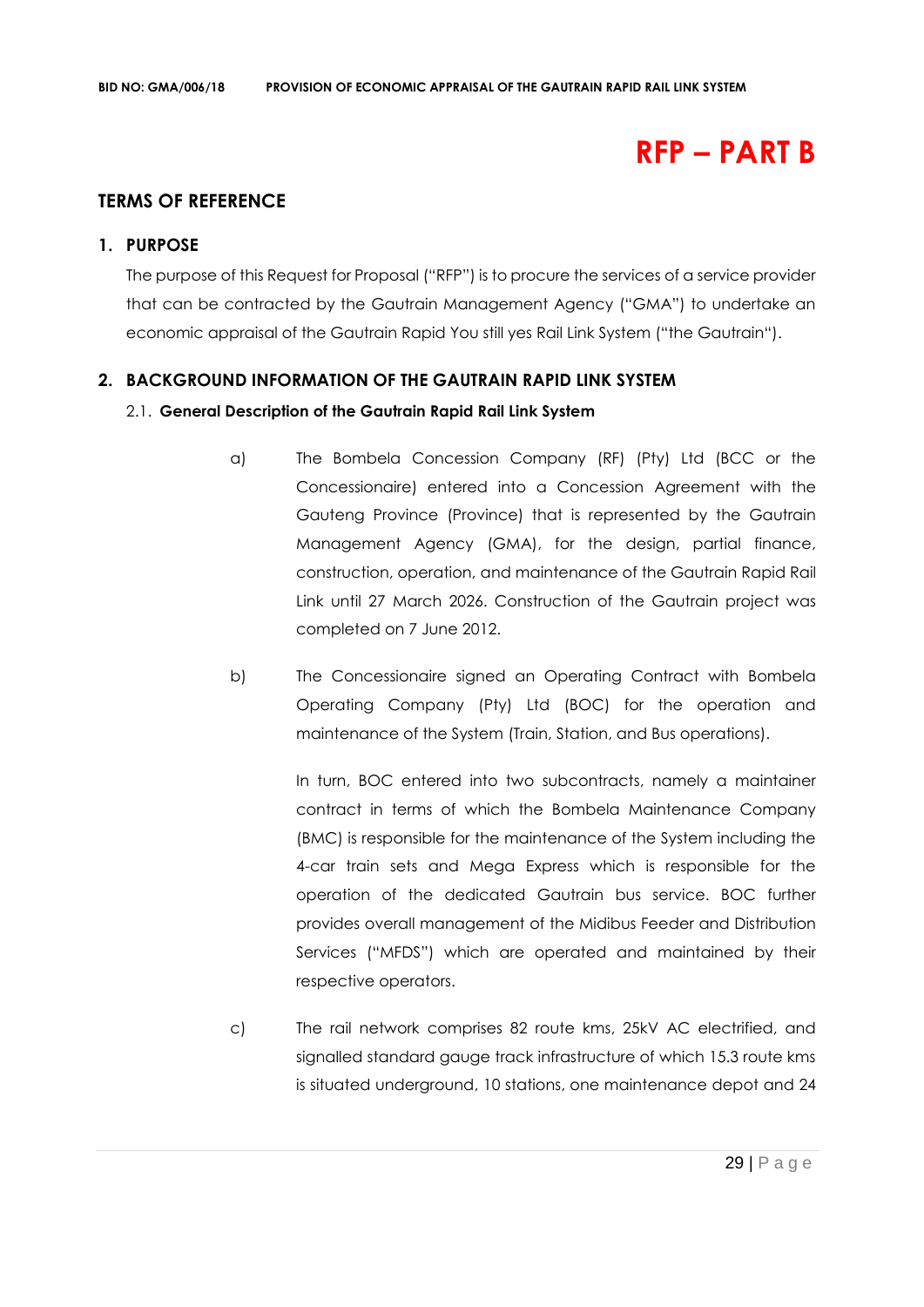# **RFP – PART B**

# **TERMS OF REFERENCE**

## **1. PURPOSE**

The purpose of this Request for Proposal ("RFP") is to procure the services of a service provider that can be contracted by the Gautrain Management Agency ("GMA") to undertake an economic appraisal of the Gautrain Rapid You still yes Rail Link System ("the Gautrain").

## **2. BACKGROUND INFORMATION OF THE GAUTRAIN RAPID LINK SYSTEM**

## 2.1. **General Description of the Gautrain Rapid Rail Link System**

- a) The Bombela Concession Company (RF) (Pty) Ltd (BCC or the Concessionaire) entered into a Concession Agreement with the Gauteng Province (Province) that is represented by the Gautrain Management Agency (GMA), for the design, partial finance, construction, operation, and maintenance of the Gautrain Rapid Rail Link until 27 March 2026. Construction of the Gautrain project was completed on 7 June 2012.
- b) The Concessionaire signed an Operating Contract with Bombela Operating Company (Pty) Ltd (BOC) for the operation and maintenance of the System (Train, Station, and Bus operations).

In turn, BOC entered into two subcontracts, namely a maintainer contract in terms of which the Bombela Maintenance Company (BMC) is responsible for the maintenance of the System including the 4-car train sets and Mega Express which is responsible for the operation of the dedicated Gautrain bus service. BOC further provides overall management of the Midibus Feeder and Distribution Services ("MFDS") which are operated and maintained by their respective operators.

c) The rail network comprises 82 route kms, 25kV AC electrified, and signalled standard gauge track infrastructure of which 15.3 route kms is situated underground, 10 stations, one maintenance depot and 24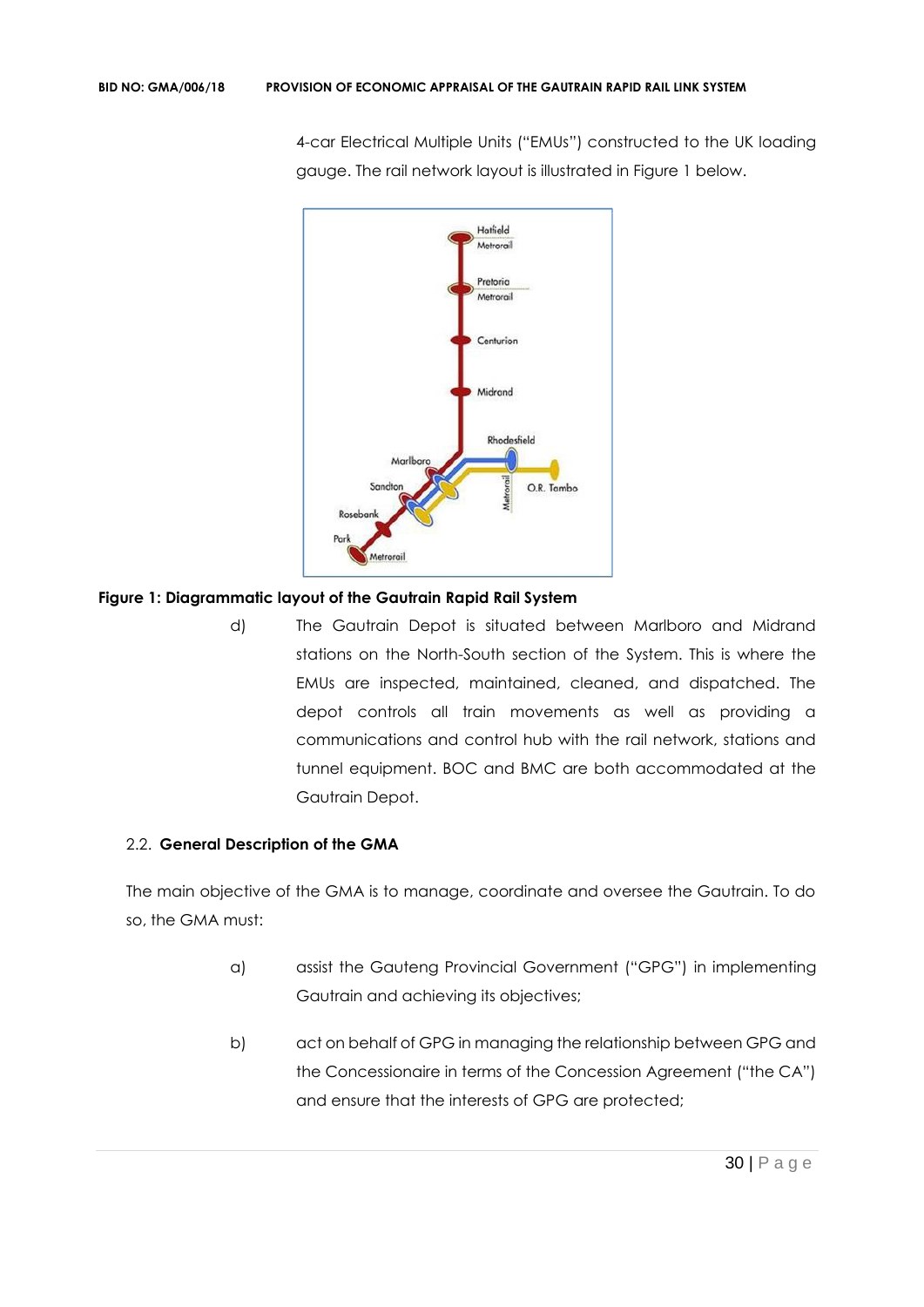4-car Electrical Multiple Units ("EMUs") constructed to the UK loading gauge. The rail network layout is illustrated in Figure 1 below.



## **Figure 1: Diagrammatic layout of the Gautrain Rapid Rail System**

d) The Gautrain Depot is situated between Marlboro and Midrand stations on the North-South section of the System. This is where the EMUs are inspected, maintained, cleaned, and dispatched. The depot controls all train movements as well as providing a communications and control hub with the rail network, stations and tunnel equipment. BOC and BMC are both accommodated at the Gautrain Depot.

# 2.2. **General Description of the GMA**

The main objective of the GMA is to manage, coordinate and oversee the Gautrain. To do so, the GMA must:

- a) assist the Gauteng Provincial Government ("GPG") in implementing Gautrain and achieving its objectives;
- b) act on behalf of GPG in managing the relationship between GPG and the Concessionaire in terms of the Concession Agreement ("the CA") and ensure that the interests of GPG are protected;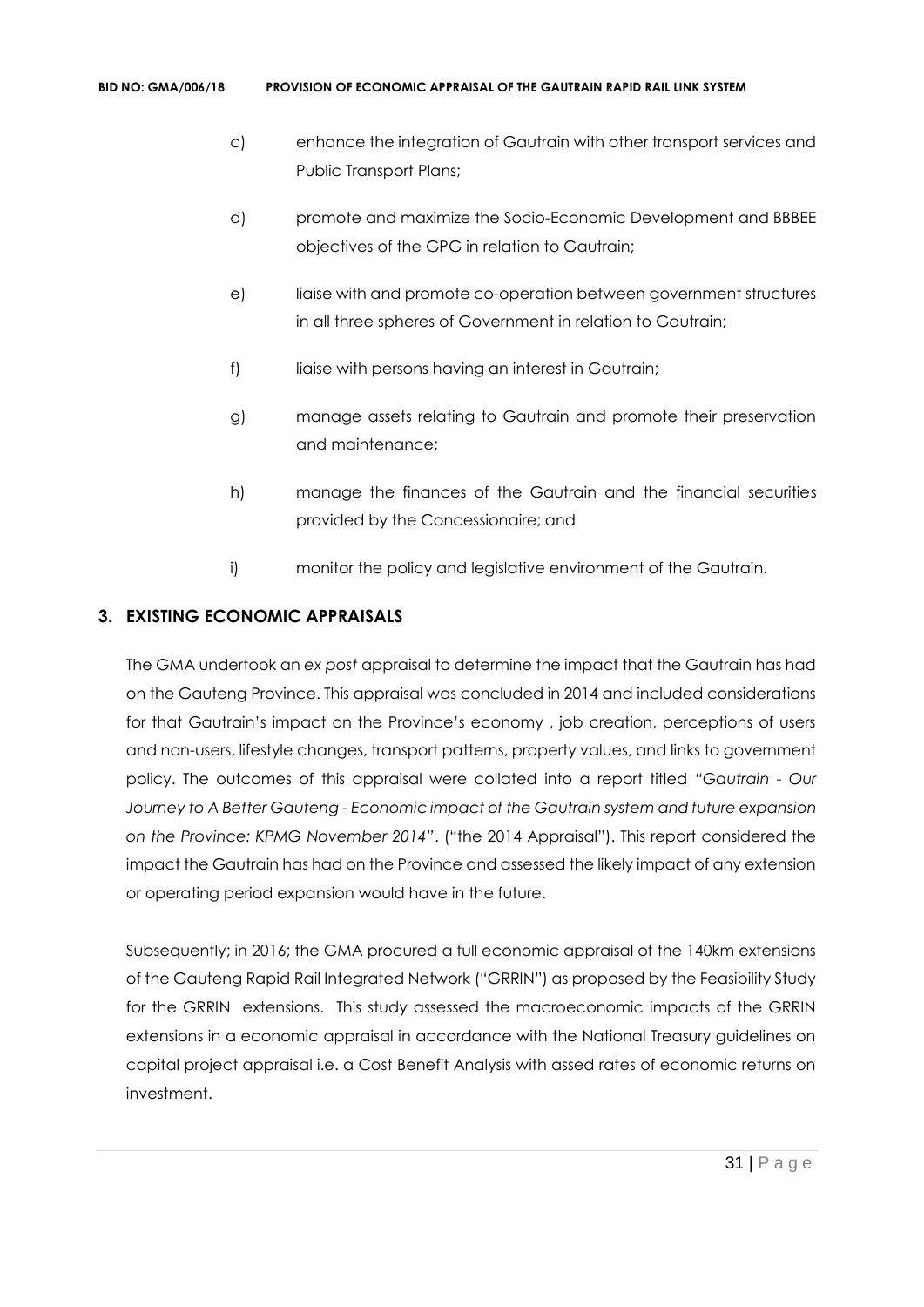- c) enhance the integration of Gautrain with other transport services and Public Transport Plans;
- d) promote and maximize the Socio-Economic Development and BBBEE objectives of the GPG in relation to Gautrain;
- e) liaise with and promote co-operation between government structures in all three spheres of Government in relation to Gautrain;
- f) liaise with persons having an interest in Gautrain;
- g) manage assets relating to Gautrain and promote their preservation and maintenance;
- h) manage the finances of the Gautrain and the financial securities provided by the Concessionaire; and
- i) monitor the policy and legislative environment of the Gautrain.

# **3. EXISTING ECONOMIC APPRAISALS**

The GMA undertook an *ex post* appraisal to determine the impact that the Gautrain has had on the Gauteng Province. This appraisal was concluded in 2014 and included considerations for that Gautrain's impact on the Province's economy , job creation, perceptions of users and non-users, lifestyle changes, transport patterns, property values, and links to government policy. The outcomes of this appraisal were collated into a report titled *"Gautrain - Our Journey to A Better Gauteng - Economic impact of the Gautrain system and future expansion on the Province: KPMG November 2014"*. ("the 2014 Appraisal"). This report considered the impact the Gautrain has had on the Province and assessed the likely impact of any extension or operating period expansion would have in the future.

Subsequently; in 2016; the GMA procured a full economic appraisal of the 140km extensions of the Gauteng Rapid Rail Integrated Network ("GRRIN") as proposed by the Feasibility Study for the GRRIN extensions. This study assessed the macroeconomic impacts of the GRRIN extensions in a economic appraisal in accordance with the National Treasury guidelines on capital project appraisal i.e. a Cost Benefit Analysis with assed rates of economic returns on investment.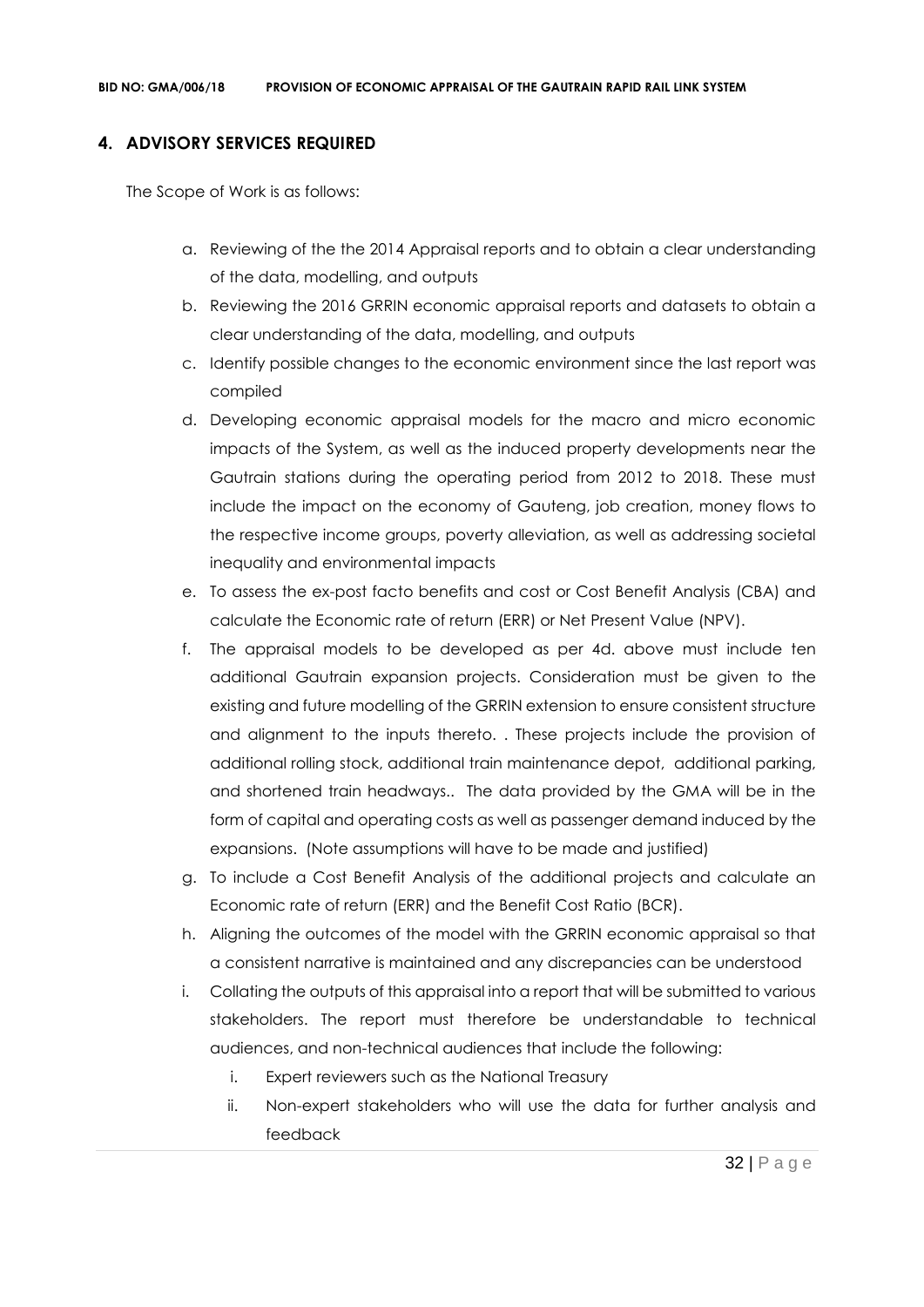# **4. ADVISORY SERVICES REQUIRED**

The Scope of Work is as follows:

- a. Reviewing of the the 2014 Appraisal reports and to obtain a clear understanding of the data, modelling, and outputs
- b. Reviewing the 2016 GRRIN economic appraisal reports and datasets to obtain a clear understanding of the data, modelling, and outputs
- c. Identify possible changes to the economic environment since the last report was compiled
- d. Developing economic appraisal models for the macro and micro economic impacts of the System, as well as the induced property developments near the Gautrain stations during the operating period from 2012 to 2018. These must include the impact on the economy of Gauteng, job creation, money flows to the respective income groups, poverty alleviation, as well as addressing societal inequality and environmental impacts
- e. To assess the ex-post facto benefits and cost or Cost Benefit Analysis (CBA) and calculate the Economic rate of return (ERR) or Net Present Value (NPV).
- f. The appraisal models to be developed as per 4d. above must include ten additional Gautrain expansion projects. Consideration must be given to the existing and future modelling of the GRRIN extension to ensure consistent structure and alignment to the inputs thereto. . These projects include the provision of additional rolling stock, additional train maintenance depot, additional parking, and shortened train headways.. The data provided by the GMA will be in the form of capital and operating costs as well as passenger demand induced by the expansions. (Note assumptions will have to be made and justified)
- g. To include a Cost Benefit Analysis of the additional projects and calculate an Economic rate of return (ERR) and the Benefit Cost Ratio (BCR).
- h. Aligning the outcomes of the model with the GRRIN economic appraisal so that a consistent narrative is maintained and any discrepancies can be understood
- i. Collating the outputs of this appraisal into a report that will be submitted to various stakeholders. The report must therefore be understandable to technical audiences, and non-technical audiences that include the following:
	- i. Expert reviewers such as the National Treasury
	- ii. Non-expert stakeholders who will use the data for further analysis and feedback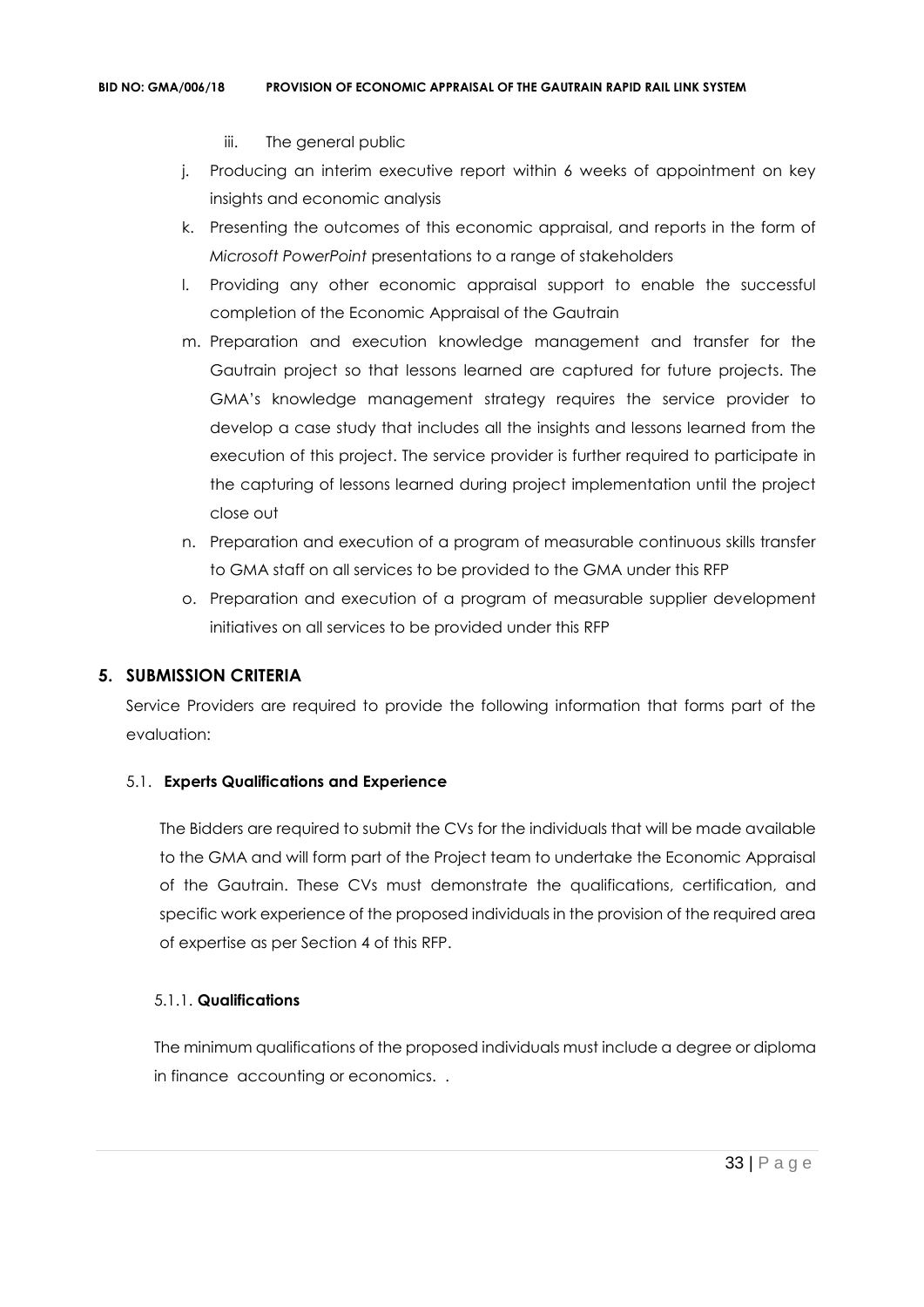- iii. The general public
- j. Producing an interim executive report within 6 weeks of appointment on key insights and economic analysis
- k. Presenting the outcomes of this economic appraisal, and reports in the form of *Microsoft PowerPoint* presentations to a range of stakeholders
- l. Providing any other economic appraisal support to enable the successful completion of the Economic Appraisal of the Gautrain
- m. Preparation and execution knowledge management and transfer for the Gautrain project so that lessons learned are captured for future projects. The GMA's knowledge management strategy requires the service provider to develop a case study that includes all the insights and lessons learned from the execution of this project. The service provider is further required to participate in the capturing of lessons learned during project implementation until the project close out
- n. Preparation and execution of a program of measurable continuous skills transfer to GMA staff on all services to be provided to the GMA under this RFP
- o. Preparation and execution of a program of measurable supplier development initiatives on all services to be provided under this RFP

# **5. SUBMISSION CRITERIA**

Service Providers are required to provide the following information that forms part of the evaluation:

## 5.1. **Experts Qualifications and Experience**

The Bidders are required to submit the CVs for the individuals that will be made available to the GMA and will form part of the Project team to undertake the Economic Appraisal of the Gautrain. These CVs must demonstrate the qualifications, certification, and specific work experience of the proposed individuals in the provision of the required area of expertise as per Section 4 of this RFP.

## 5.1.1. **Qualifications**

The minimum qualifications of the proposed individuals must include a degree or diploma in finance accounting or economics. .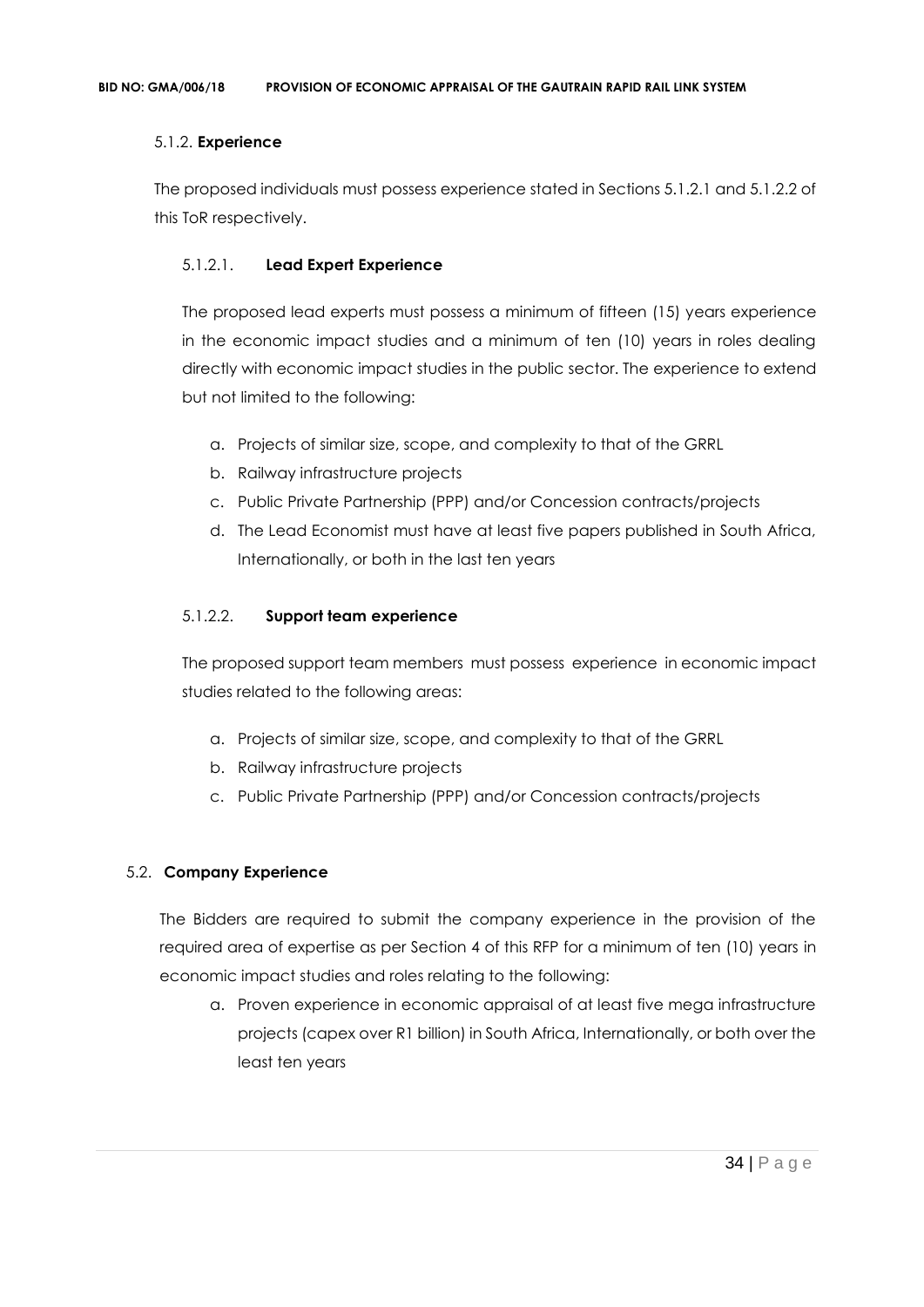## 5.1.2. **Experience**

The proposed individuals must possess experience stated in Sections 5.1.2.1 and 5.1.2.2 of this ToR respectively.

# 5.1.2.1. **Lead Expert Experience**

The proposed lead experts must possess a minimum of fifteen (15) years experience in the economic impact studies and a minimum of ten (10) years in roles dealing directly with economic impact studies in the public sector. The experience to extend but not limited to the following:

- a. Projects of similar size, scope, and complexity to that of the GRRL
- b. Railway infrastructure projects
- c. Public Private Partnership (PPP) and/or Concession contracts/projects
- d. The Lead Economist must have at least five papers published in South Africa, Internationally, or both in the last ten years

## 5.1.2.2. **Support team experience**

The proposed support team members must possess experience in economic impact studies related to the following areas:

- a. Projects of similar size, scope, and complexity to that of the GRRL
- b. Railway infrastructure projects
- c. Public Private Partnership (PPP) and/or Concession contracts/projects

# 5.2. **Company Experience**

The Bidders are required to submit the company experience in the provision of the required area of expertise as per Section 4 of this RFP for a minimum of ten (10) years in economic impact studies and roles relating to the following:

a. Proven experience in economic appraisal of at least five mega infrastructure projects (capex over R1 billion) in South Africa, Internationally, or both over the least ten years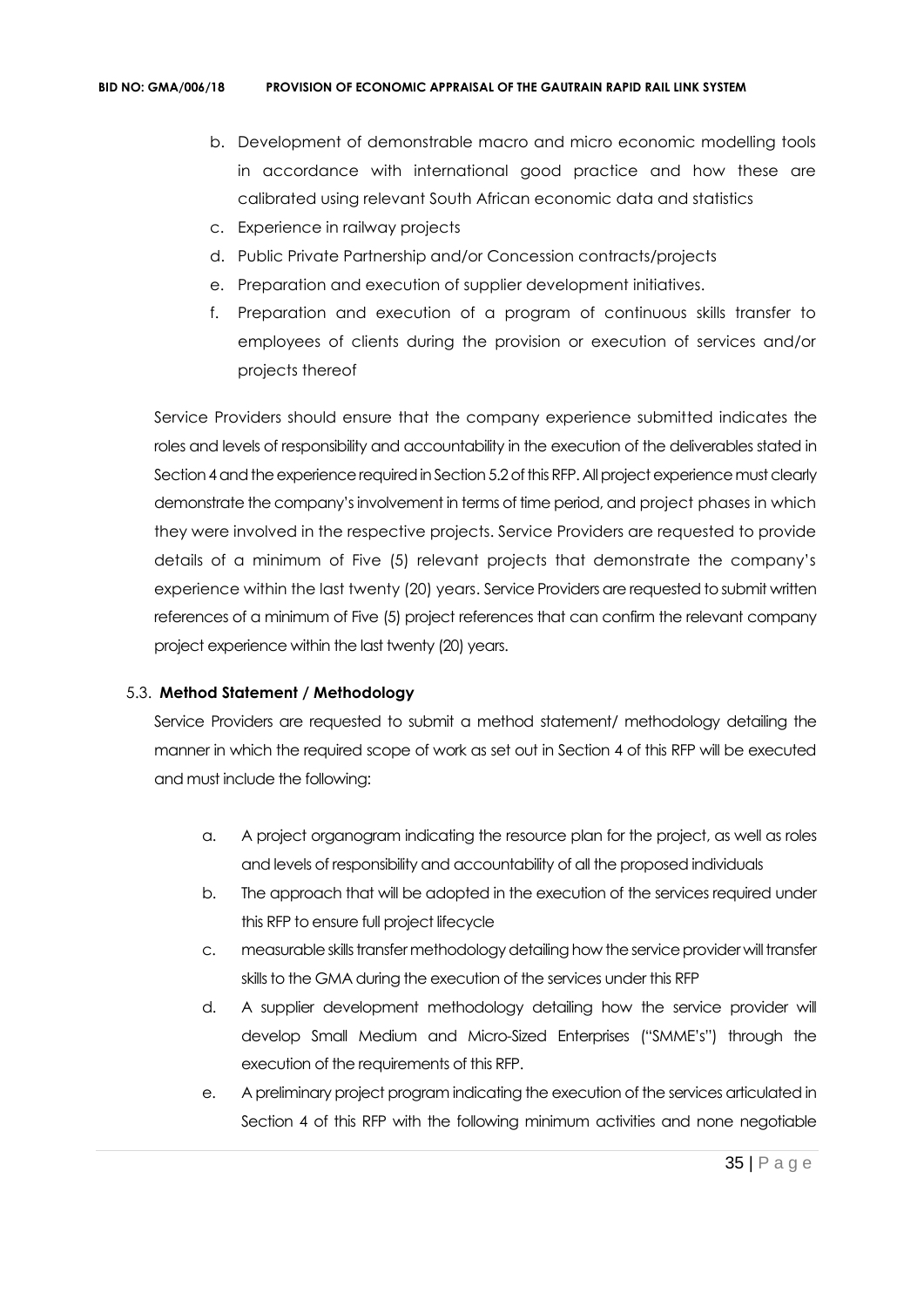- b. Development of demonstrable macro and micro economic modelling tools in accordance with international good practice and how these are calibrated using relevant South African economic data and statistics
- c. Experience in railway projects
- d. Public Private Partnership and/or Concession contracts/projects
- e. Preparation and execution of supplier development initiatives.
- f. Preparation and execution of a program of continuous skills transfer to employees of clients during the provision or execution of services and/or projects thereof

Service Providers should ensure that the company experience submitted indicates the roles and levels of responsibility and accountability in the execution of the deliverables stated in Section 4 and the experience required in Section 5.2 of this RFP. All project experience must clearly demonstrate the company's involvement in terms of time period, and project phases in which they were involved in the respective projects. Service Providers are requested to provide details of a minimum of Five (5) relevant projects that demonstrate the company's experience within the last twenty (20) years. Service Providers are requested to submit written references of a minimum of Five (5) project references that can confirm the relevant company project experience within the last twenty (20) years.

## 5.3. **Method Statement / Methodology**

Service Providers are requested to submit a method statement/ methodology detailing the manner in which the required scope of work as set out in Section 4 of this RFP will be executed and must include the following:

- a. A project organogram indicating the resource plan for the project, as well as roles and levels of responsibility and accountability of all the proposed individuals
- b. The approach that will be adopted in the execution of the services required under this RFP to ensure full project lifecycle
- c. measurable skills transfer methodology detailing how the service provider will transfer skills to the GMA during the execution of the services under this RFP
- d. A supplier development methodology detailing how the service provider will develop Small Medium and Micro-Sized Enterprises ("SMME's") through the execution of the requirements of this RFP.
- e. A preliminary project program indicating the execution of the services articulated in Section 4 of this RFP with the following minimum activities and none negotiable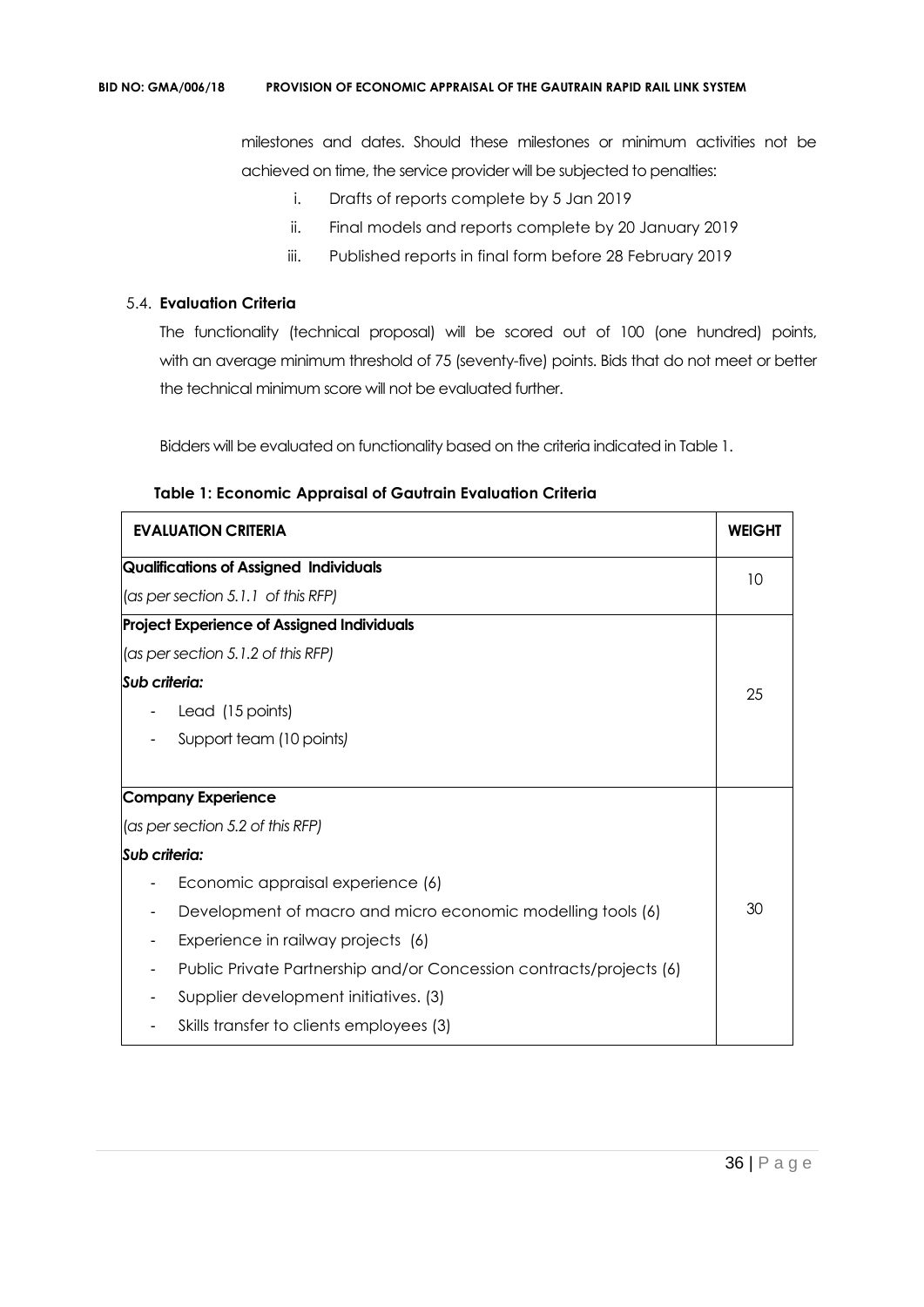milestones and dates. Should these milestones or minimum activities not be achieved on time, the service provider will be subjected to penalties:

- i. Drafts of reports complete by 5 Jan 2019
- ii. Final models and reports complete by 20 January 2019
- iii. Published reports in final form before 28 February 2019

## 5.4. **Evaluation Criteria**

The functionality (technical proposal) will be scored out of 100 (one hundred) points, with an average minimum threshold of 75 (seventy-five) points. Bids that do not meet or better the technical minimum score will not be evaluated further.

Bidders will be evaluated on functionality based on the criteria indicated in Table 1.

| <b>EVALUATION CRITERIA</b>                                          | <b>WEIGHT</b> |
|---------------------------------------------------------------------|---------------|
| <b>Qualifications of Assigned Individuals</b>                       | 10            |
| $\cos p$ per section 5.1.1 of this RFP)                             |               |
| <b>Project Experience of Assigned Individuals</b>                   |               |
| $\vert$ (as per section 5.1.2 of this RFP)                          |               |
| Sub criteria:                                                       | 25            |
| Lead (15 points)                                                    |               |
| Support team (10 points)                                            |               |
| Company Experience                                                  |               |
| (as per section 5.2 of this RFP)                                    |               |
| Sub criteria:                                                       |               |
| Economic appraisal experience (6)                                   |               |
| Development of macro and micro economic modelling tools (6)         | 30            |
| Experience in railway projects (6)                                  |               |
| Public Private Partnership and/or Concession contracts/projects (6) |               |
| Supplier development initiatives. (3)                               |               |
| Skills transfer to clients employees (3)                            |               |

#### **Table 1: Economic Appraisal of Gautrain Evaluation Criteria**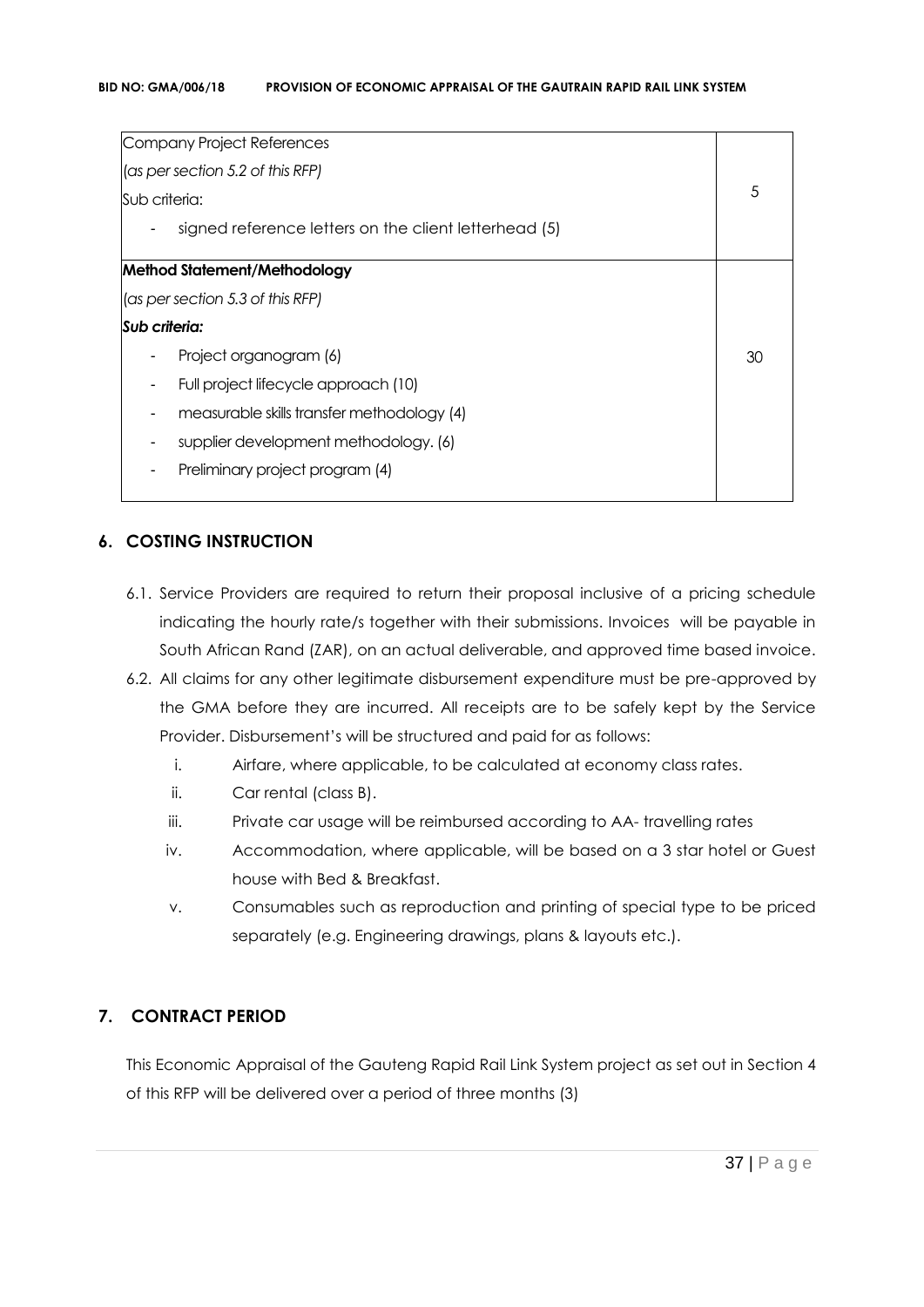| Company Project References                            |    |
|-------------------------------------------------------|----|
| (as per section 5.2 of this RFP)                      |    |
| Sub criteria:                                         | 5  |
| signed reference letters on the client letterhead (5) |    |
| Method Statement/Methodology                          |    |
| (as per section 5.3 of this RFP)                      |    |
| Sub criteria:                                         |    |
| Project organogram (6)                                | 30 |
| Full project lifecycle approach (10)                  |    |
| measurable skills transfer methodology (4)            |    |
| supplier development methodology. (6)                 |    |
| Preliminary project program (4)                       |    |
|                                                       |    |

### **6. COSTING INSTRUCTION**

- 6.1. Service Providers are required to return their proposal inclusive of a pricing schedule indicating the hourly rate/s together with their submissions. Invoices will be payable in South African Rand (ZAR), on an actual deliverable, and approved time based invoice.
- 6.2. All claims for any other legitimate disbursement expenditure must be pre-approved by the GMA before they are incurred. All receipts are to be safely kept by the Service Provider. Disbursement's will be structured and paid for as follows:
	- i. Airfare, where applicable, to be calculated at economy class rates.
	- ii. Car rental (class B).
	- iii. Private car usage will be reimbursed according to AA- travelling rates
	- iv. Accommodation, where applicable, will be based on a 3 star hotel or Guest house with Bed & Breakfast.
	- v. Consumables such as reproduction and printing of special type to be priced separately (e.g. Engineering drawings, plans & layouts etc.).

### **7. CONTRACT PERIOD**

This Economic Appraisal of the Gauteng Rapid Rail Link System project as set out in Section 4 of this RFP will be delivered over a period of three months (3)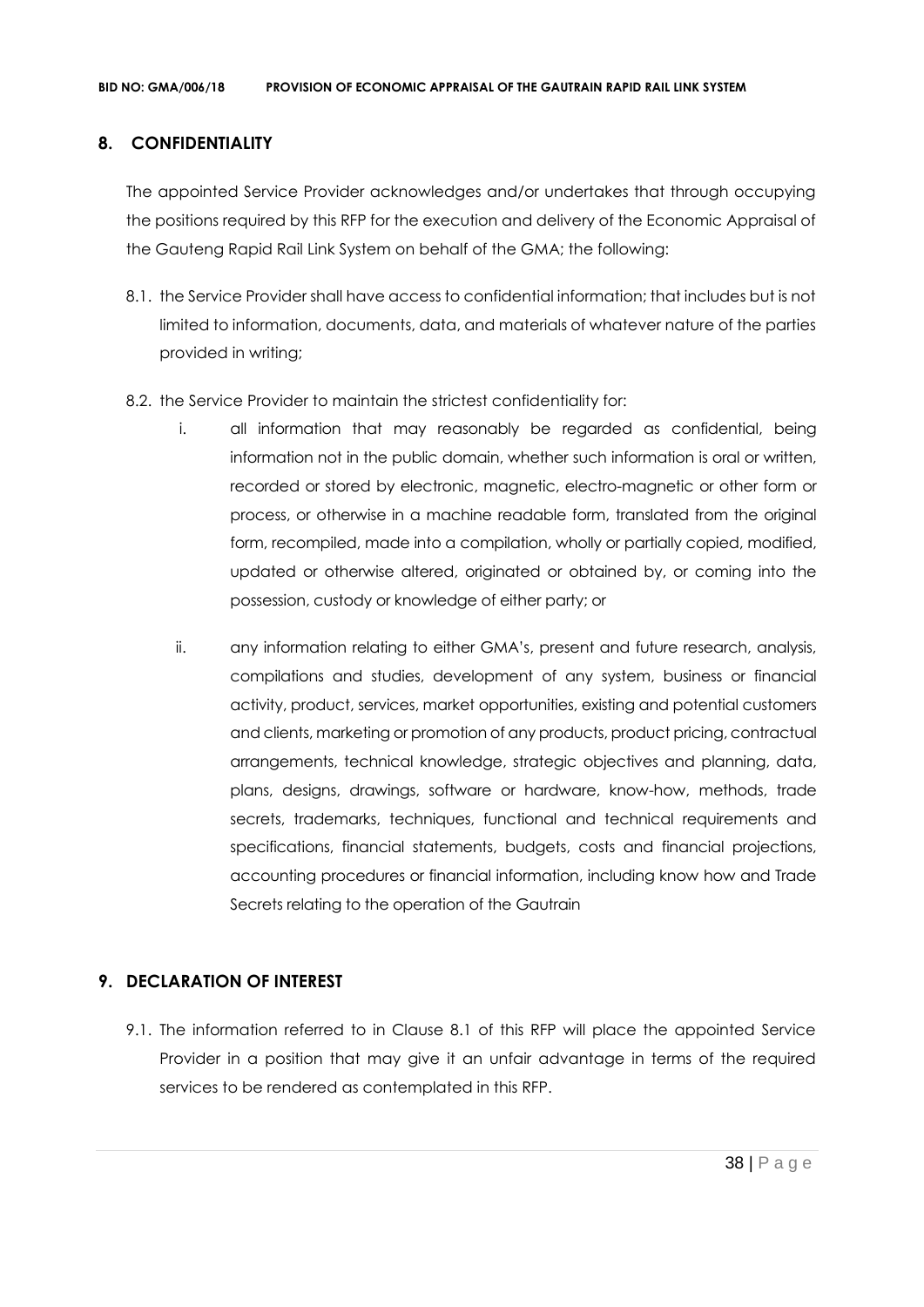### **8. CONFIDENTIALITY**

The appointed Service Provider acknowledges and/or undertakes that through occupying the positions required by this RFP for the execution and delivery of the Economic Appraisal of the Gauteng Rapid Rail Link System on behalf of the GMA; the following:

- 8.1. the Service Provider shall have access to confidential information; that includes but is not limited to information, documents, data, and materials of whatever nature of the parties provided in writing;
- 8.2. the Service Provider to maintain the strictest confidentiality for:
	- i. all information that may reasonably be regarded as confidential, being information not in the public domain, whether such information is oral or written, recorded or stored by electronic, magnetic, electro-magnetic or other form or process, or otherwise in a machine readable form, translated from the original form, recompiled, made into a compilation, wholly or partially copied, modified, updated or otherwise altered, originated or obtained by, or coming into the possession, custody or knowledge of either party; or
	- ii. any information relating to either GMA's, present and future research, analysis, compilations and studies, development of any system, business or financial activity, product, services, market opportunities, existing and potential customers and clients, marketing or promotion of any products, product pricing, contractual arrangements, technical knowledge, strategic objectives and planning, data, plans, designs, drawings, software or hardware, know-how, methods, trade secrets, trademarks, techniques, functional and technical requirements and specifications, financial statements, budgets, costs and financial projections, accounting procedures or financial information, including know how and Trade Secrets relating to the operation of the Gautrain

### **9. DECLARATION OF INTEREST**

9.1. The information referred to in Clause 8.1 of this RFP will place the appointed Service Provider in a position that may give it an unfair advantage in terms of the required services to be rendered as contemplated in this RFP.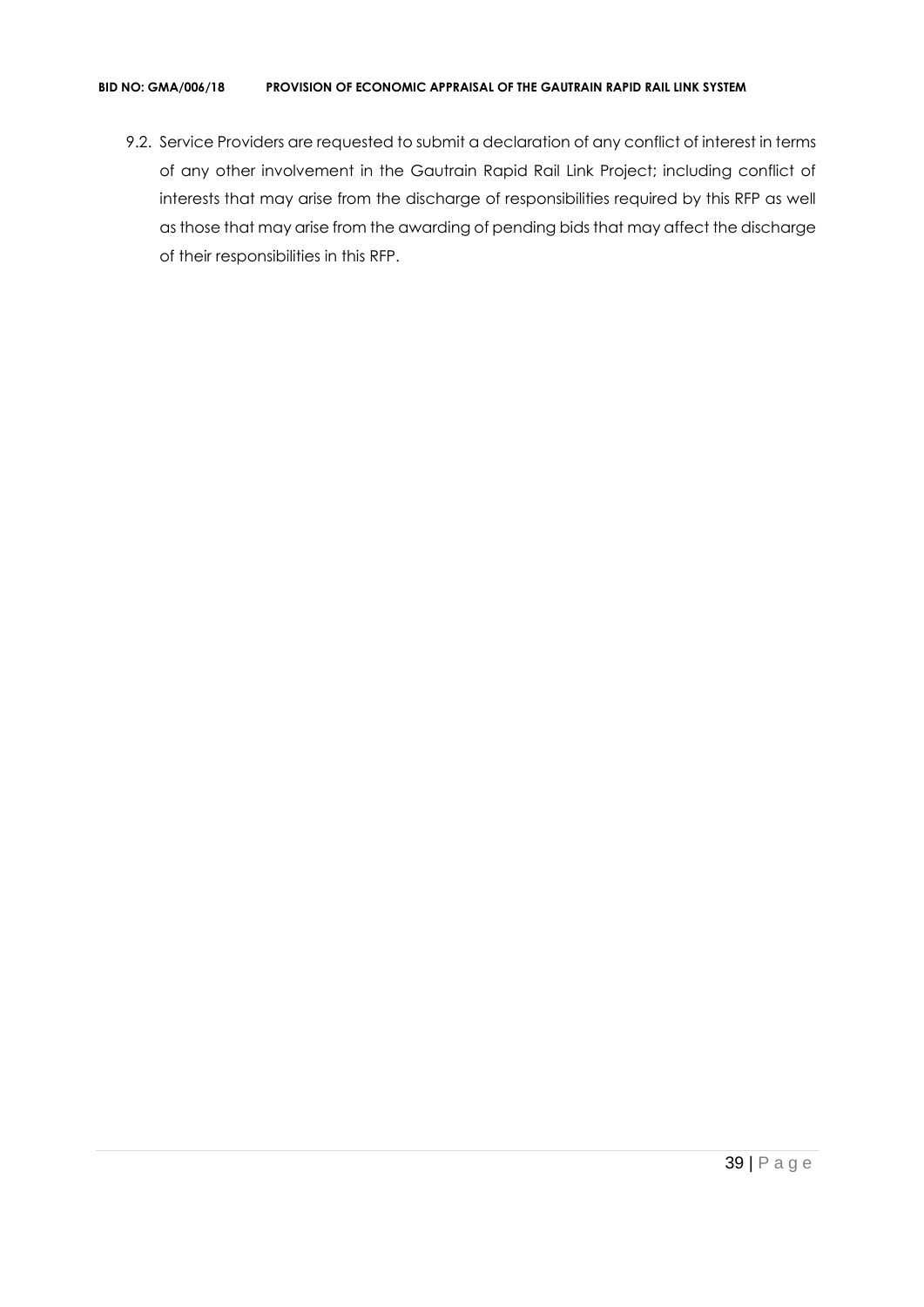#### **BID NO: GMA/006/18 PROVISION OF ECONOMIC APPRAISAL OF THE GAUTRAIN RAPID RAIL LINK SYSTEM**

9.2. Service Providers are requested to submit a declaration of any conflict of interest in terms of any other involvement in the Gautrain Rapid Rail Link Project; including conflict of interests that may arise from the discharge of responsibilities required by this RFP as well as those that may arise from the awarding of pending bids that may affect the discharge of their responsibilities in this RFP.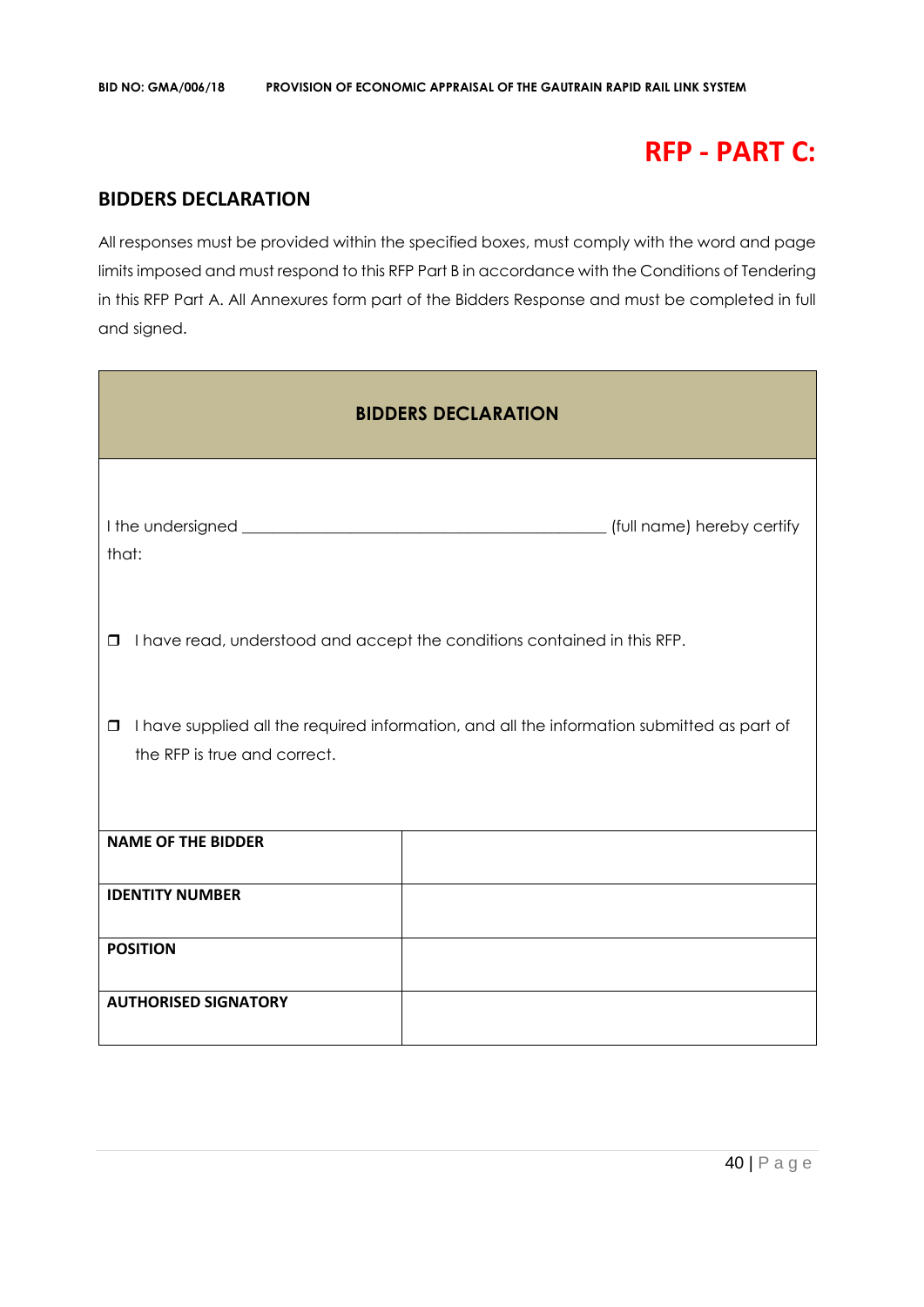# **RFP - PART C:**

### **BIDDERS DECLARATION**

All responses must be provided within the specified boxes, must comply with the word and page limits imposed and must respond to this RFP Part B in accordance with the Conditions of Tendering in this RFP Part A. All Annexures form part of the Bidders Response and must be completed in full and signed.

| <b>BIDDERS DECLARATION</b>                                                                                                           |                                                                          |  |  |  |
|--------------------------------------------------------------------------------------------------------------------------------------|--------------------------------------------------------------------------|--|--|--|
| that:                                                                                                                                |                                                                          |  |  |  |
| $\Box$                                                                                                                               | I have read, understood and accept the conditions contained in this RFP. |  |  |  |
| I have supplied all the required information, and all the information submitted as part of<br>$\Box$<br>the RFP is true and correct. |                                                                          |  |  |  |
| <b>NAME OF THE BIDDER</b>                                                                                                            |                                                                          |  |  |  |
| <b>IDENTITY NUMBER</b>                                                                                                               |                                                                          |  |  |  |
| <b>POSITION</b>                                                                                                                      |                                                                          |  |  |  |
| <b>AUTHORISED SIGNATORY</b>                                                                                                          |                                                                          |  |  |  |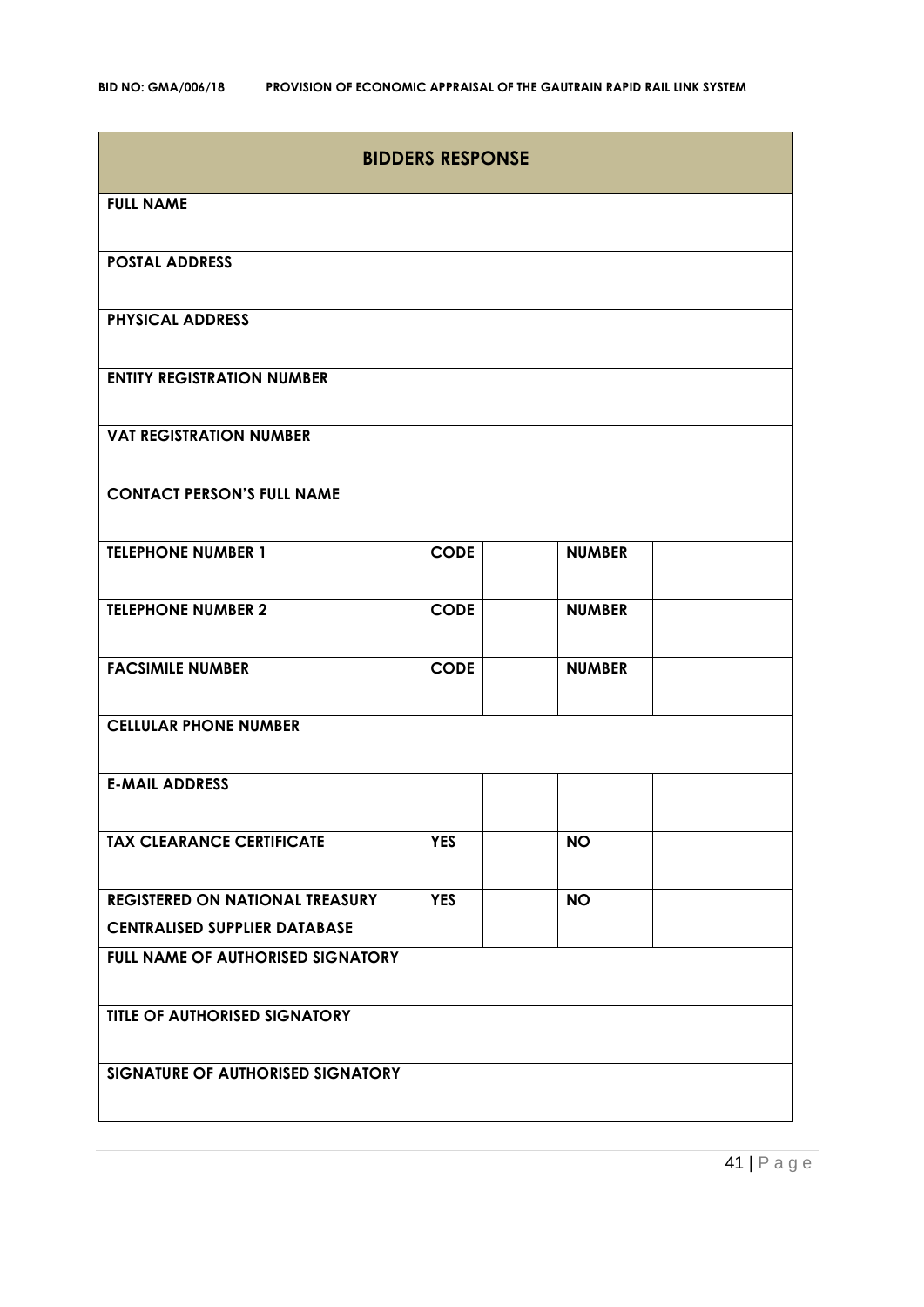| <b>BIDDERS RESPONSE</b>                |             |               |  |  |
|----------------------------------------|-------------|---------------|--|--|
| <b>FULL NAME</b>                       |             |               |  |  |
| <b>POSTAL ADDRESS</b>                  |             |               |  |  |
| <b>PHYSICAL ADDRESS</b>                |             |               |  |  |
| <b>ENTITY REGISTRATION NUMBER</b>      |             |               |  |  |
| <b>VAT REGISTRATION NUMBER</b>         |             |               |  |  |
| <b>CONTACT PERSON'S FULL NAME</b>      |             |               |  |  |
| <b>TELEPHONE NUMBER 1</b>              | <b>CODE</b> | <b>NUMBER</b> |  |  |
| <b>TELEPHONE NUMBER 2</b>              | <b>CODE</b> | <b>NUMBER</b> |  |  |
| <b>FACSIMILE NUMBER</b>                | <b>CODE</b> | <b>NUMBER</b> |  |  |
| <b>CELLULAR PHONE NUMBER</b>           |             |               |  |  |
| <b>E-MAIL ADDRESS</b>                  |             |               |  |  |
| <b>TAX CLEARANCE CERTIFICATE</b>       | <b>YES</b>  | <b>NO</b>     |  |  |
| <b>REGISTERED ON NATIONAL TREASURY</b> | <b>YES</b>  | <b>NO</b>     |  |  |
| <b>CENTRALISED SUPPLIER DATABASE</b>   |             |               |  |  |
| FULL NAME OF AUTHORISED SIGNATORY      |             |               |  |  |
| <b>TITLE OF AUTHORISED SIGNATORY</b>   |             |               |  |  |
| SIGNATURE OF AUTHORISED SIGNATORY      |             |               |  |  |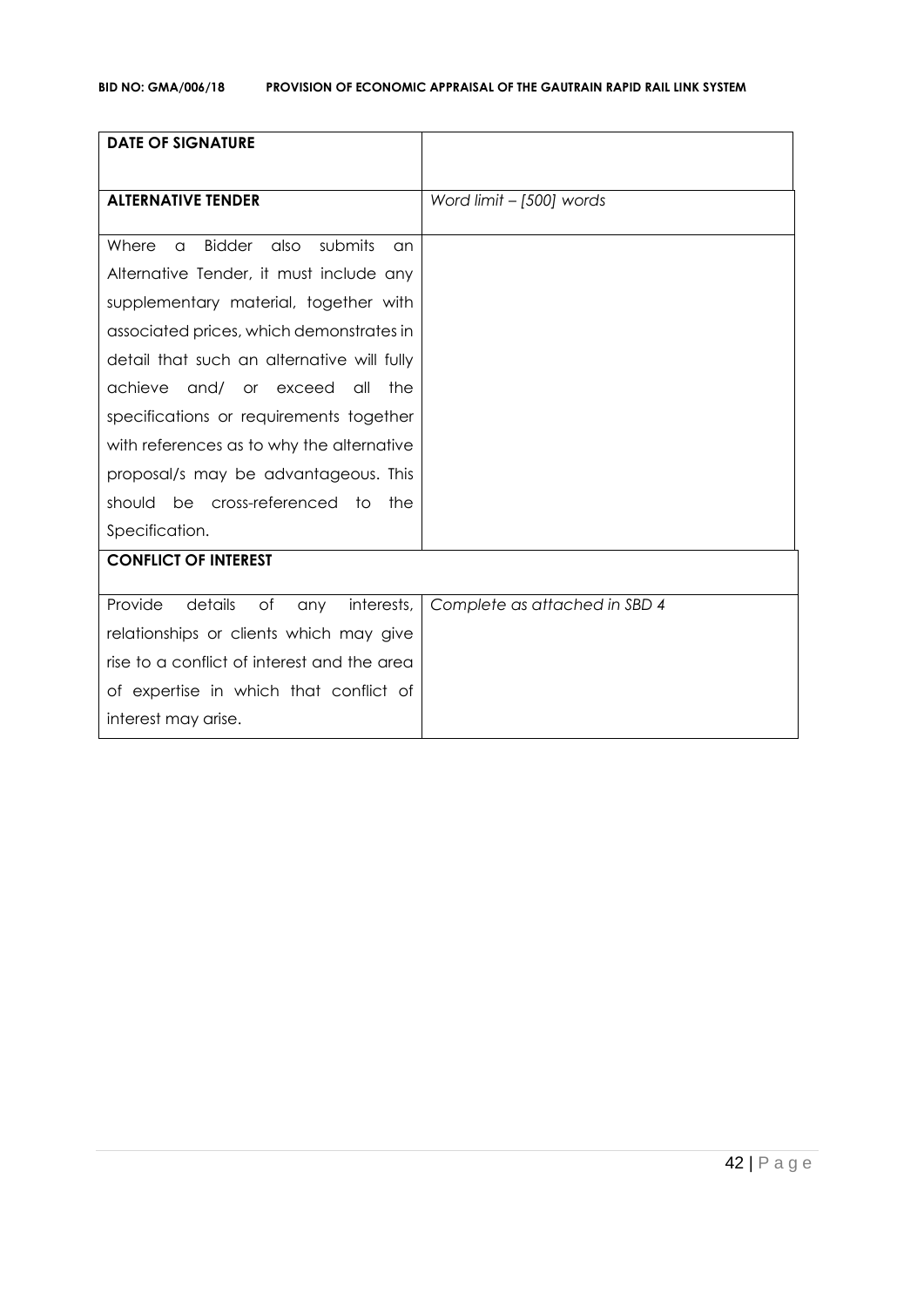| <b>DATE OF SIGNATURE</b>                                            |                               |
|---------------------------------------------------------------------|-------------------------------|
| <b>ALTERNATIVE TENDER</b>                                           | Word limit - [500] words      |
|                                                                     |                               |
| <b>Bidder</b><br>submits<br>also<br>Where<br>$\alpha$<br>$\alpha$ n |                               |
| Alternative Tender, it must include any                             |                               |
| supplementary material, together with                               |                               |
| associated prices, which demonstrates in                            |                               |
| detail that such an alternative will fully                          |                               |
| achieve<br>and/<br>or exceed<br>all<br>the                          |                               |
| specifications or requirements together                             |                               |
| with references as to why the alternative                           |                               |
| proposal/s may be advantageous. This                                |                               |
| be cross-referenced to<br>should<br>the                             |                               |
| Specification.                                                      |                               |
| <b>CONFLICT OF INTEREST</b>                                         |                               |
| Provide<br>details<br>of<br>interests,<br>any                       | Complete as attached in SBD 4 |
| relationships or clients which may give                             |                               |
| rise to a conflict of interest and the area                         |                               |
| of expertise in which that conflict of                              |                               |
|                                                                     |                               |
| interest may arise.                                                 |                               |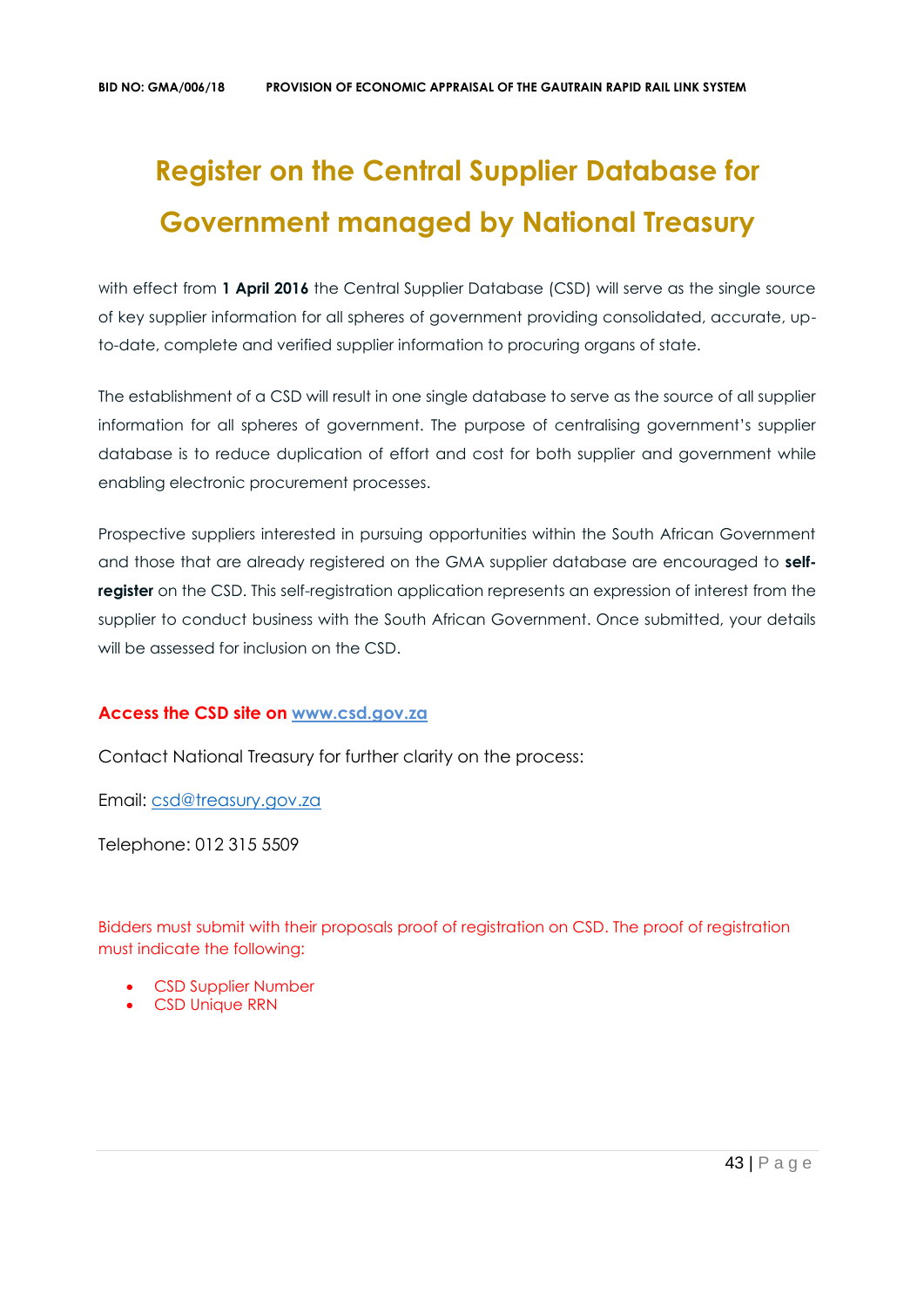# **Register on the Central Supplier Database for Government managed by National Treasury**

with effect from 1 April 2016 the Central Supplier Database (CSD) will serve as the single source of key supplier information for all spheres of government providing consolidated, accurate, upto-date, complete and verified supplier information to procuring organs of state.

The establishment of a CSD will result in one single database to serve as the source of all supplier information for all spheres of government. The purpose of centralising government's supplier database is to reduce duplication of effort and cost for both supplier and government while enabling electronic procurement processes.

Prospective suppliers interested in pursuing opportunities within the South African Government and those that are already registered on the GMA supplier database are encouraged to **selfregister** on the CSD. This self-registration application represents an expression of interest from the supplier to conduct business with the South African Government. Once submitted, your details will be assessed for inclusion on the CSD.

### **Access the CSD site on [www.csd.gov.za](http://www.csd.gov.za/)**

Contact National Treasury for further clarity on the process:

Email: [csd@treasury.gov.za](mailto:csd@treasury.gov.za)

Telephone: 012 315 5509

Bidders must submit with their proposals proof of registration on CSD. The proof of registration must indicate the following:

- CSD Supplier Number
- CSD Unique RRN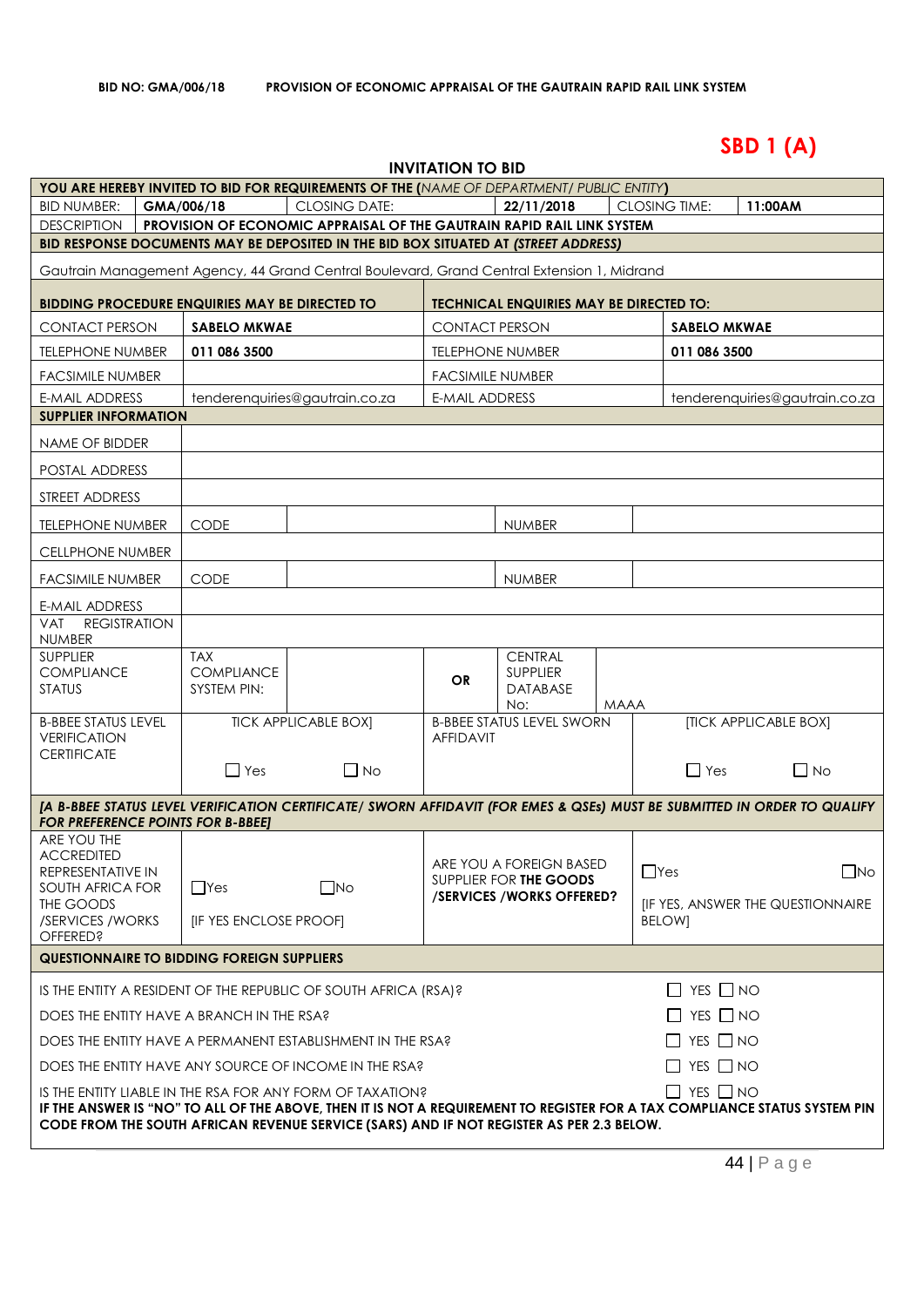# **SBD 1 (A)**

| <b>INVITATION TO BID</b>                                                                                                                                                                                        |  |                                                       |                                                                                                                                                               |                       |                                                      |             |                                                    |                              |                                |
|-----------------------------------------------------------------------------------------------------------------------------------------------------------------------------------------------------------------|--|-------------------------------------------------------|---------------------------------------------------------------------------------------------------------------------------------------------------------------|-----------------------|------------------------------------------------------|-------------|----------------------------------------------------|------------------------------|--------------------------------|
|                                                                                                                                                                                                                 |  |                                                       | <b>YOU ARE HEREBY INVITED TO BID FOR REQUIREMENTS OF THE (NAME OF DEPARTMENT/ PUBLIC ENTITY)</b>                                                              |                       |                                                      |             |                                                    |                              |                                |
| <b>BID NUMBER:</b>                                                                                                                                                                                              |  | GMA/006/18                                            | <b>CLOSING DATE:</b>                                                                                                                                          |                       | 22/11/2018                                           |             | <b>CLOSING TIME:</b>                               | 11:00AM                      |                                |
| <b>DESCRIPTION</b>                                                                                                                                                                                              |  |                                                       | PROVISION OF ECONOMIC APPRAISAL OF THE GAUTRAIN RAPID RAIL LINK SYSTEM<br>BID RESPONSE DOCUMENTS MAY BE DEPOSITED IN THE BID BOX SITUATED AT (STREET ADDRESS) |                       |                                                      |             |                                                    |                              |                                |
|                                                                                                                                                                                                                 |  |                                                       |                                                                                                                                                               |                       |                                                      |             |                                                    |                              |                                |
|                                                                                                                                                                                                                 |  |                                                       | Gautrain Management Agency, 44 Grand Central Boulevard, Grand Central Extension 1, Midrand                                                                    |                       |                                                      |             |                                                    |                              |                                |
|                                                                                                                                                                                                                 |  | <b>BIDDING PROCEDURE ENQUIRIES MAY BE DIRECTED TO</b> |                                                                                                                                                               |                       | <b>TECHNICAL ENQUIRIES MAY BE DIRECTED TO:</b>       |             |                                                    |                              |                                |
| <b>CONTACT PERSON</b>                                                                                                                                                                                           |  | <b>SABELO MKWAE</b>                                   |                                                                                                                                                               | <b>CONTACT PERSON</b> |                                                      |             | <b>SABELO MKWAE</b>                                |                              |                                |
| <b>TELEPHONE NUMBER</b>                                                                                                                                                                                         |  | 011 086 3500                                          |                                                                                                                                                               |                       | <b>TELEPHONE NUMBER</b>                              |             | 011 086 3500                                       |                              |                                |
| <b>FACSIMILE NUMBER</b>                                                                                                                                                                                         |  |                                                       |                                                                                                                                                               |                       | <b>FACSIMILE NUMBER</b>                              |             |                                                    |                              |                                |
| <b>E-MAIL ADDRESS</b>                                                                                                                                                                                           |  |                                                       | tenderenquiries@gautrain.co.za                                                                                                                                | <b>E-MAIL ADDRESS</b> |                                                      |             |                                                    |                              | tenderenquiries@gautrain.co.za |
| <b>SUPPLIER INFORMATION</b>                                                                                                                                                                                     |  |                                                       |                                                                                                                                                               |                       |                                                      |             |                                                    |                              |                                |
| NAME OF BIDDER                                                                                                                                                                                                  |  |                                                       |                                                                                                                                                               |                       |                                                      |             |                                                    |                              |                                |
| <b>POSTAL ADDRESS</b>                                                                                                                                                                                           |  |                                                       |                                                                                                                                                               |                       |                                                      |             |                                                    |                              |                                |
| STREET ADDRESS                                                                                                                                                                                                  |  |                                                       |                                                                                                                                                               |                       |                                                      |             |                                                    |                              |                                |
| <b>TELEPHONE NUMBER</b>                                                                                                                                                                                         |  | <b>CODE</b>                                           |                                                                                                                                                               |                       | <b>NUMBER</b>                                        |             |                                                    |                              |                                |
| <b>CELLPHONE NUMBER</b>                                                                                                                                                                                         |  |                                                       |                                                                                                                                                               |                       |                                                      |             |                                                    |                              |                                |
| <b>FACSIMILE NUMBER</b>                                                                                                                                                                                         |  | <b>CODE</b>                                           |                                                                                                                                                               |                       | <b>NUMBER</b>                                        |             |                                                    |                              |                                |
| <b>E-MAIL ADDRESS</b>                                                                                                                                                                                           |  |                                                       |                                                                                                                                                               |                       |                                                      |             |                                                    |                              |                                |
| <b>REGISTRATION</b><br><b>VAT</b><br><b>NUMBER</b>                                                                                                                                                              |  |                                                       |                                                                                                                                                               |                       |                                                      |             |                                                    |                              |                                |
| <b>SUPPLIER</b><br><b>COMPLIANCE</b>                                                                                                                                                                            |  | <b>TAX</b><br><b>COMPLIANCE</b>                       |                                                                                                                                                               |                       | <b>CENTRAL</b><br><b>SUPPLIER</b>                    |             |                                                    |                              |                                |
| <b>STATUS</b>                                                                                                                                                                                                   |  | SYSTEM PIN:                                           |                                                                                                                                                               | <b>OR</b>             | <b>DATABASE</b>                                      |             |                                                    |                              |                                |
| <b>B-BBEE STATUS LEVEL</b>                                                                                                                                                                                      |  |                                                       | <b>TICK APPLICABLE BOX]</b>                                                                                                                                   |                       | No:<br><b>B-BBEE STATUS LEVEL SWORN</b>              | <b>MAAA</b> |                                                    | <b>[TICK APPLICABLE BOX]</b> |                                |
| <b>VERIFICATION</b>                                                                                                                                                                                             |  |                                                       |                                                                                                                                                               | <b>AFFIDAVIT</b>      |                                                      |             |                                                    |                              |                                |
| <b>CERTIFICATE</b>                                                                                                                                                                                              |  | $\Box$ Yes                                            | $\Box$ No                                                                                                                                                     |                       |                                                      |             | $\Box$ Yes                                         |                              | $\Box$ No                      |
|                                                                                                                                                                                                                 |  |                                                       |                                                                                                                                                               |                       |                                                      |             |                                                    |                              |                                |
| <b>FOR PREFERENCE POINTS FOR B-BBEET</b>                                                                                                                                                                        |  |                                                       | [A B-BBEE STATUS LEVEL VERIFICATION CERTIFICATE/ SWORN AFFIDAVIT (FOR EMES & QSEs) MUST BE SUBMITTED IN ORDER TO QUALIFY                                      |                       |                                                      |             |                                                    |                              |                                |
| ARE YOU THE                                                                                                                                                                                                     |  |                                                       |                                                                                                                                                               |                       |                                                      |             |                                                    |                              |                                |
| <b>ACCREDITED</b><br>REPRESENTATIVE IN                                                                                                                                                                          |  |                                                       |                                                                                                                                                               |                       | ARE YOU A FOREIGN BASED                              |             | $\Box$ Yes                                         |                              | $\square$ No                   |
| SOUTH AFRICA FOR                                                                                                                                                                                                |  | $\Box$ Yes                                            | $\square$ No                                                                                                                                                  |                       | SUPPLIER FOR THE GOODS<br>/SERVICES / WORKS OFFERED? |             |                                                    |                              |                                |
| THE GOODS<br>/SERVICES / WORKS                                                                                                                                                                                  |  | [IF YES ENCLOSE PROOF]                                |                                                                                                                                                               |                       |                                                      |             | [IF YES, ANSWER THE QUESTIONNAIRE<br><b>BELOWI</b> |                              |                                |
| <b>OFFERED?</b>                                                                                                                                                                                                 |  |                                                       |                                                                                                                                                               |                       |                                                      |             |                                                    |                              |                                |
| <b>QUESTIONNAIRE TO BIDDING FOREIGN SUPPLIERS</b>                                                                                                                                                               |  |                                                       |                                                                                                                                                               |                       |                                                      |             |                                                    |                              |                                |
| $\Box$ YES $\Box$ NO<br>IS THE ENTITY A RESIDENT OF THE REPUBLIC OF SOUTH AFRICA (RSA)?                                                                                                                         |  |                                                       |                                                                                                                                                               |                       |                                                      |             |                                                    |                              |                                |
| DOES THE ENTITY HAVE A BRANCH IN THE RSA?<br>$\Box$ YES $\Box$ NO                                                                                                                                               |  |                                                       |                                                                                                                                                               |                       |                                                      |             |                                                    |                              |                                |
|                                                                                                                                                                                                                 |  |                                                       | DOES THE ENTITY HAVE A PERMANENT ESTABLISHMENT IN THE RSA?                                                                                                    |                       |                                                      |             | $\Box$ YES $\Box$ NO                               |                              |                                |
|                                                                                                                                                                                                                 |  |                                                       | DOES THE ENTITY HAVE ANY SOURCE OF INCOME IN THE RSA?                                                                                                         |                       |                                                      |             | $\Box$ YES $\Box$ NO                               |                              |                                |
| $\Box$ YES $\Box$ NO<br>IS THE ENTITY LIABLE IN THE RSA FOR ANY FORM OF TAXATION?<br>IF THE ANSWER IS "NO" TO ALL OF THE ABOVE, THEN IT IS NOT A REQUIREMENT TO REGISTER FOR A TAX COMPLIANCE STATUS SYSTEM PIN |  |                                                       |                                                                                                                                                               |                       |                                                      |             |                                                    |                              |                                |
|                                                                                                                                                                                                                 |  |                                                       | CODE FROM THE SOUTH AFRICAN REVENUE SERVICE (SARS) AND IF NOT REGISTER AS PER 2.3 BELOW.                                                                      |                       |                                                      |             |                                                    |                              |                                |
|                                                                                                                                                                                                                 |  |                                                       |                                                                                                                                                               |                       |                                                      |             |                                                    |                              |                                |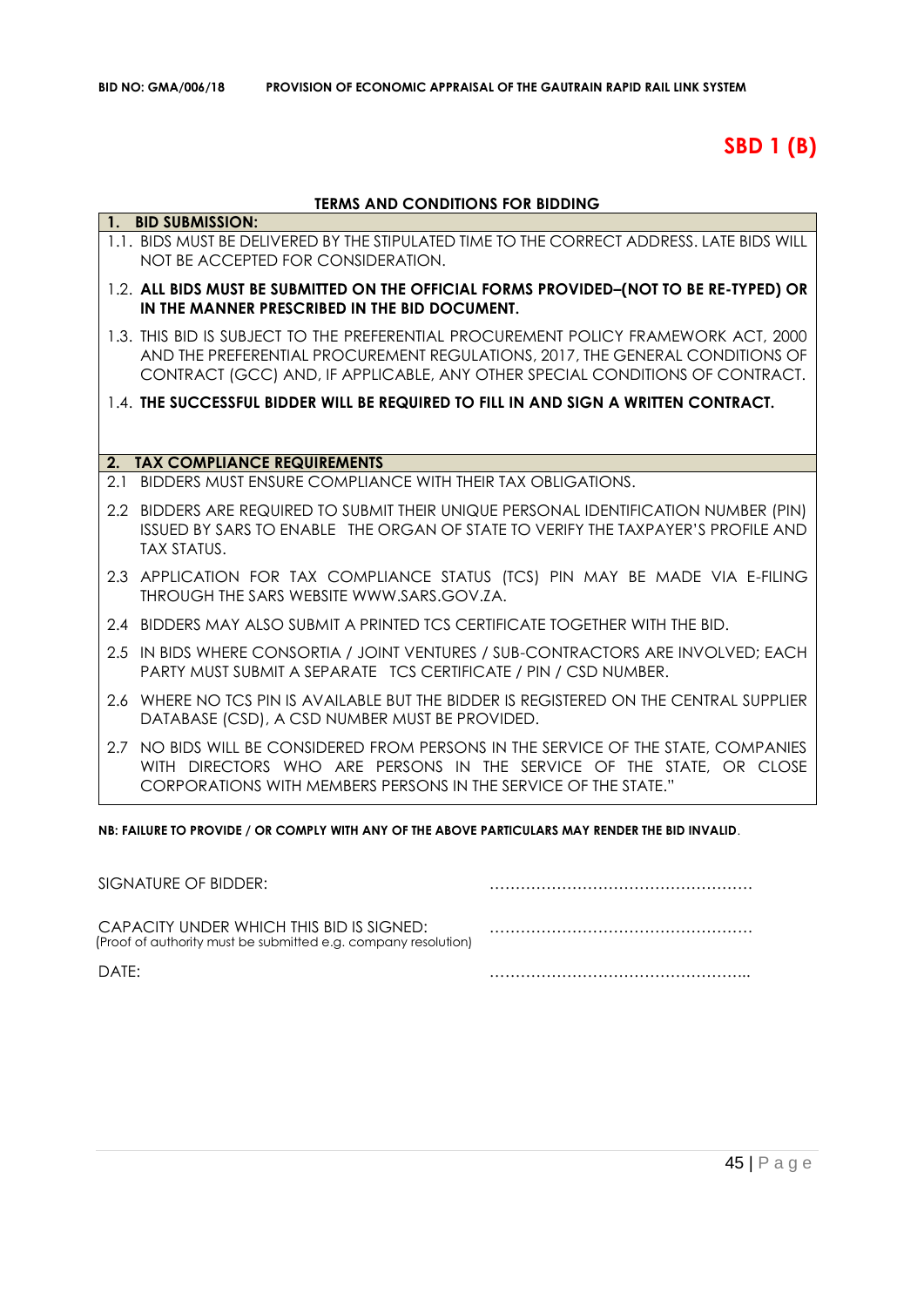# **SBD 1 (B)**

### **TERMS AND CONDITIONS FOR BIDDING**

|     | 1. BID SUBMISSION:                                                                                                                                                                                                                                   |
|-----|------------------------------------------------------------------------------------------------------------------------------------------------------------------------------------------------------------------------------------------------------|
|     | 1.1. BIDS MUST BE DELIVERED BY THE STIPULATED TIME TO THE CORRECT ADDRESS. LATE BIDS WILL<br>NOT BE ACCEPTED FOR CONSIDERATION.                                                                                                                      |
|     | 1.2. ALL BIDS MUST BE SUBMITTED ON THE OFFICIAL FORMS PROVIDED-(NOT TO BE RE-TYPED) OR<br>IN THE MANNER PRESCRIBED IN THE BID DOCUMENT.                                                                                                              |
|     | 1.3. THIS BID IS SUBJECT TO THE PREFERENTIAL PROCUREMENT POLICY FRAMEWORK ACT, 2000<br>AND THE PREFERENTIAL PROCUREMENT REGULATIONS, 2017, THE GENERAL CONDITIONS OF<br>CONTRACT (GCC) AND, IF APPLICABLE, ANY OTHER SPECIAL CONDITIONS OF CONTRACT. |
|     | 1.4. THE SUCCESSFUL BIDDER WILL BE REQUIRED TO FILL IN AND SIGN A WRITTEN CONTRACT.                                                                                                                                                                  |
|     |                                                                                                                                                                                                                                                      |
|     | 2. TAX COMPLIANCE REQUIREMENTS                                                                                                                                                                                                                       |
| 2.1 | BIDDERS MUST ENSURE COMPLIANCE WITH THEIR TAX OBLIGATIONS.                                                                                                                                                                                           |
|     | 2.2 BIDDERS ARE REQUIRED TO SUBMIT THEIR UNIQUE PERSONAL IDENTIFICATION NUMBER (PIN)<br>ISSUED BY SARS TO ENABLE THE ORGAN OF STATE TO VERIFY THE TAXPAYER'S PROFILE AND<br><b>TAX STATUS.</b>                                                       |
|     | 2.3 APPLICATION FOR TAX COMPLIANCE STATUS (TCS) PIN MAY BE MADE VIA E-FILING<br>THROUGH THE SARS WEBSITE WWW.SARS.GOV.ZA.                                                                                                                            |
|     | 2.4 BIDDERS MAY ALSO SUBMIT A PRINTED TCS CERTIFICATE TOGETHER WITH THE BID.                                                                                                                                                                         |
|     | 2.5 IN BIDS WHERE CONSORTIA / JOINT VENTURES / SUB-CONTRACTORS ARE INVOLVED; EACH<br>PARTY MUST SUBMIT A SEPARATE TCS CERTIFICATE / PIN / CSD NUMBER.                                                                                                |
| 2.6 | WHERE NO TCS PIN IS AVAILABLE BUT THE BIDDER IS REGISTERED ON THE CENTRAL SUPPLIER<br>DATABASE (CSD), A CSD NUMBER MUST BE PROVIDED.                                                                                                                 |
|     | 2.7 NO BIDS WILL BE CONSIDERED FROM PERSONS IN THE SERVICE OF THE STATE, COMPANIES<br>WITH DIRECTORS WHO ARE PERSONS IN THE SERVICE OF THE STATE, OR CLOSE<br>CORPORATIONS WITH MEMBERS PERSONS IN THE SERVICE OF THE STATE."                        |

**NB: FAILURE TO PROVIDE / OR COMPLY WITH ANY OF THE ABOVE PARTICULARS MAY RENDER THE BID INVALID**.

| SIGNATURE OF BIDDER:                                                                                       |  |
|------------------------------------------------------------------------------------------------------------|--|
| CAPACITY UNDER WHICH THIS BID IS SIGNED:<br>(Proof of authority must be submitted e.g. company resolution) |  |
| DATF:                                                                                                      |  |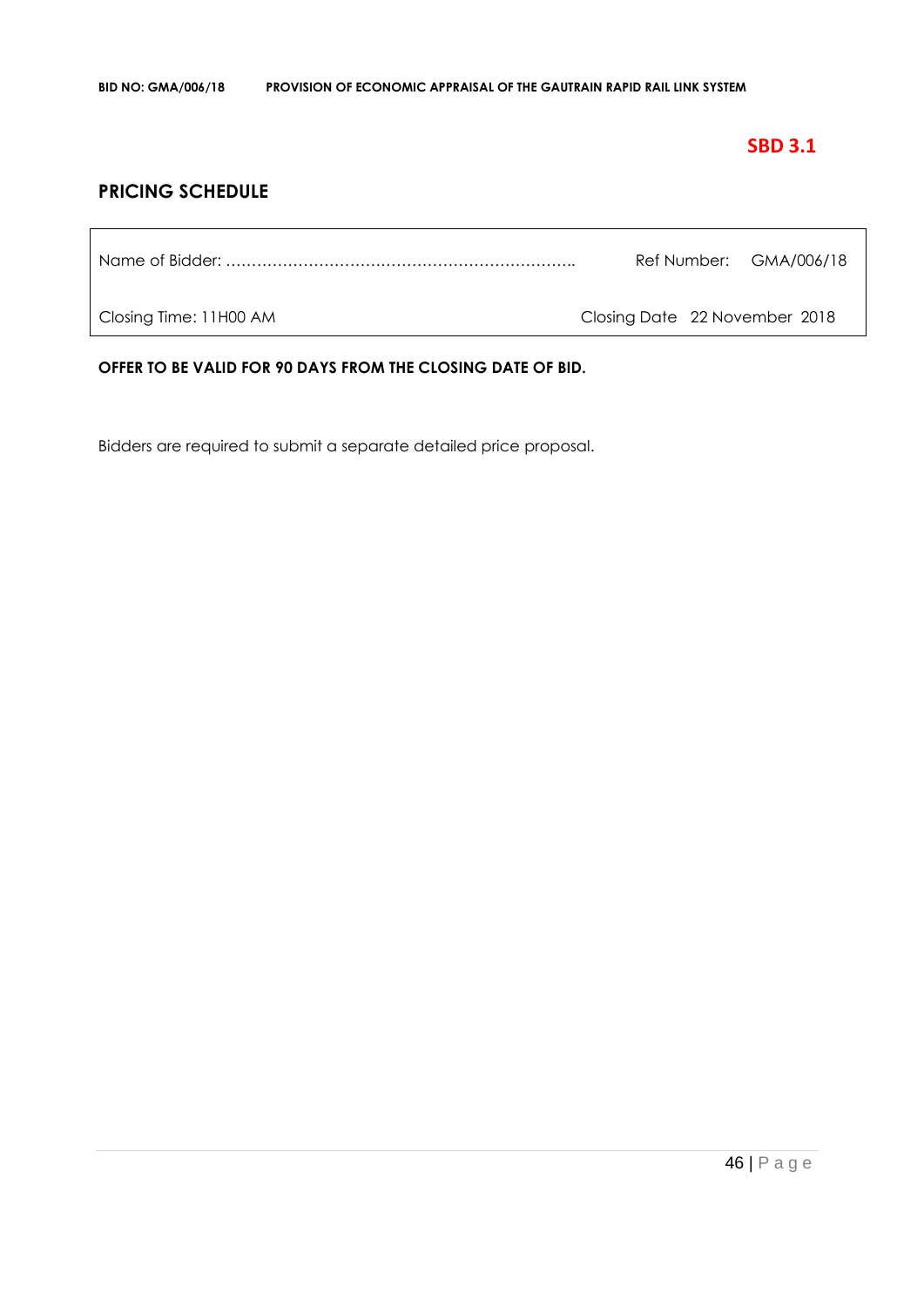### **SBD 3.1**

### **PRICING SCHEDULE**

|  | Ref Number: GMA/006/18 |
|--|------------------------|
|  |                        |

Closing Time: 11H00 AM Closing Date 22 November 2018

**OFFER TO BE VALID FOR 90 DAYS FROM THE CLOSING DATE OF BID.**

Bidders are required to submit a separate detailed price proposal.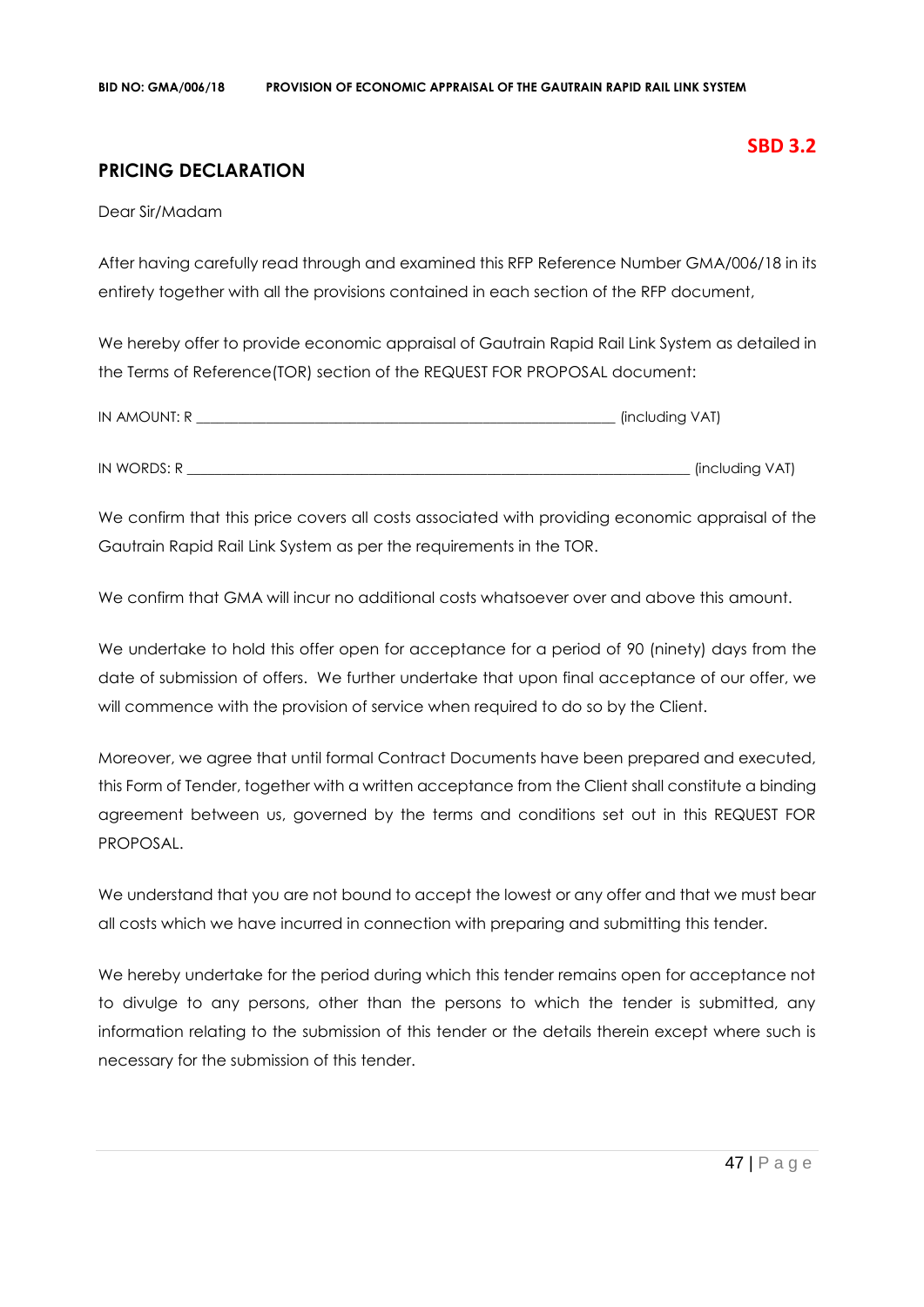### **PRICING DECLARATION**

Dear Sir/Madam

After having carefully read through and examined this RFP Reference Number GMA/006/18 in its entirety together with all the provisions contained in each section of the RFP document,

We hereby offer to provide economic appraisal of Gautrain Rapid Rail Link System as detailed in the Terms of Reference(TOR) section of the REQUEST FOR PROPOSAL document:

| IN AMOUNT: R | (including VAT) |
|--------------|-----------------|
|              |                 |
| IN WORDS: R  | (including VAT) |

We confirm that this price covers all costs associated with providing economic appraisal of the Gautrain Rapid Rail Link System as per the requirements in the TOR.

We confirm that GMA will incur no additional costs whatsoever over and above this amount.

We undertake to hold this offer open for acceptance for a period of 90 (ninety) days from the date of submission of offers. We further undertake that upon final acceptance of our offer, we will commence with the provision of service when required to do so by the Client.

Moreover, we agree that until formal Contract Documents have been prepared and executed, this Form of Tender, together with a written acceptance from the Client shall constitute a binding agreement between us, governed by the terms and conditions set out in this REQUEST FOR PROPOSAL.

We understand that you are not bound to accept the lowest or any offer and that we must bear all costs which we have incurred in connection with preparing and submitting this tender.

We hereby undertake for the period during which this tender remains open for acceptance not to divulge to any persons, other than the persons to which the tender is submitted, any information relating to the submission of this tender or the details therein except where such is necessary for the submission of this tender.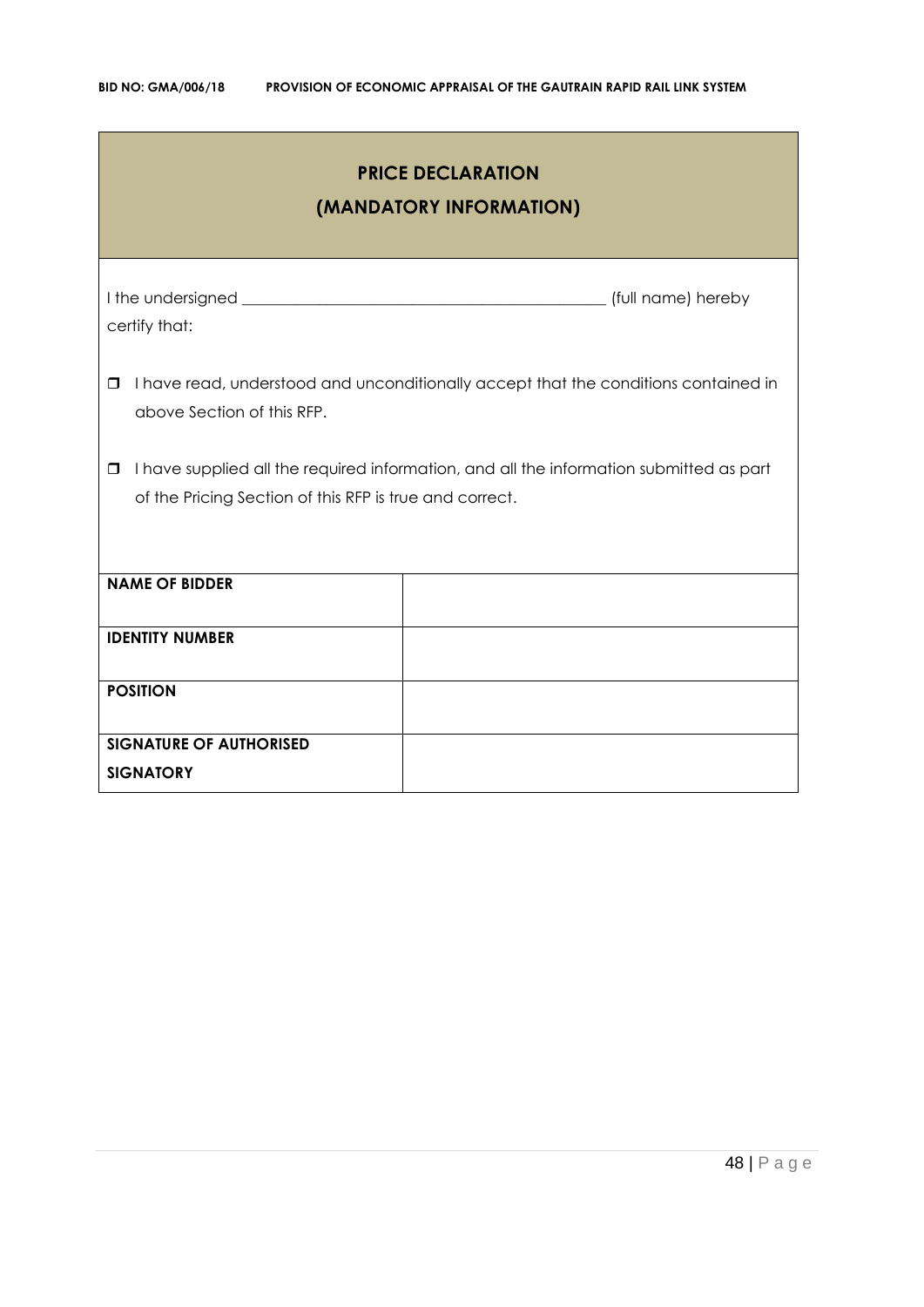| <b>PRICE DECLARATION</b><br>(MANDATORY INFORMATION)                                                                                                          |                                                                                     |  |  |  |
|--------------------------------------------------------------------------------------------------------------------------------------------------------------|-------------------------------------------------------------------------------------|--|--|--|
| certify that:                                                                                                                                                |                                                                                     |  |  |  |
| $\Box$<br>above Section of this RFP.                                                                                                                         | I have read, understood and unconditionally accept that the conditions contained in |  |  |  |
| I have supplied all the required information, and all the information submitted as part<br>$\Box$<br>of the Pricing Section of this RFP is true and correct. |                                                                                     |  |  |  |
| <b>NAME OF BIDDER</b>                                                                                                                                        |                                                                                     |  |  |  |
| <b>IDENTITY NUMBER</b>                                                                                                                                       |                                                                                     |  |  |  |
| <b>POSITION</b>                                                                                                                                              |                                                                                     |  |  |  |
| <b>SIGNATURE OF AUTHORISED</b><br><b>SIGNATORY</b>                                                                                                           |                                                                                     |  |  |  |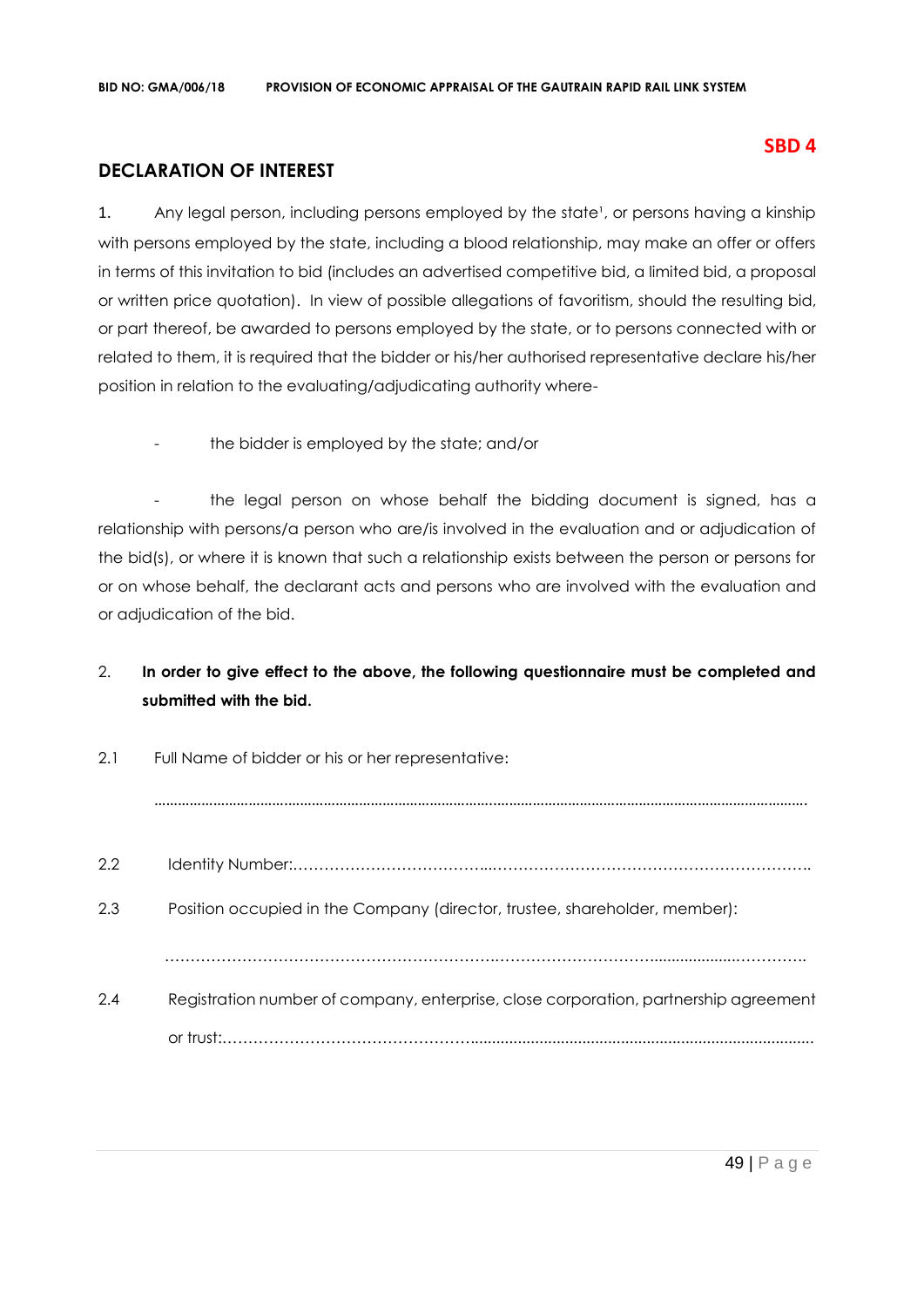### **DECLARATION OF INTEREST**

1. Any legal person, including persons employed by the state<sup>1</sup>, or persons having a kinship with persons employed by the state, including a blood relationship, may make an offer or offers in terms of this invitation to bid (includes an advertised competitive bid, a limited bid, a proposal or written price quotation). In view of possible allegations of favoritism, should the resulting bid, or part thereof, be awarded to persons employed by the state, or to persons connected with or related to them, it is required that the bidder or his/her authorised representative declare his/her position in relation to the evaluating/adjudicating authority where-

the bidder is employed by the state; and/or

- the legal person on whose behalf the bidding document is signed, has a relationship with persons/a person who are/is involved in the evaluation and or adjudication of the bid(s), or where it is known that such a relationship exists between the person or persons for or on whose behalf, the declarant acts and persons who are involved with the evaluation and or adjudication of the bid.

### 2. **In order to give effect to the above, the following questionnaire must be completed and submitted with the bid.**

| 2.1 | Full Name of bidder or his or her representative:                                    |
|-----|--------------------------------------------------------------------------------------|
|     |                                                                                      |
| 2.2 |                                                                                      |
| 2.3 | Position occupied in the Company (director, trustee, shareholder, member):           |
|     |                                                                                      |
| 2.4 | Registration number of company, enterprise, close corporation, partnership agreement |
|     |                                                                                      |

### **SBD 4**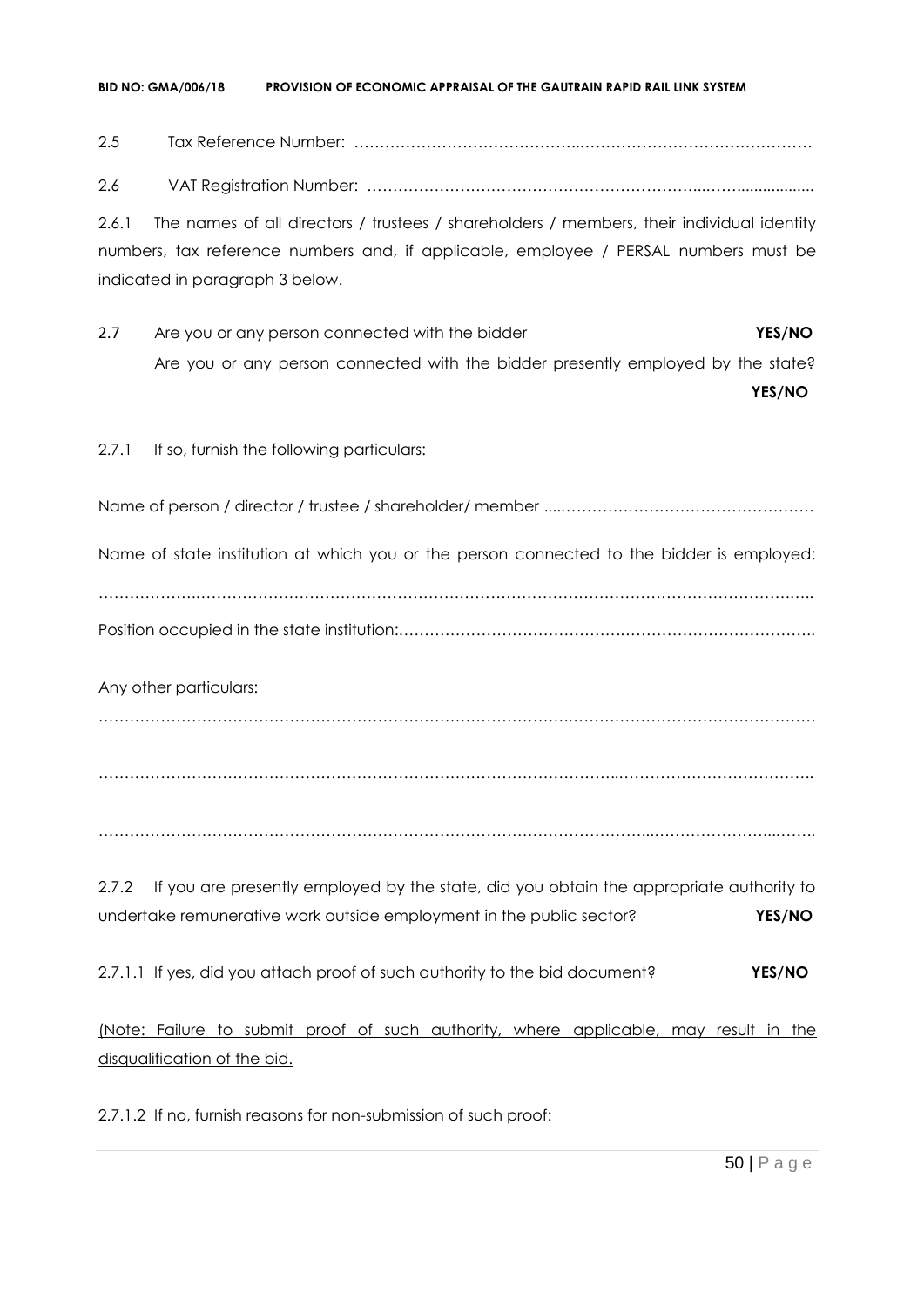#### **BID NO: GMA/006/18 PROVISION OF ECONOMIC APPRAISAL OF THE GAUTRAIN RAPID RAIL LINK SYSTEM**

2.5 Tax Reference Number: ……………………………………..………………………………………

2.6 VAT Registration Number: ………………………………………………………...……..................

2.6.1 The names of all directors / trustees / shareholders / members, their individual identity numbers, tax reference numbers and, if applicable, employee / PERSAL numbers must be indicated in paragraph 3 below.

2.7 Are you or any person connected with the bidder **YES/NO** Are you or any person connected with the bidder presently employed by the state?

**YES/NO**

2.7.1 If so, furnish the following particulars:

Name of person / director / trustee / shareholder/ member ....………………………………………….

Name of state institution at which you or the person connected to the bidder is employed:

……………….…………………………………………………………………………………………………….….. Position occupied in the state institution:…………………………………….………………………………..

Any other particulars:

……………………………………………………………………………….…………………………………………

………………………………………………………………………………………..………………………………..

……………………………………………………………………………………………...…………………...……..

2.7.2 If you are presently employed by the state, did you obtain the appropriate authority to undertake remunerative work outside employment in the public sector? **YES/NO**

2.7.1.1 If yes, did you attach proof of such authority to the bid document? **YES/NO**

(Note: Failure to submit proof of such authority, where applicable, may result in the disqualification of the bid.

2.7.1.2 If no, furnish reasons for non-submission of such proof: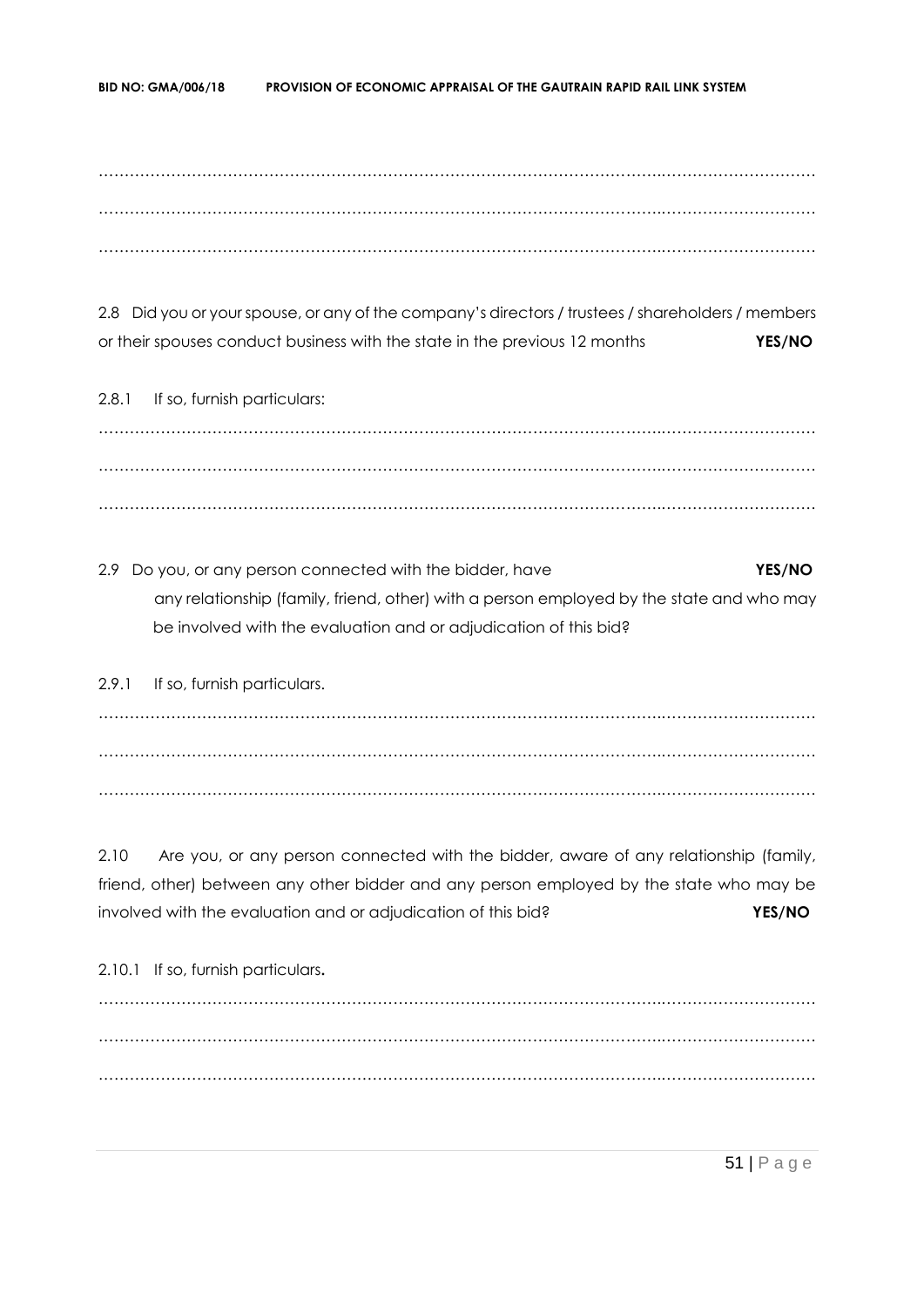……………………………………………………………………………………………….………………………… ……………………………………………………………………………………………….………………………… ……………………………………………………………………………………………….…………………………

2.8 Did you or your spouse, or any of the company's directors / trustees / shareholders / members or their spouses conduct business with the state in the previous 12 months **YES/NO**

2.8.1 If so, furnish particulars: ……………………………………………………………………………………………….………………………… ……………………………………………………………………………………………….………………………… ……………………………………………………………………………………………….…………………………

2.9 Do you, or any person connected with the bidder, have **YES/NO** any relationship (family, friend, other) with a person employed by the state and who may be involved with the evaluation and or adjudication of this bid?

2.9.1 If so, furnish particulars. ……………………………………………………………………………………………….………………………… ……………………………………………………………………………………………….………………………… ……………………………………………………………………………………………….…………………………

2.10 Are you, or any person connected with the bidder, aware of any relationship (family, friend, other) between any other bidder and any person employed by the state who may be involved with the evaluation and or adjudication of this bid? **YES/NO**

2.10.1 If so, furnish particulars**.** ……………………………………………………………………………………………….………………………… ……………………………………………………………………………………………….………………………… ……………………………………………………………………………………………….…………………………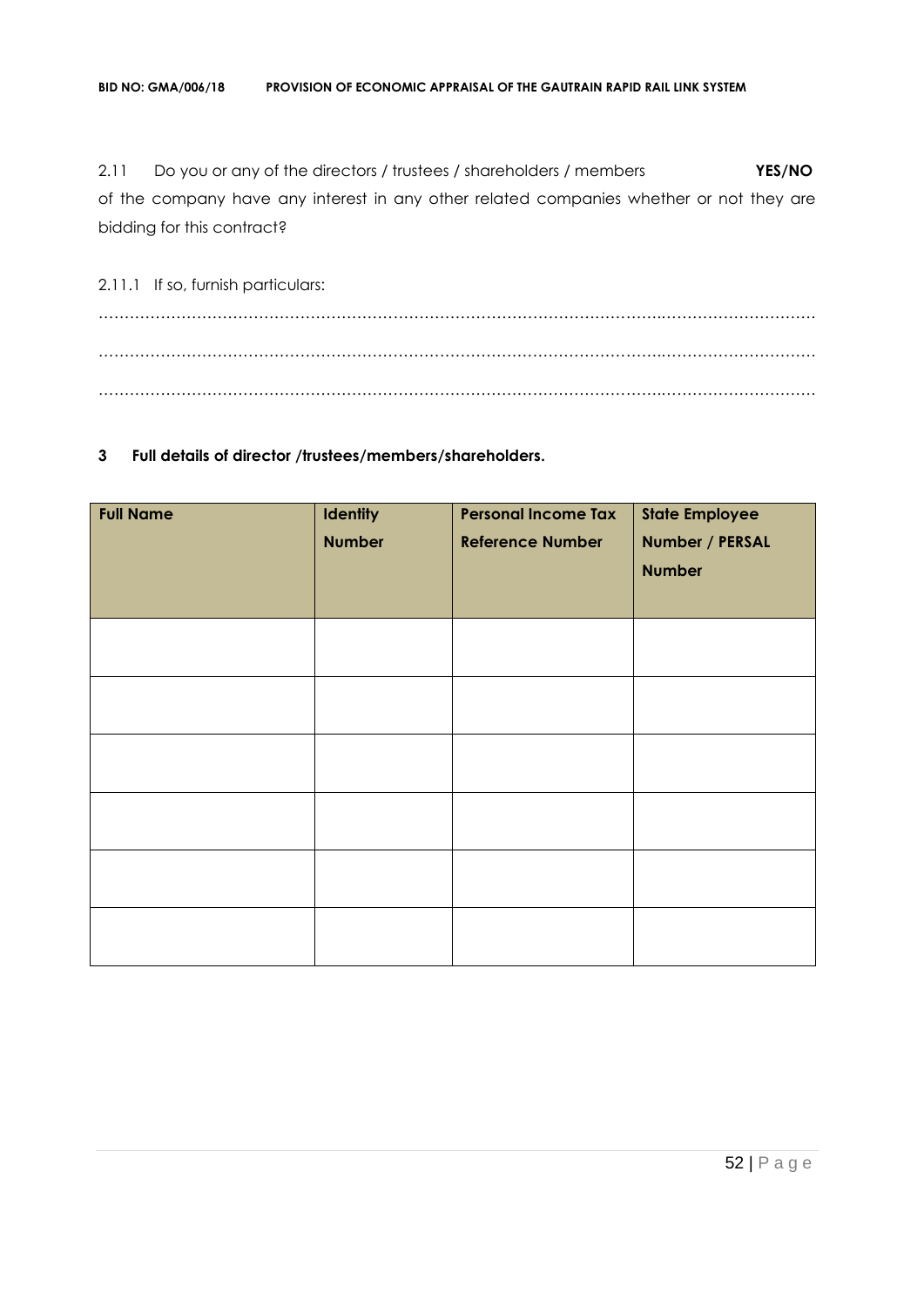2.11 Do you or any of the directors / trustees / shareholders / members **YES/NO** of the company have any interest in any other related companies whether or not they are bidding for this contract?

2.11.1 If so, furnish particulars: ……………………………………………………………………………………………….………………………… ……………………………………………………………………………………………….………………………… ……………………………………………………………………………………………….…………………………

### **3 Full details of director /trustees/members/shareholders.**

| <b>Full Name</b> | <b>Identity</b><br><b>Number</b> | <b>Personal Income Tax</b><br><b>Reference Number</b> | <b>State Employee</b><br>Number / PERSAL<br><b>Number</b> |
|------------------|----------------------------------|-------------------------------------------------------|-----------------------------------------------------------|
|                  |                                  |                                                       |                                                           |
|                  |                                  |                                                       |                                                           |
|                  |                                  |                                                       |                                                           |
|                  |                                  |                                                       |                                                           |
|                  |                                  |                                                       |                                                           |
|                  |                                  |                                                       |                                                           |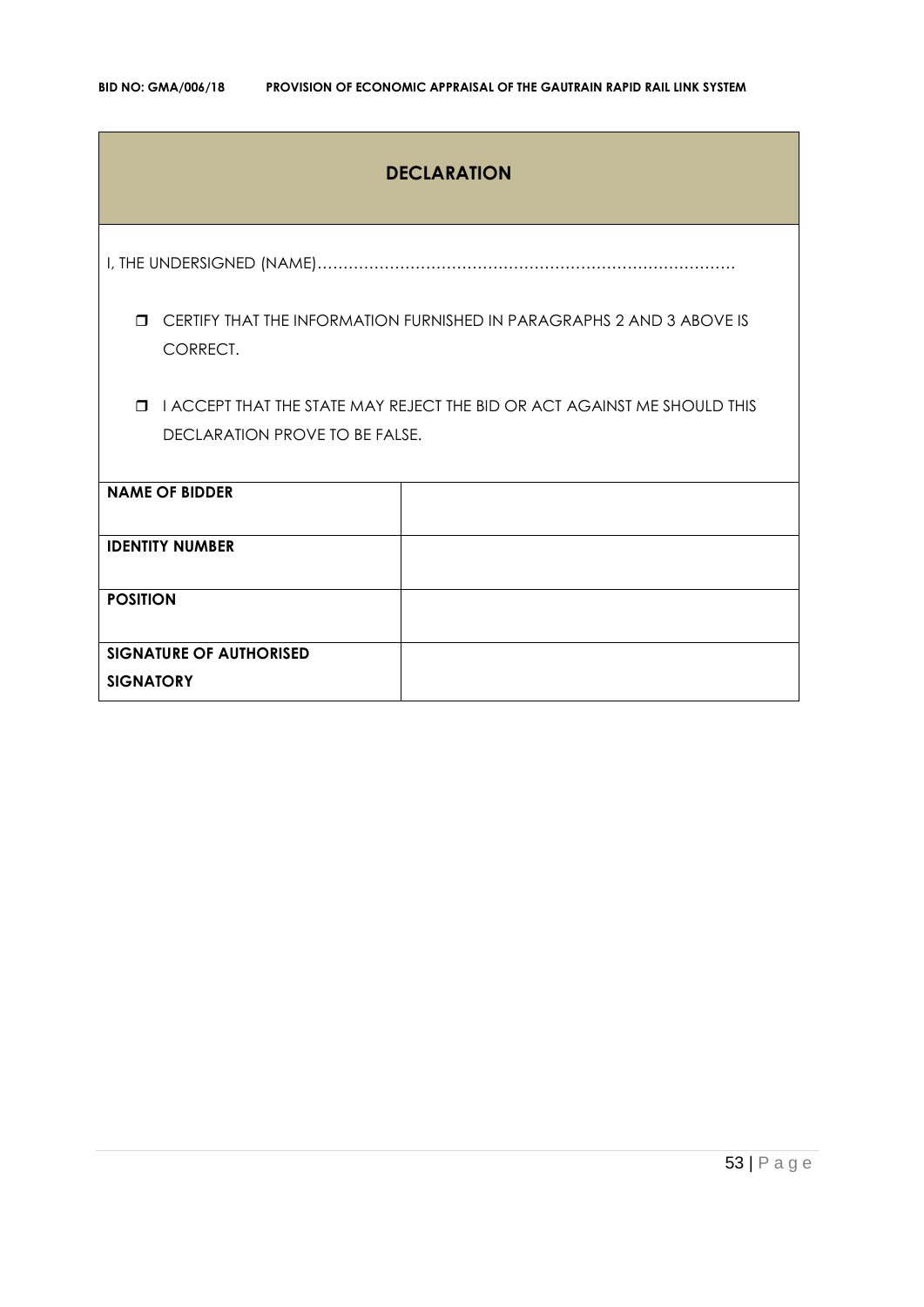### **DECLARATION**

I, THE UNDERSIGNED (NAME)………………………………………………………………………

 CERTIFY THAT THE INFORMATION FURNISHED IN PARAGRAPHS 2 AND 3 ABOVE IS CORRECT.

 I ACCEPT THAT THE STATE MAY REJECT THE BID OR ACT AGAINST ME SHOULD THIS DECLARATION PROVE TO BE FALSE.

| <b>NAME OF BIDDER</b>          |  |
|--------------------------------|--|
|                                |  |
| <b>IDENTITY NUMBER</b>         |  |
|                                |  |
| <b>POSITION</b>                |  |
|                                |  |
|                                |  |
| <b>SIGNATURE OF AUTHORISED</b> |  |
| <b>SIGNATORY</b>               |  |
|                                |  |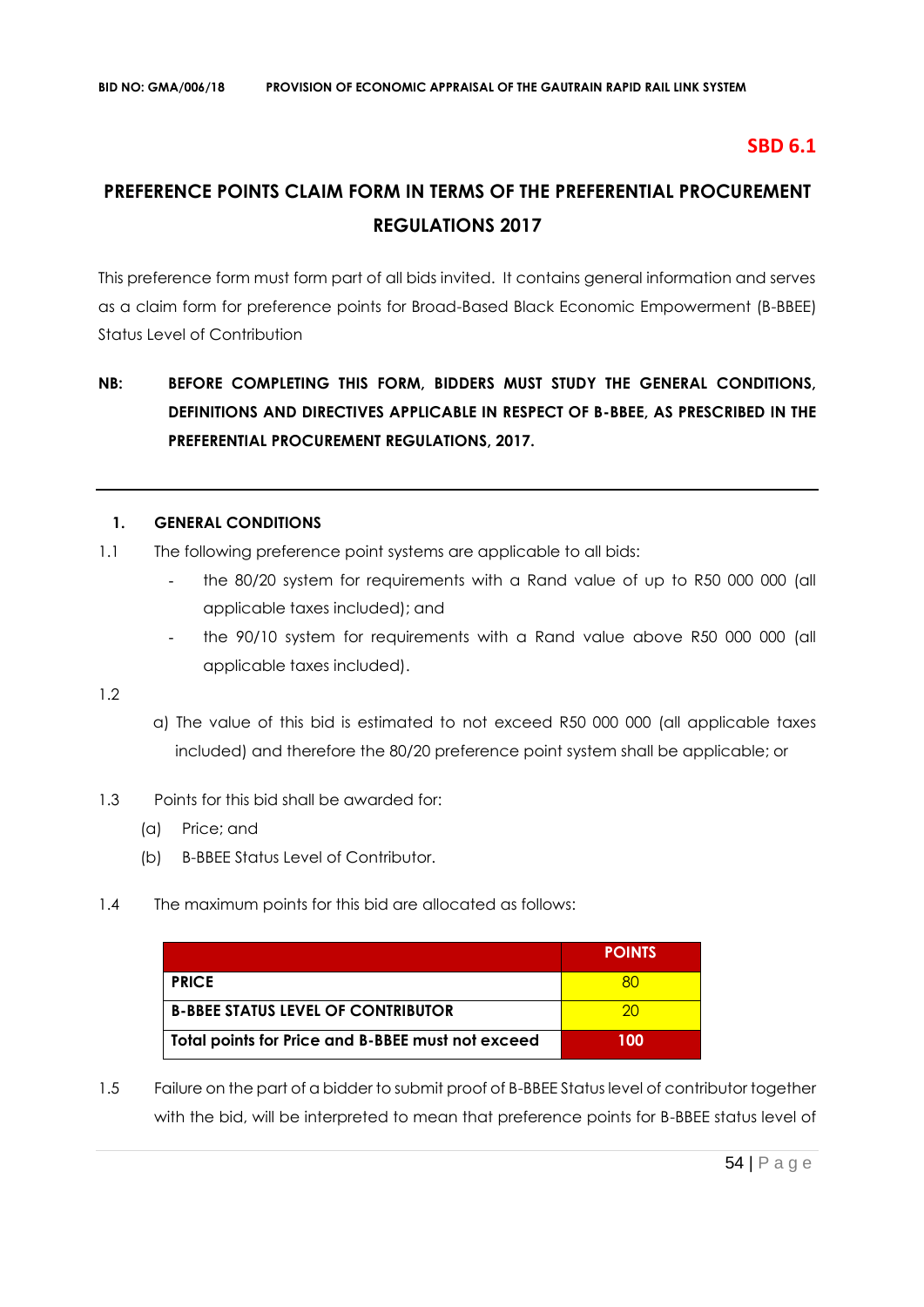### **SBD 6.1**

# **PREFERENCE POINTS CLAIM FORM IN TERMS OF THE PREFERENTIAL PROCUREMENT REGULATIONS 2017**

This preference form must form part of all bids invited. It contains general information and serves as a claim form for preference points for Broad-Based Black Economic Empowerment (B-BBEE) Status Level of Contribution

## **NB: BEFORE COMPLETING THIS FORM, BIDDERS MUST STUDY THE GENERAL CONDITIONS, DEFINITIONS AND DIRECTIVES APPLICABLE IN RESPECT OF B-BBEE, AS PRESCRIBED IN THE PREFERENTIAL PROCUREMENT REGULATIONS, 2017.**

#### **1. GENERAL CONDITIONS**

- 1.1 The following preference point systems are applicable to all bids:
	- the 80/20 system for requirements with a Rand value of up to R50 000 000 (all applicable taxes included); and
	- the 90/10 system for requirements with a Rand value above R50 000 000 (all applicable taxes included).

1.2

- a) The value of this bid is estimated to not exceed R50 000 000 (all applicable taxes included) and therefore the 80/20 preference point system shall be applicable; or
- 1.3 Points for this bid shall be awarded for:
	- (a) Price; and
	- (b) B-BBEE Status Level of Contributor.
- 1.4 The maximum points for this bid are allocated as follows:

|                                                   | <b>POINTS</b> |
|---------------------------------------------------|---------------|
| <b>PRICE</b>                                      |               |
| <b>B-BBEE STATUS LEVEL OF CONTRIBUTOR</b>         | חל            |
| Total points for Price and B-BBEE must not exceed | 100           |

1.5 Failure on the part of a bidder to submit proof of B-BBEE Status level of contributor together with the bid, will be interpreted to mean that preference points for B-BBEE status level of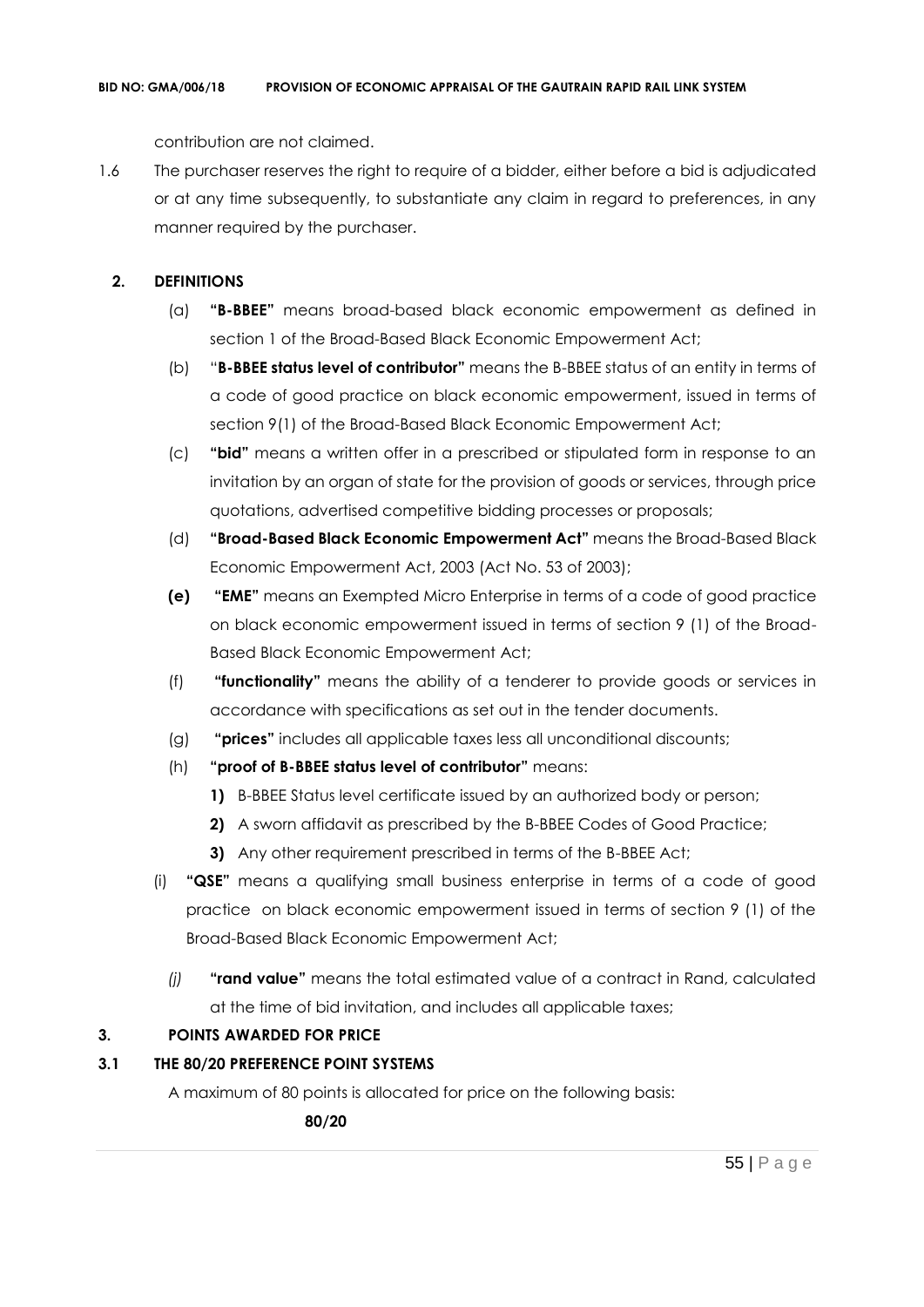contribution are not claimed.

1.6 The purchaser reserves the right to require of a bidder, either before a bid is adjudicated or at any time subsequently, to substantiate any claim in regard to preferences, in any manner required by the purchaser.

### **2. DEFINITIONS**

- (a) **"B-BBEE"** means broad-based black economic empowerment as defined in section 1 of the Broad-Based Black Economic Empowerment Act;
- (b) "**B-BBEE status level of contributor"** means the B-BBEE status of an entity in terms of a code of good practice on black economic empowerment, issued in terms of section 9(1) of the Broad-Based Black Economic Empowerment Act;
- (c) **"bid"** means a written offer in a prescribed or stipulated form in response to an invitation by an organ of state for the provision of goods or services, through price quotations, advertised competitive bidding processes or proposals;
- (d) **"Broad-Based Black Economic Empowerment Act"** means the Broad-Based Black Economic Empowerment Act, 2003 (Act No. 53 of 2003);
- **(e) "EME"** means an Exempted Micro Enterprise in terms of a code of good practice on black economic empowerment issued in terms of section 9 (1) of the Broad-Based Black Economic Empowerment Act;
- (f) **"functionality"** means the ability of a tenderer to provide goods or services in accordance with specifications as set out in the tender documents.
- (g) **"prices"** includes all applicable taxes less all unconditional discounts;
- (h) **"proof of B-BBEE status level of contributor"** means:
	- **1)** B-BBEE Status level certificate issued by an authorized body or person;
	- **2)** A sworn affidavit as prescribed by the B-BBEE Codes of Good Practice;
	- **3)** Any other requirement prescribed in terms of the B-BBEE Act;
- (i) **"QSE"** means a qualifying small business enterprise in terms of a code of good practice on black economic empowerment issued in terms of section 9 (1) of the Broad-Based Black Economic Empowerment Act;
	- *(j)* **"rand value"** means the total estimated value of a contract in Rand, calculated at the time of bid invitation, and includes all applicable taxes;

### **3. POINTS AWARDED FOR PRICE**

### **3.1 THE 80/20 PREFERENCE POINT SYSTEMS**

A maximum of 80 points is allocated for price on the following basis:

 **80/20**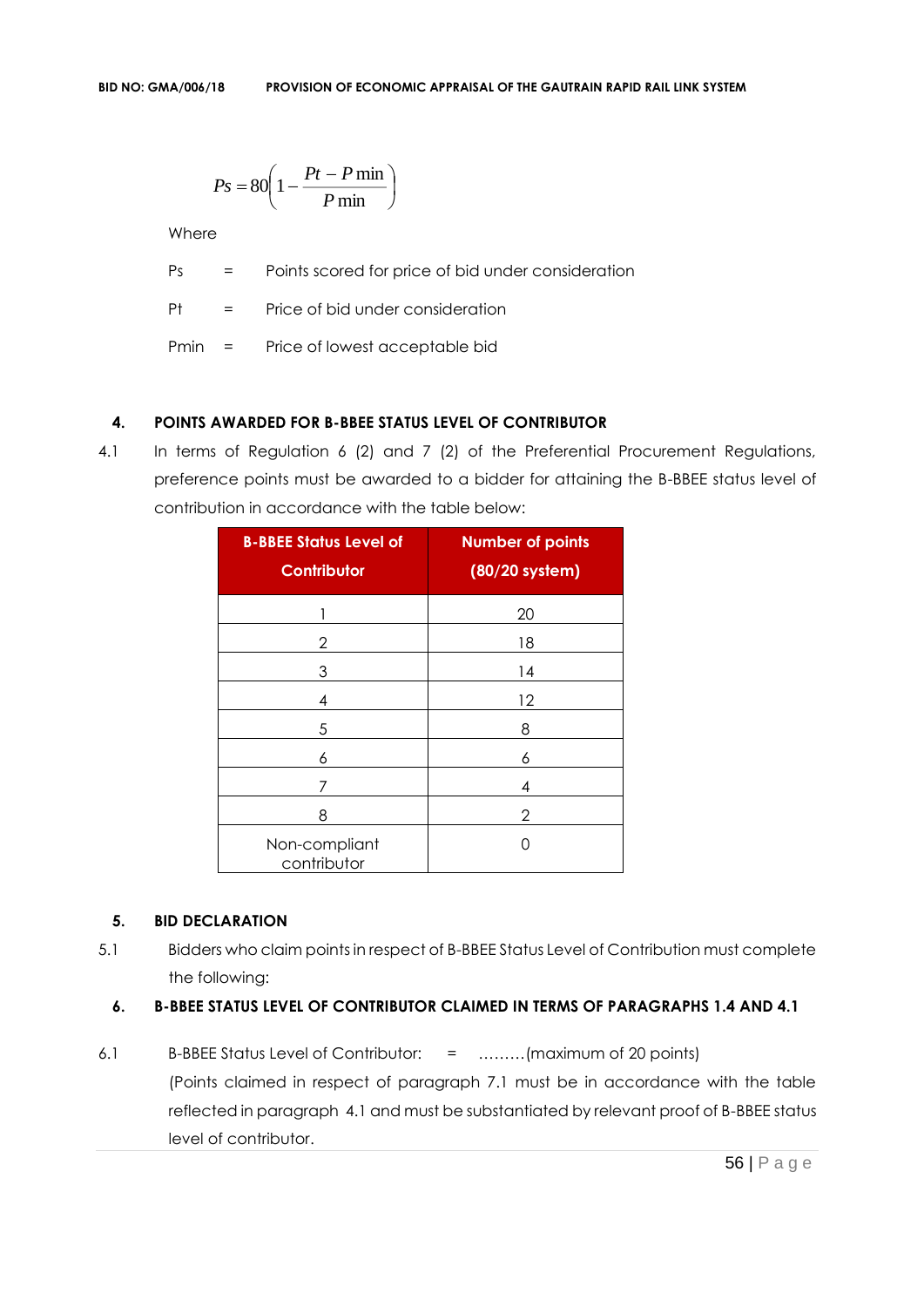$$
Ps = 80 \left( 1 - \frac{Pt - P \min P}{ \min} \right)
$$

**Where** 

Ps = Points scored for price of bid under consideration

Pt = Price of bid under consideration

Pmin = Price of lowest acceptable bid

### **4. POINTS AWARDED FOR B-BBEE STATUS LEVEL OF CONTRIBUTOR**

4.1 In terms of Regulation 6 (2) and 7 (2) of the Preferential Procurement Regulations, preference points must be awarded to a bidder for attaining the B-BBEE status level of contribution in accordance with the table below:

| <b>B-BBEE Status Level of</b><br><b>Contributor</b> | <b>Number of points</b><br>(80/20 system) |
|-----------------------------------------------------|-------------------------------------------|
| 1                                                   | 20                                        |
| 2                                                   | 18                                        |
| 3                                                   | 14                                        |
| 4                                                   | 12                                        |
| 5                                                   | 8                                         |
| 6                                                   | 6                                         |
| 7                                                   | 4                                         |
| 8                                                   | 2                                         |
| Non-compliant<br>contributor                        | Ω                                         |

### **5. BID DECLARATION**

5.1 Bidders who claim points in respect of B-BBEE Status Level of Contribution must complete the following:

#### **6. B-BBEE STATUS LEVEL OF CONTRIBUTOR CLAIMED IN TERMS OF PARAGRAPHS 1.4 AND 4.1**

6.1 B-BBEE Status Level of Contributor: = ………(maximum of 20 points) (Points claimed in respect of paragraph 7.1 must be in accordance with the table reflected in paragraph 4.1 and must be substantiated by relevant proof of B-BBEE status level of contributor.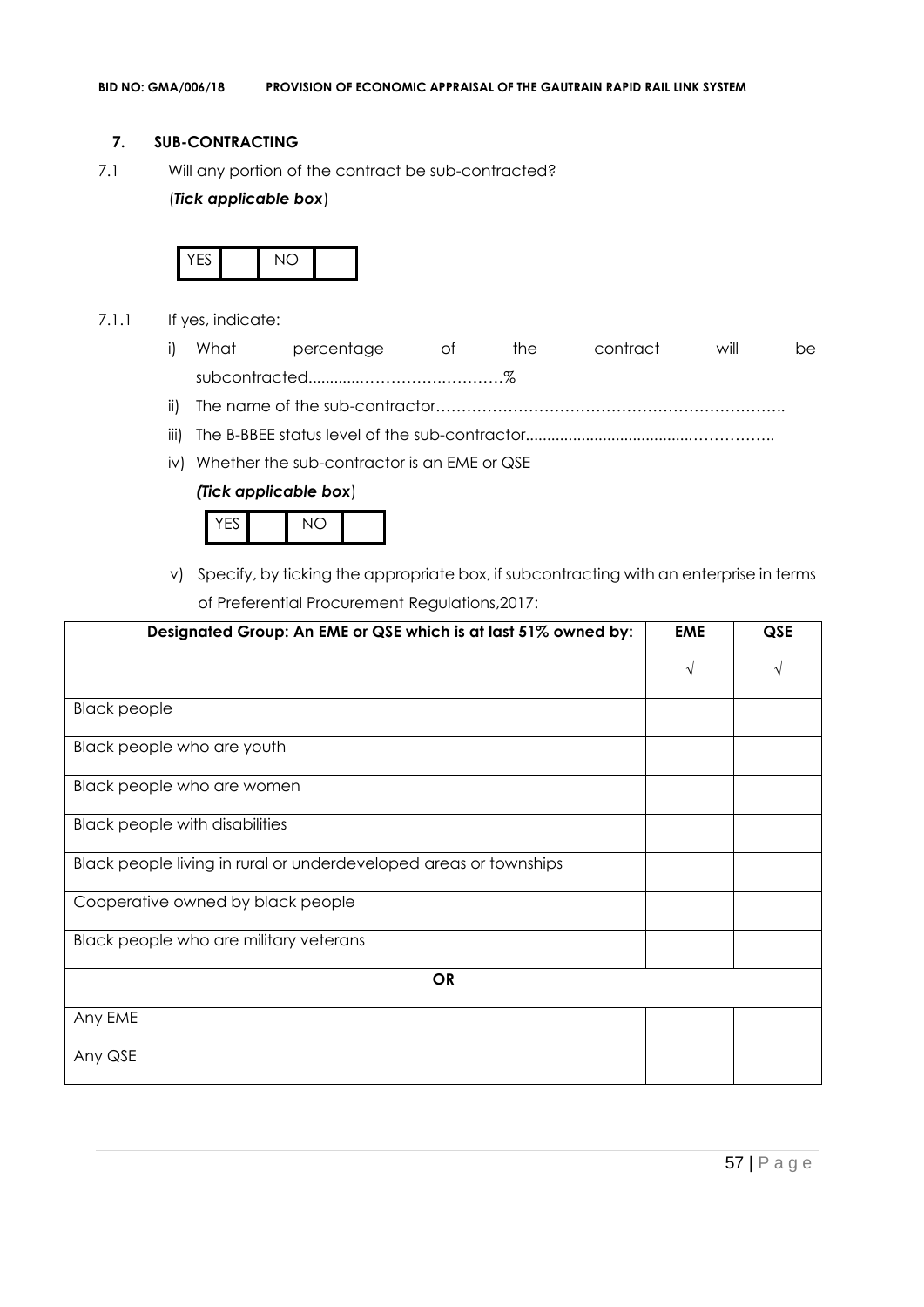#### **7. SUB-CONTRACTING**

7.1 Will any portion of the contract be sub-contracted?

### (*Tick applicable box*)



- 7.1.1 If yes, indicate:
	- i) What percentage of the contract will be subcontracted............…………….…………%
	- ii) The name of the sub-contractor…………………………………………………………..
	- iii) The B-BBEE status level of the sub-contractor......................................……………..
	- iv) Whether the sub-contractor is an EME or QSE

### *(Tick applicable box*)



v) Specify, by ticking the appropriate box, if subcontracting with an enterprise in terms of Preferential Procurement Regulations,2017:

| Designated Group: An EME or QSE which is at last 51% owned by:    | <b>EME</b> | <b>QSE</b> |
|-------------------------------------------------------------------|------------|------------|
|                                                                   | $\sqrt{ }$ |            |
| <b>Black people</b>                                               |            |            |
| Black people who are youth                                        |            |            |
| Black people who are women                                        |            |            |
| <b>Black people with disabilities</b>                             |            |            |
| Black people living in rural or underdeveloped areas or townships |            |            |
| Cooperative owned by black people                                 |            |            |
| Black people who are military veterans                            |            |            |
| <b>OR</b>                                                         |            |            |
| Any EME                                                           |            |            |
| Any QSE                                                           |            |            |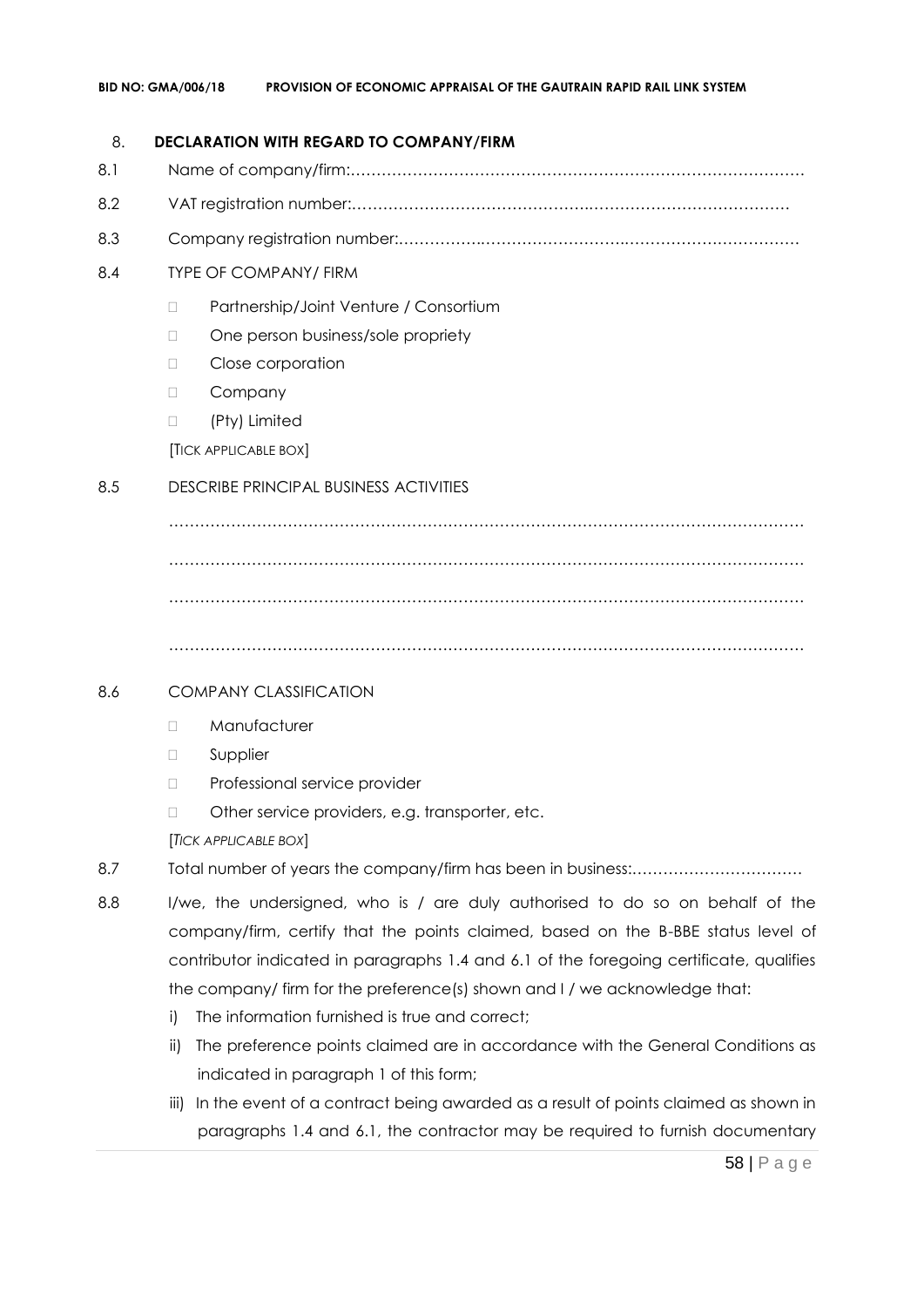#### 8. **DECLARATION WITH REGARD TO COMPANY/FIRM**

- 8.1 Name of company/firm:…………………………………………………………………………….
- 8.2 VAT registration number:……………………………………….…………………………………
- 8.3 Company registration number:…………….……………………….…………………………….

### 8.4 TYPE OF COMPANY/ FIRM

- □ Partnership/Joint Venture / Consortium
- □ One person business/sole propriety
- D Close corporation
- D Company
- (Pty) Limited

[TICK APPLICABLE BOX]

### 8.5 DESCRIBE PRINCIPAL BUSINESS ACTIVITIES

…………………………………………………………………………………………………………… …………………………………………………………………………………………………………… ……………………………………………………………………………………………………………

……………………………………………………………………………………………………………

### 8.6 COMPANY CLASSIFICATION

- D Manufacturer
- **D** Supplier
- D Professional service provider
- □ Other service providers, e.g. transporter, etc.

[*TICK APPLICABLE BOX*]

- 8.7 Total number of years the company/firm has been in business:……………………………
- 8.8 I/we, the undersigned, who is / are duly authorised to do so on behalf of the company/firm, certify that the points claimed, based on the B-BBE status level of contributor indicated in paragraphs 1.4 and 6.1 of the foregoing certificate, qualifies the company/ firm for the preference(s) shown and I / we acknowledge that:
	- i) The information furnished is true and correct;
	- ii) The preference points claimed are in accordance with the General Conditions as indicated in paragraph 1 of this form;
	- iii) In the event of a contract being awarded as a result of points claimed as shown in paragraphs 1.4 and 6.1, the contractor may be required to furnish documentary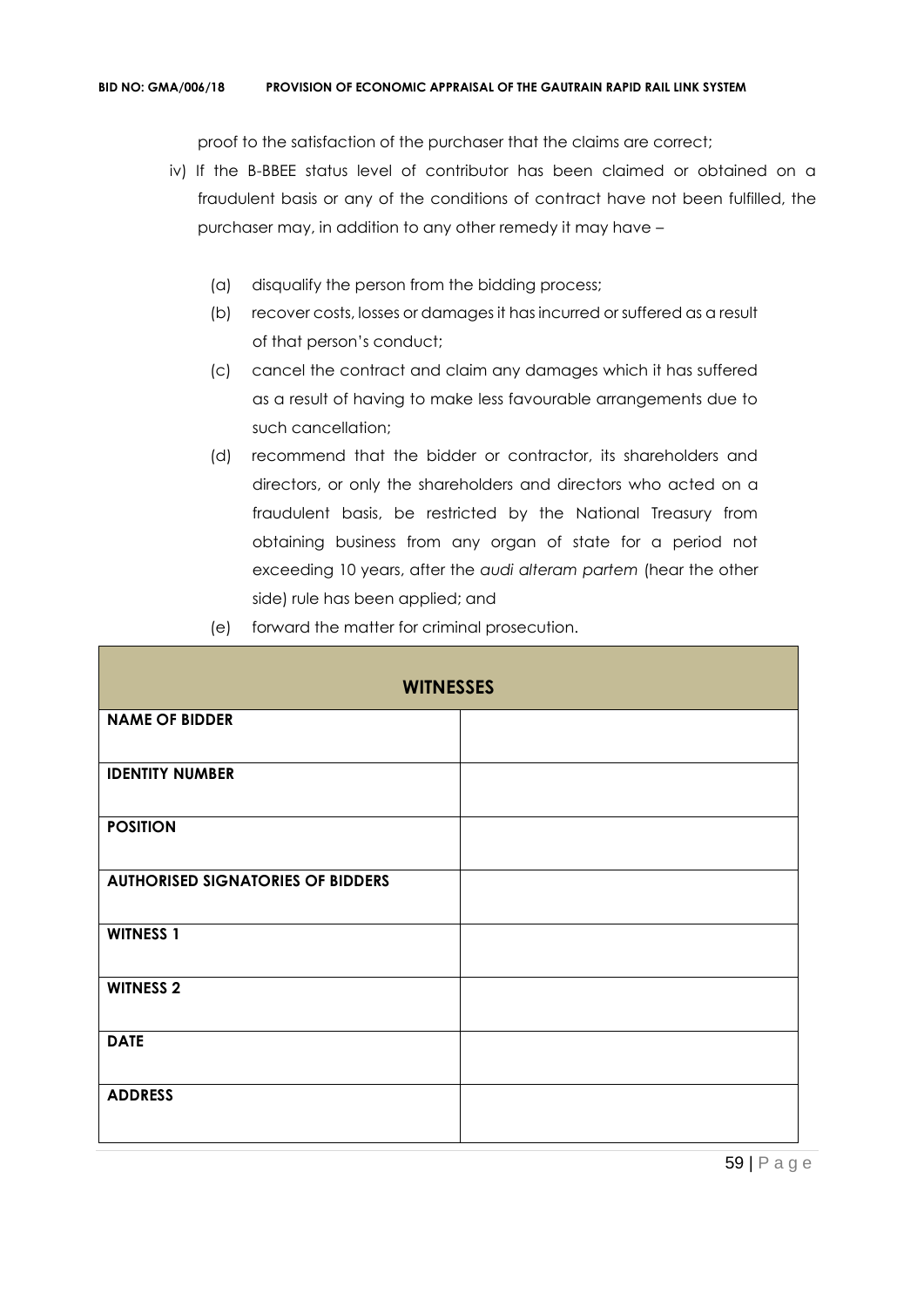proof to the satisfaction of the purchaser that the claims are correct;

- iv) If the B-BBEE status level of contributor has been claimed or obtained on a fraudulent basis or any of the conditions of contract have not been fulfilled, the purchaser may, in addition to any other remedy it may have –
	- (a) disqualify the person from the bidding process;
	- (b) recover costs, losses or damages it has incurred or suffered as a result of that person's conduct;
	- (c) cancel the contract and claim any damages which it has suffered as a result of having to make less favourable arrangements due to such cancellation;
	- (d) recommend that the bidder or contractor, its shareholders and directors, or only the shareholders and directors who acted on a fraudulent basis, be restricted by the National Treasury from obtaining business from any organ of state for a period not exceeding 10 years, after the *audi alteram partem* (hear the other side) rule has been applied; and
	- (e) forward the matter for criminal prosecution.

| <b>WITNESSES</b>                         |  |  |
|------------------------------------------|--|--|
| <b>NAME OF BIDDER</b>                    |  |  |
| <b>IDENTITY NUMBER</b>                   |  |  |
| <b>POSITION</b>                          |  |  |
| <b>AUTHORISED SIGNATORIES OF BIDDERS</b> |  |  |
| <b>WITNESS 1</b>                         |  |  |
| <b>WITNESS 2</b>                         |  |  |
| <b>DATE</b>                              |  |  |
| <b>ADDRESS</b>                           |  |  |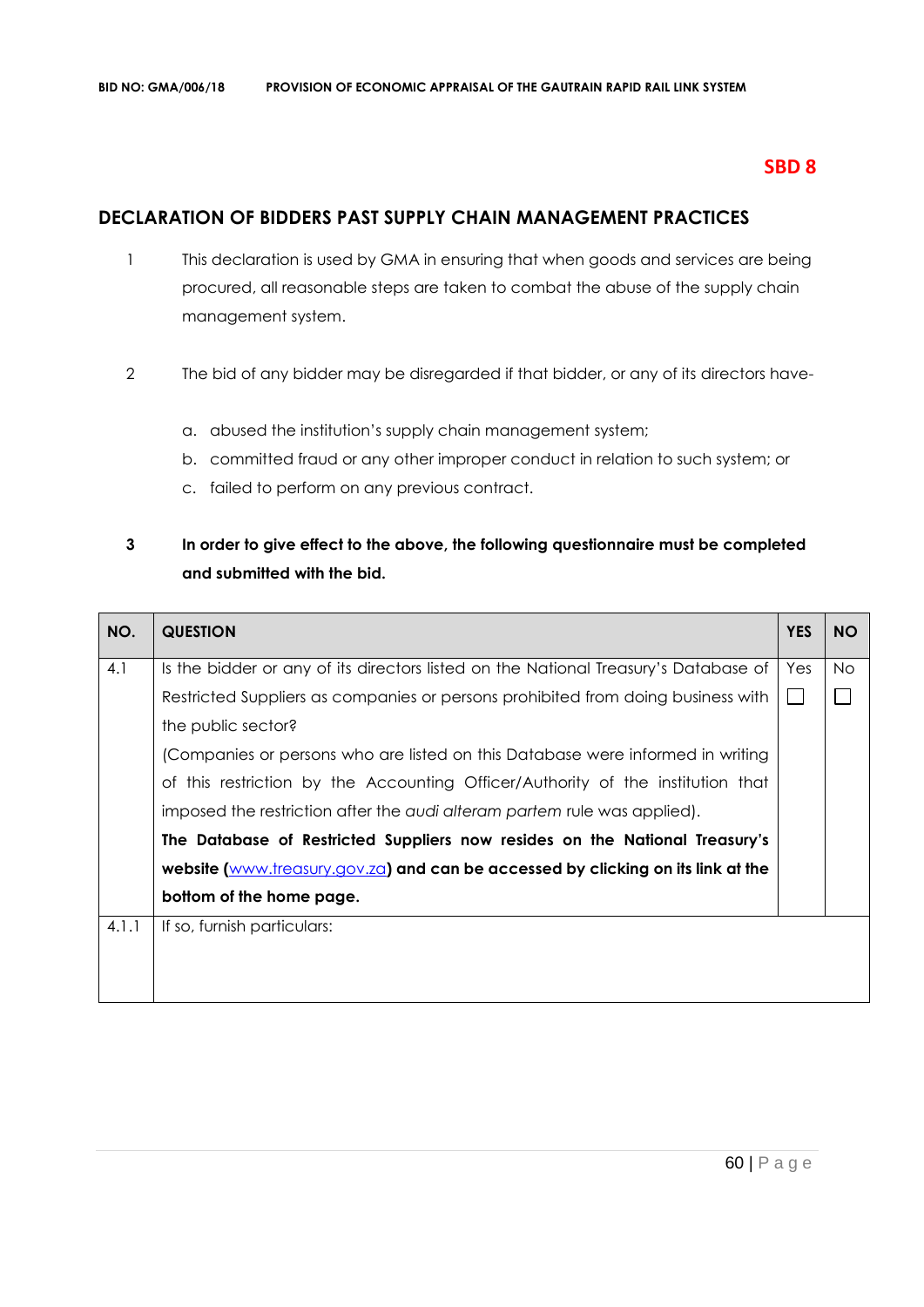### **SBD 8**

### **DECLARATION OF BIDDERS PAST SUPPLY CHAIN MANAGEMENT PRACTICES**

- 1 This declaration is used by GMA in ensuring that when goods and services are being procured, all reasonable steps are taken to combat the abuse of the supply chain management system.
- 2 The bid of any bidder may be disregarded if that bidder, or any of its directors have
	- a. abused the institution's supply chain management system;
	- b. committed fraud or any other improper conduct in relation to such system; or
	- c. failed to perform on any previous contract.

### **3 In order to give effect to the above, the following questionnaire must be completed and submitted with the bid.**

| NO.   | <b>QUESTION</b>                                                                     | <b>YES</b> | <b>NO</b> |
|-------|-------------------------------------------------------------------------------------|------------|-----------|
| 4.1   | Is the bidder or any of its directors listed on the National Treasury's Database of | Yes        | No.       |
|       | Restricted Suppliers as companies or persons prohibited from doing business with    |            |           |
|       | the public sector?                                                                  |            |           |
|       | (Companies or persons who are listed on this Database were informed in writing      |            |           |
|       | of this restriction by the Accounting Officer/Authority of the institution that     |            |           |
|       | imposed the restriction after the audi alteram partem rule was applied).            |            |           |
|       | The Database of Restricted Suppliers now resides on the National Treasury's         |            |           |
|       | website (www.treasury.gov.za) and can be accessed by clicking on its link at the    |            |           |
|       | bottom of the home page.                                                            |            |           |
| 4.1.1 | If so, furnish particulars:                                                         |            |           |
|       |                                                                                     |            |           |
|       |                                                                                     |            |           |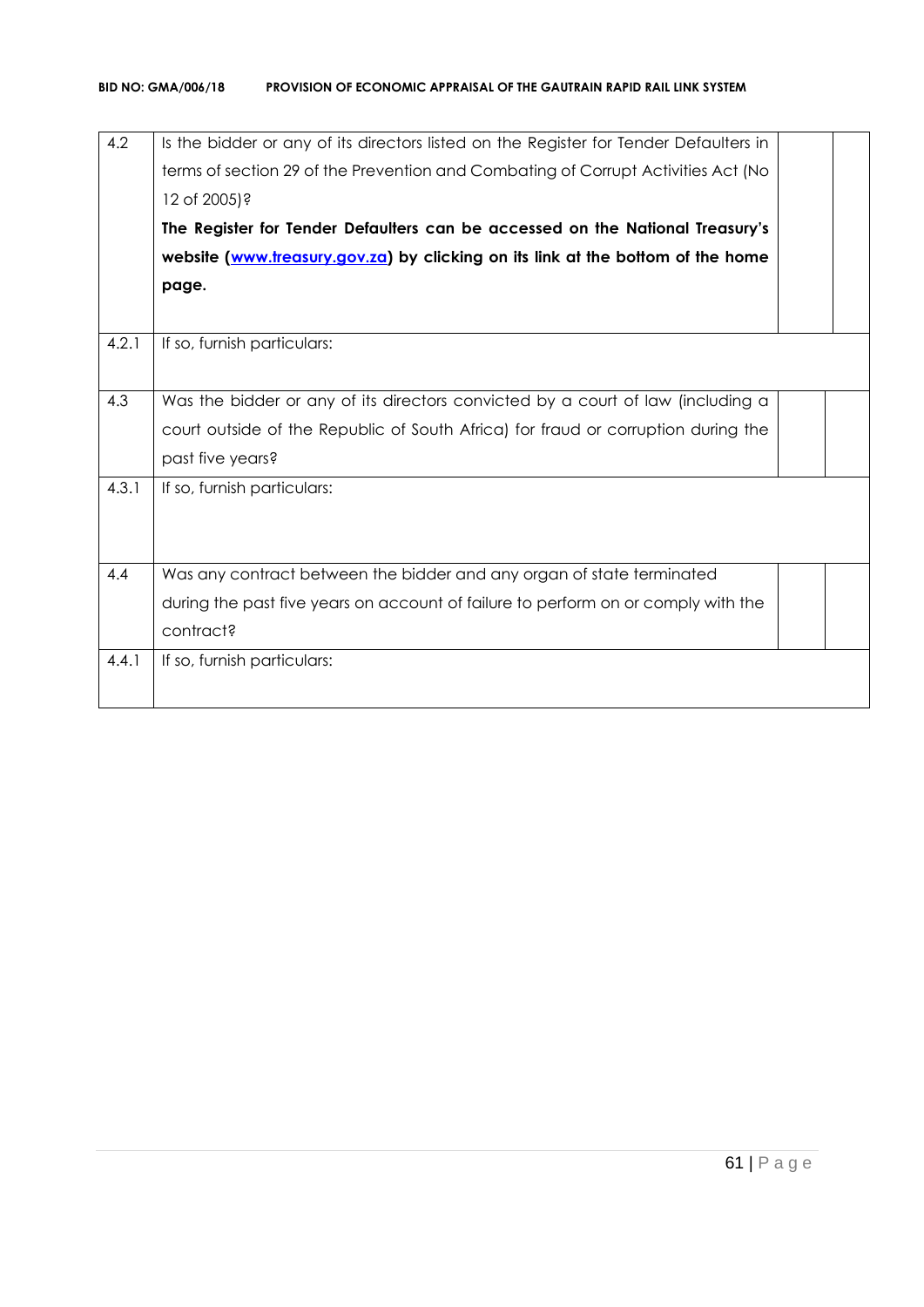| Is the bidder or any of its directors listed on the Register for Tender Defaulters in |  |
|---------------------------------------------------------------------------------------|--|
| terms of section 29 of the Prevention and Combating of Corrupt Activities Act (No     |  |
| 12 of 2005)?                                                                          |  |
| The Register for Tender Defaulters can be accessed on the National Treasury's         |  |
| website (www.treasury.gov.za) by clicking on its link at the bottom of the home       |  |
| page.                                                                                 |  |
|                                                                                       |  |
| If so, furnish particulars:                                                           |  |
|                                                                                       |  |
| Was the bidder or any of its directors convicted by a court of law (including a       |  |
| court outside of the Republic of South Africa) for fraud or corruption during the     |  |
| past five years?                                                                      |  |
| If so, furnish particulars:                                                           |  |
|                                                                                       |  |
|                                                                                       |  |
| Was any contract between the bidder and any organ of state terminated                 |  |
| during the past five years on account of failure to perform on or comply with the     |  |
| contract?                                                                             |  |
| If so, furnish particulars:                                                           |  |
|                                                                                       |  |
|                                                                                       |  |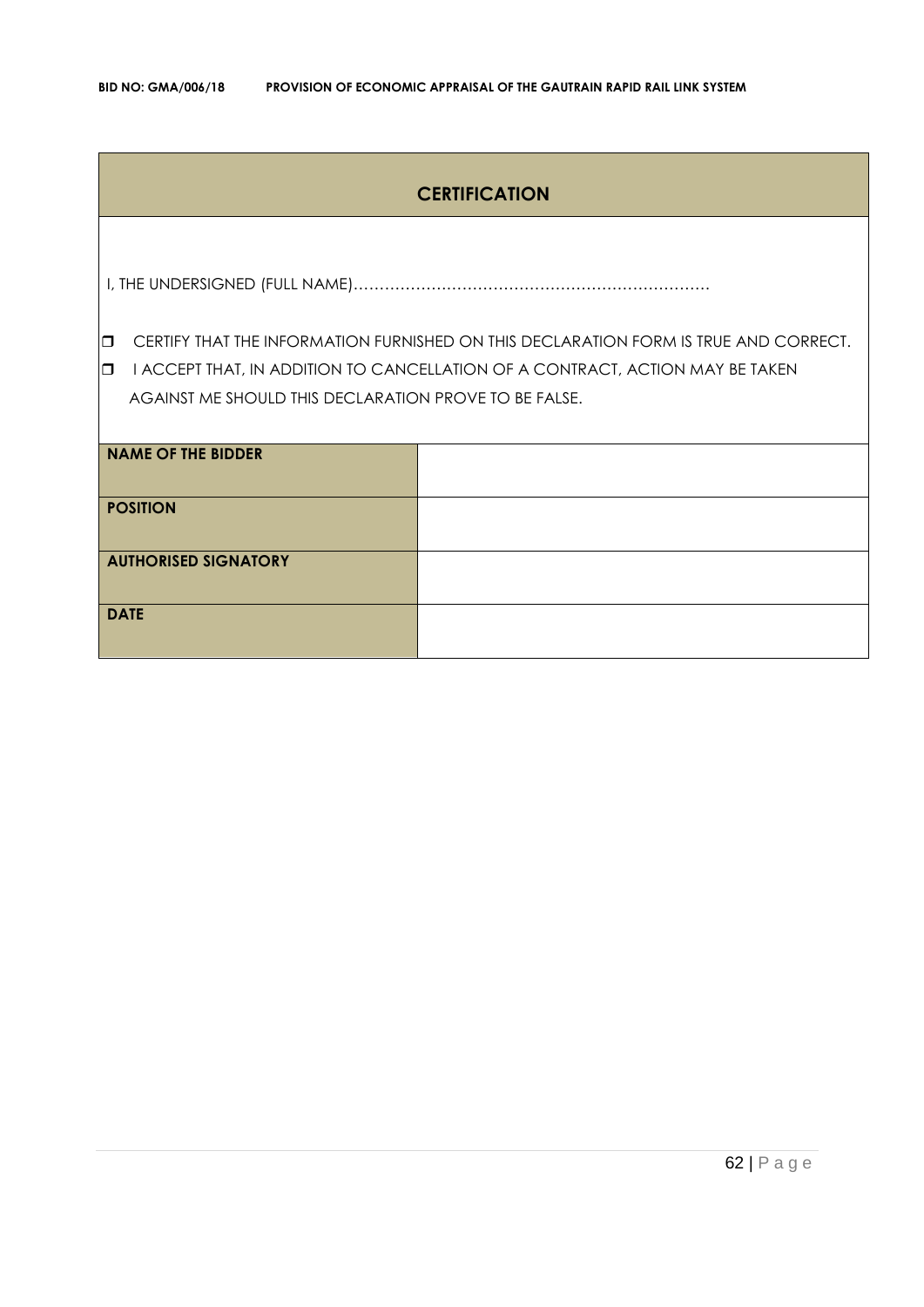### **CERTIFICATION**

I, THE UNDERSIGNED (FULL NAME)……………………………………………………………

**CERTIFY THAT THE INFORMATION FURNISHED ON THIS DECLARATION FORM IS TRUE AND CORRECT.** 

**I I ACCEPT THAT, IN ADDITION TO CANCELLATION OF A CONTRACT, ACTION MAY BE TAKEN** AGAINST ME SHOULD THIS DECLARATION PROVE TO BE FALSE.

| <b>NAME OF THE BIDDER</b>   |  |
|-----------------------------|--|
| <b>POSITION</b>             |  |
| <b>AUTHORISED SIGNATORY</b> |  |
| <b>DATE</b>                 |  |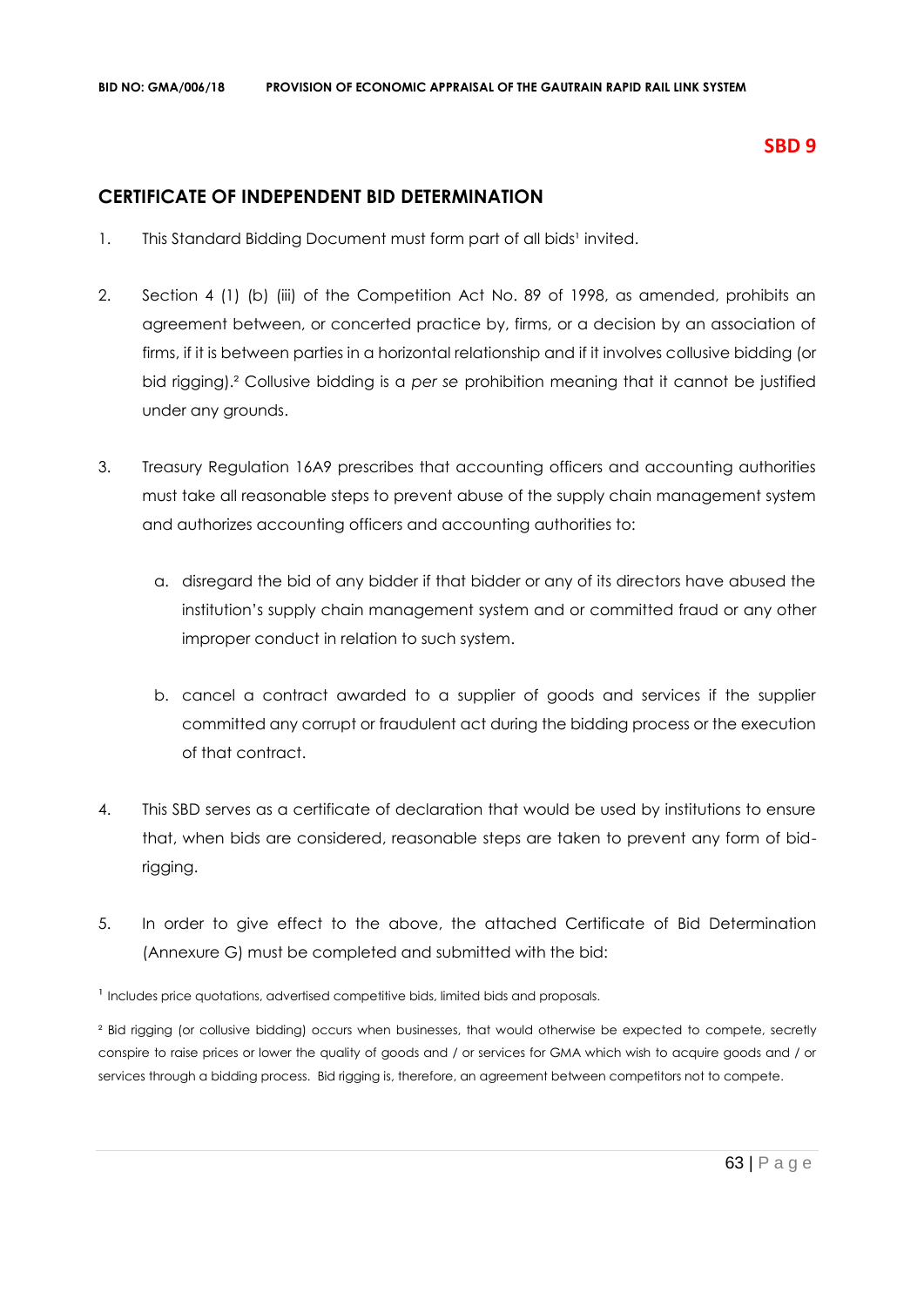### **SBD 9**

### **CERTIFICATE OF INDEPENDENT BID DETERMINATION**

- 1. This Standard Bidding Document must form part of all bids<sup>1</sup> invited.
- 2. Section 4 (1) (b) (iii) of the Competition Act No. 89 of 1998, as amended, prohibits an agreement between, or concerted practice by, firms, or a decision by an association of firms, if it is between parties in a horizontal relationship and if it involves collusive bidding (or bid rigging).² Collusive bidding is a *per se* prohibition meaning that it cannot be justified under any grounds.
- 3. Treasury Regulation 16A9 prescribes that accounting officers and accounting authorities must take all reasonable steps to prevent abuse of the supply chain management system and authorizes accounting officers and accounting authorities to:
	- a. disregard the bid of any bidder if that bidder or any of its directors have abused the institution's supply chain management system and or committed fraud or any other improper conduct in relation to such system.
	- b. cancel a contract awarded to a supplier of goods and services if the supplier committed any corrupt or fraudulent act during the bidding process or the execution of that contract.
- 4. This SBD serves as a certificate of declaration that would be used by institutions to ensure that, when bids are considered, reasonable steps are taken to prevent any form of bidrigging.
- 5. In order to give effect to the above, the attached Certificate of Bid Determination (Annexure G) must be completed and submitted with the bid:

<sup>1</sup> Includes price quotations, advertised competitive bids, limited bids and proposals.

<sup>2</sup> Bid rigging (or collusive bidding) occurs when businesses, that would otherwise be expected to compete, secretly conspire to raise prices or lower the quality of goods and / or services for GMA which wish to acquire goods and / or services through a bidding process. Bid rigging is, therefore, an agreement between competitors not to compete.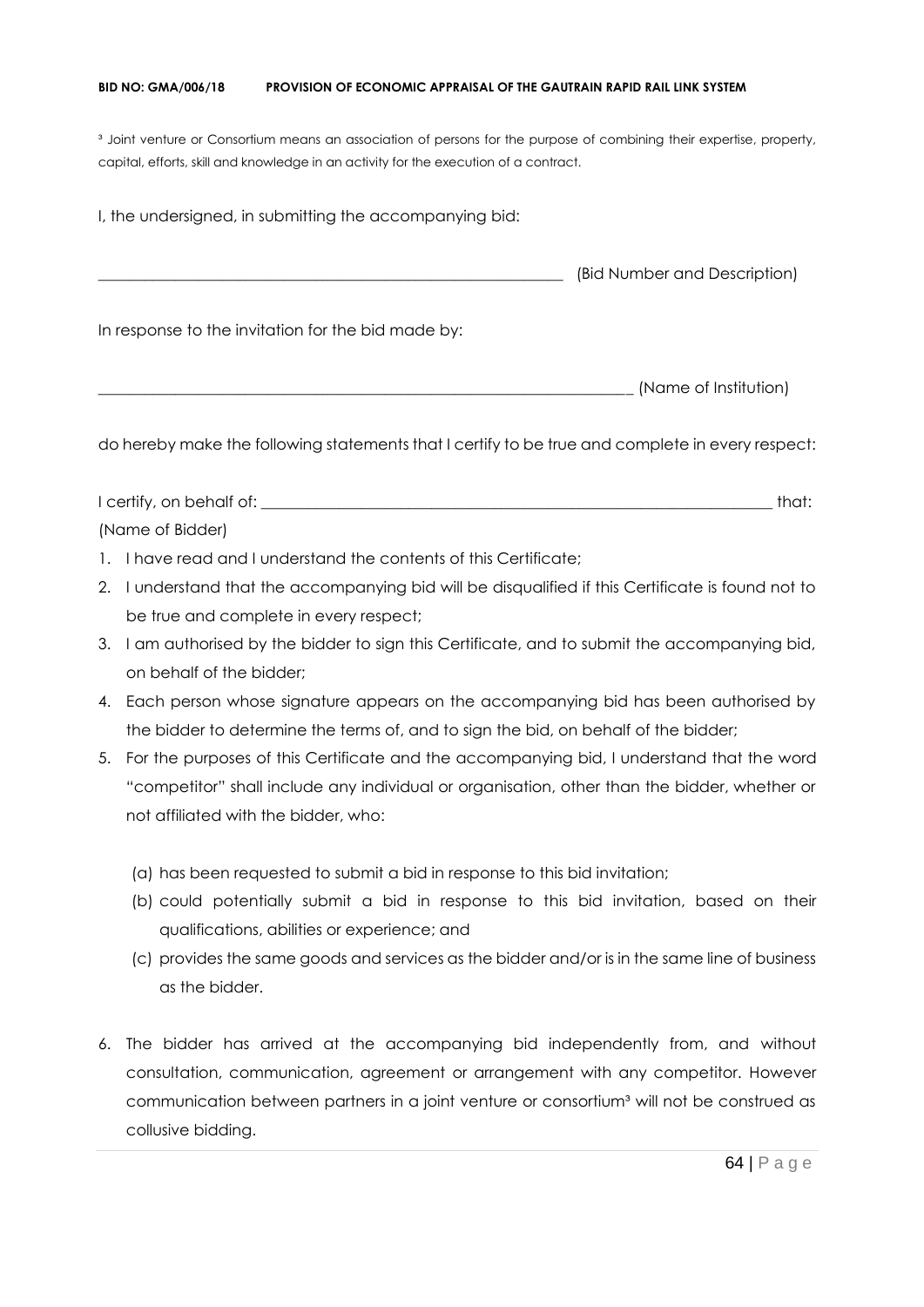#### **BID NO: GMA/006/18 PROVISION OF ECONOMIC APPRAISAL OF THE GAUTRAIN RAPID RAIL LINK SYSTEM**

<sup>3</sup> Joint venture or Consortium means an association of persons for the purpose of combining their expertise, property, capital, efforts, skill and knowledge in an activity for the execution of a contract.

I, the undersigned, in submitting the accompanying bid: \_\_\_\_\_\_\_\_\_\_\_\_\_\_\_\_\_\_\_\_\_\_\_\_\_\_\_\_\_\_\_\_\_\_\_\_\_\_\_\_\_\_\_\_\_\_\_\_\_\_\_\_\_\_\_\_\_\_\_\_ (Bid Number and Description) In response to the invitation for the bid made by: \_\_\_\_\_\_\_\_\_\_\_\_\_\_\_\_\_\_\_\_\_\_\_\_\_\_\_\_\_\_\_\_\_\_\_\_\_\_\_\_\_\_\_\_\_\_\_\_\_\_\_\_\_\_\_\_\_\_\_\_\_\_\_\_\_\_\_\_\_ (Name of Institution)

do hereby make the following statements that I certify to be true and complete in every respect:

I certify, on behalf of: the state of the state of the state of the state of the state of the state of the state of the state of the state of the state of the state of the state of the state of the state of the state of th (Name of Bidder)

- 1. I have read and I understand the contents of this Certificate;
- 2. I understand that the accompanying bid will be disqualified if this Certificate is found not to be true and complete in every respect;
- 3. I am authorised by the bidder to sign this Certificate, and to submit the accompanying bid, on behalf of the bidder;
- 4. Each person whose signature appears on the accompanying bid has been authorised by the bidder to determine the terms of, and to sign the bid, on behalf of the bidder;
- 5. For the purposes of this Certificate and the accompanying bid, I understand that the word "competitor" shall include any individual or organisation, other than the bidder, whether or not affiliated with the bidder, who:
	- (a) has been requested to submit a bid in response to this bid invitation;
	- (b) could potentially submit a bid in response to this bid invitation, based on their qualifications, abilities or experience; and
	- (c) provides the same goods and services as the bidder and/or is in the same line of business as the bidder.
- 6. The bidder has arrived at the accompanying bid independently from, and without consultation, communication, agreement or arrangement with any competitor. However communication between partners in a joint venture or consortium<sup>3</sup> will not be construed as collusive bidding.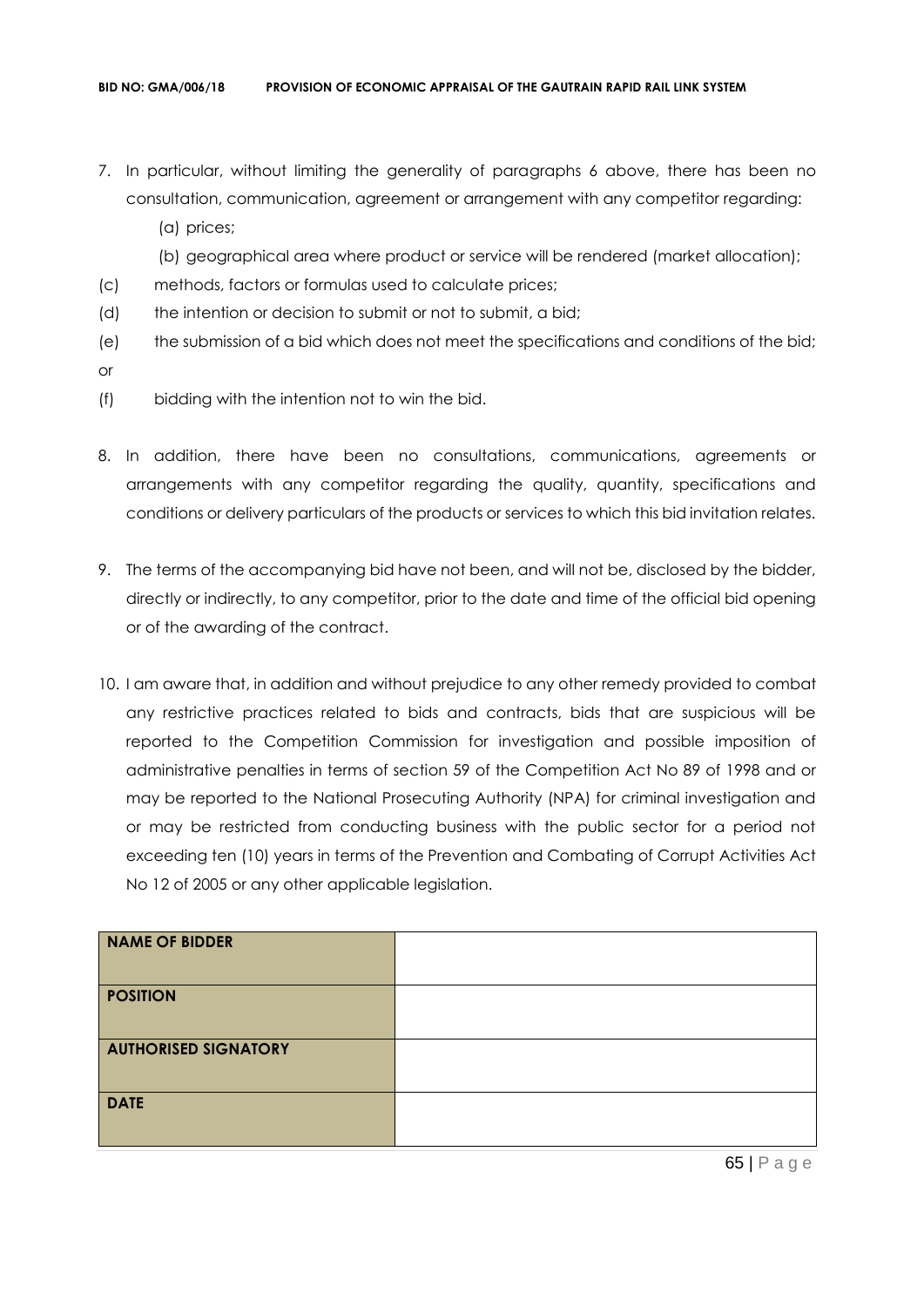- 7. In particular, without limiting the generality of paragraphs 6 above, there has been no consultation, communication, agreement or arrangement with any competitor regarding:
	- (a) prices;
	- (b) geographical area where product or service will be rendered (market allocation);
- (c) methods, factors or formulas used to calculate prices;
- (d) the intention or decision to submit or not to submit, a bid;
- (e) the submission of a bid which does not meet the specifications and conditions of the bid; or
- (f) bidding with the intention not to win the bid.
- 8. In addition, there have been no consultations, communications, agreements or arrangements with any competitor regarding the quality, quantity, specifications and conditions or delivery particulars of the products or services to which this bid invitation relates.
- 9. The terms of the accompanying bid have not been, and will not be, disclosed by the bidder, directly or indirectly, to any competitor, prior to the date and time of the official bid opening or of the awarding of the contract.
- 10. I am aware that, in addition and without prejudice to any other remedy provided to combat any restrictive practices related to bids and contracts, bids that are suspicious will be reported to the Competition Commission for investigation and possible imposition of administrative penalties in terms of section 59 of the Competition Act No 89 of 1998 and or may be reported to the National Prosecuting Authority (NPA) for criminal investigation and or may be restricted from conducting business with the public sector for a period not exceeding ten (10) years in terms of the Prevention and Combating of Corrupt Activities Act No 12 of 2005 or any other applicable legislation.

| NAME OF BIDDER              |  |
|-----------------------------|--|
| <b>POSITION</b>             |  |
| <b>AUTHORISED SIGNATORY</b> |  |
| <b>DATE</b>                 |  |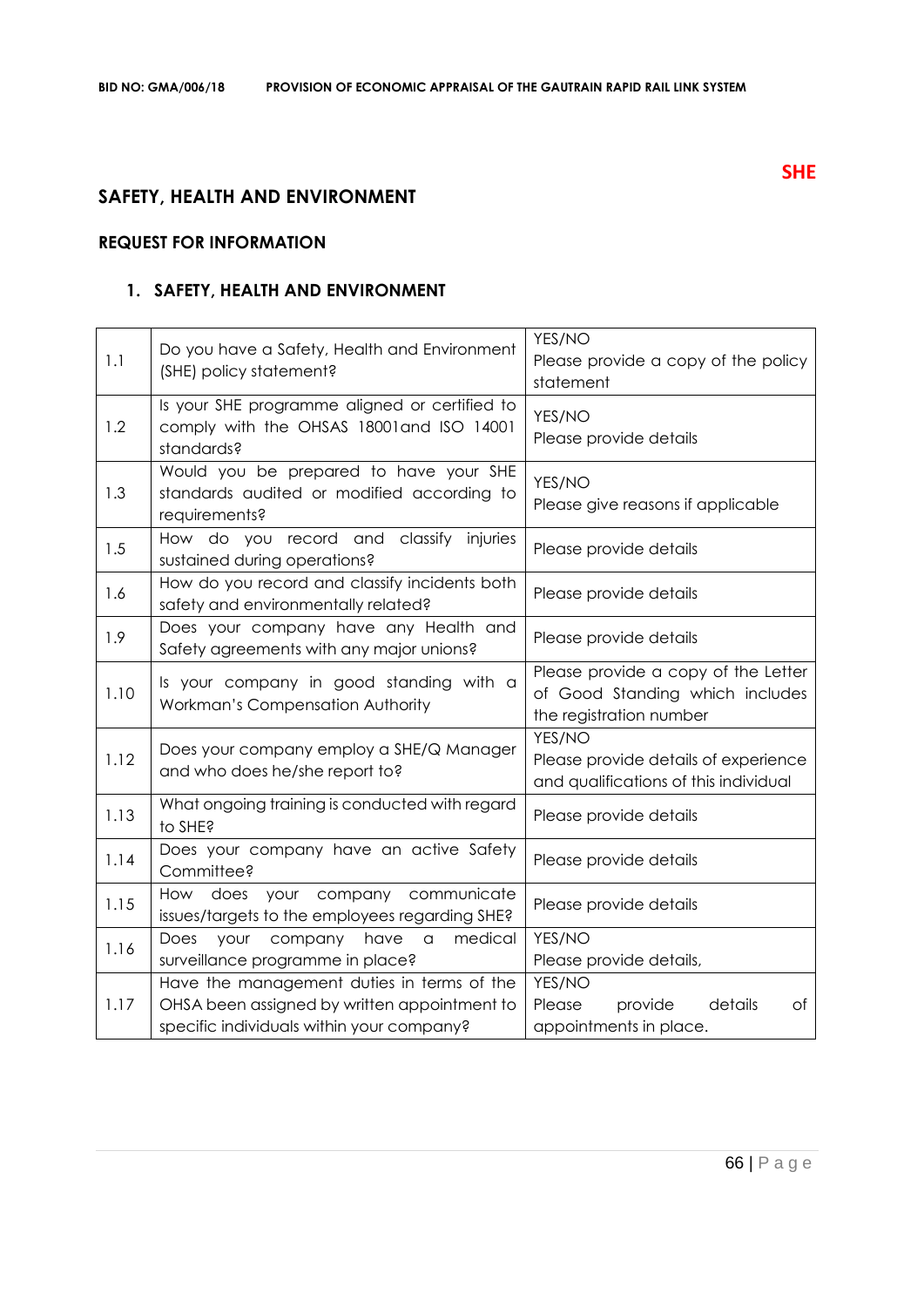# **SAFETY, HEALTH AND ENVIRONMENT**

### **REQUEST FOR INFORMATION**

### **1. SAFETY, HEALTH AND ENVIRONMENT**

| 1.1  | Do you have a Safety, Health and Environment<br>(SHE) policy statement?                                                                 | YES/NO<br>Please provide a copy of the policy<br>statement                                        |
|------|-----------------------------------------------------------------------------------------------------------------------------------------|---------------------------------------------------------------------------------------------------|
| 1.2  | Is your SHE programme aligned or certified to<br>comply with the OHSAS 18001 and ISO 14001<br>standards?                                | YES/NO<br>Please provide details                                                                  |
| 1.3  | Would you be prepared to have your SHE<br>standards audited or modified according to<br>requirements?                                   | YES/NO<br>Please give reasons if applicable                                                       |
| 1.5  | How do you record and classify injuries<br>sustained during operations?                                                                 | Please provide details                                                                            |
| 1.6  | How do you record and classify incidents both<br>safety and environmentally related?                                                    | Please provide details                                                                            |
| 1.9  | Does your company have any Health and<br>Safety agreements with any major unions?                                                       | Please provide details                                                                            |
| 1.10 | Is your company in good standing with a<br>Workman's Compensation Authority                                                             | Please provide a copy of the Letter<br>of Good Standing which includes<br>the registration number |
| 1.12 | Does your company employ a SHE/Q Manager<br>and who does he/she report to?                                                              | YES/NO<br>Please provide details of experience<br>and qualifications of this individual           |
| 1.13 | What ongoing training is conducted with regard<br>to SHE?                                                                               | Please provide details                                                                            |
| 1.14 | Does your company have an active Safety<br>Committee?                                                                                   | Please provide details                                                                            |
| 1.15 | How does your company<br>communicate<br>issues/targets to the employees regarding SHE?                                                  | Please provide details                                                                            |
| 1.16 | medical<br>Does<br>your<br>company<br>have<br>a<br>surveillance programme in place?                                                     | YES/NO<br>Please provide details,                                                                 |
| 1.17 | Have the management duties in terms of the<br>OHSA been assigned by written appointment to<br>specific individuals within your company? | YES/NO<br>details<br>Please<br>provide<br>Оf<br>appointments in place.                            |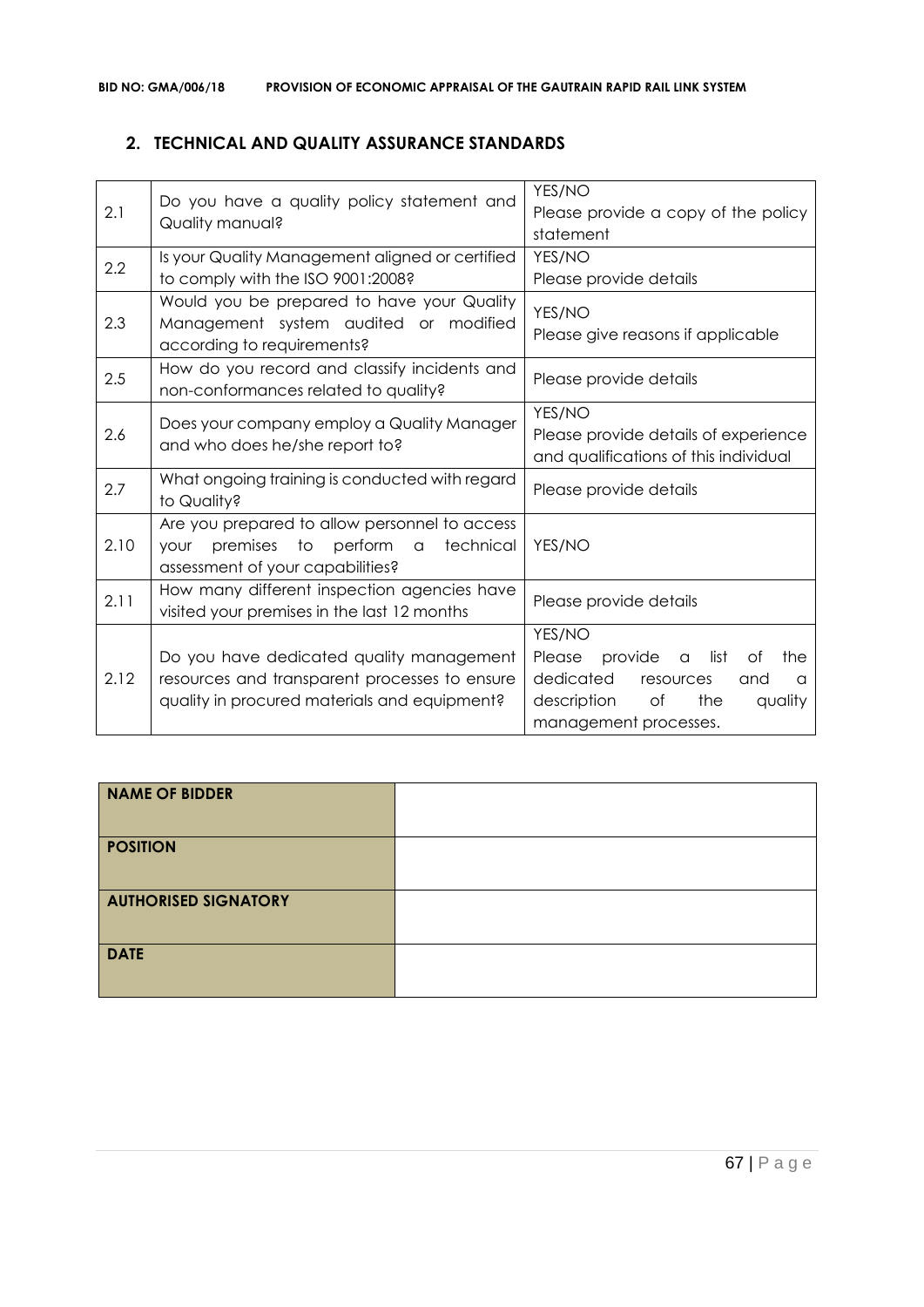### **2. TECHNICAL AND QUALITY ASSURANCE STANDARDS**

| 2.1  | Do you have a quality policy statement and<br>Quality manual?                                                                                | YES/NO<br>Please provide a copy of the policy<br>statement                                                                                                         |
|------|----------------------------------------------------------------------------------------------------------------------------------------------|--------------------------------------------------------------------------------------------------------------------------------------------------------------------|
| 2.2  | Is your Quality Management aligned or certified<br>to comply with the ISO 9001:2008?                                                         | YES/NO<br>Please provide details                                                                                                                                   |
| 2.3  | Would you be prepared to have your Quality<br>Management system audited or modified<br>according to requirements?                            | YES/NO<br>Please give reasons if applicable                                                                                                                        |
| 2.5  | How do you record and classify incidents and<br>non-conformances related to quality?                                                         | Please provide details                                                                                                                                             |
| 2.6  | Does your company employ a Quality Manager<br>and who does he/she report to?                                                                 | YES/NO<br>Please provide details of experience<br>and qualifications of this individual                                                                            |
| 2.7  | What ongoing training is conducted with regard<br>to Quality?                                                                                | Please provide details                                                                                                                                             |
| 2.10 | Are you prepared to allow personnel to access<br>premises to<br>perform<br>technical<br>$\alpha$<br>your<br>assessment of your capabilities? | YES/NO                                                                                                                                                             |
| 2.11 | How many different inspection agencies have<br>visited your premises in the last 12 months                                                   | Please provide details                                                                                                                                             |
| 2.12 | Do you have dedicated quality management<br>resources and transparent processes to ensure<br>quality in procured materials and equipment?    | YES/NO<br>Please<br>provide<br>list<br>the<br>Οf<br>$\alpha$<br>dedicated<br>resources<br>and<br>a<br>the<br>description<br>of<br>quality<br>management processes. |

| <b>NAME OF BIDDER</b>       |  |
|-----------------------------|--|
| <b>POSITION</b>             |  |
| <b>AUTHORISED SIGNATORY</b> |  |
| <b>DATE</b>                 |  |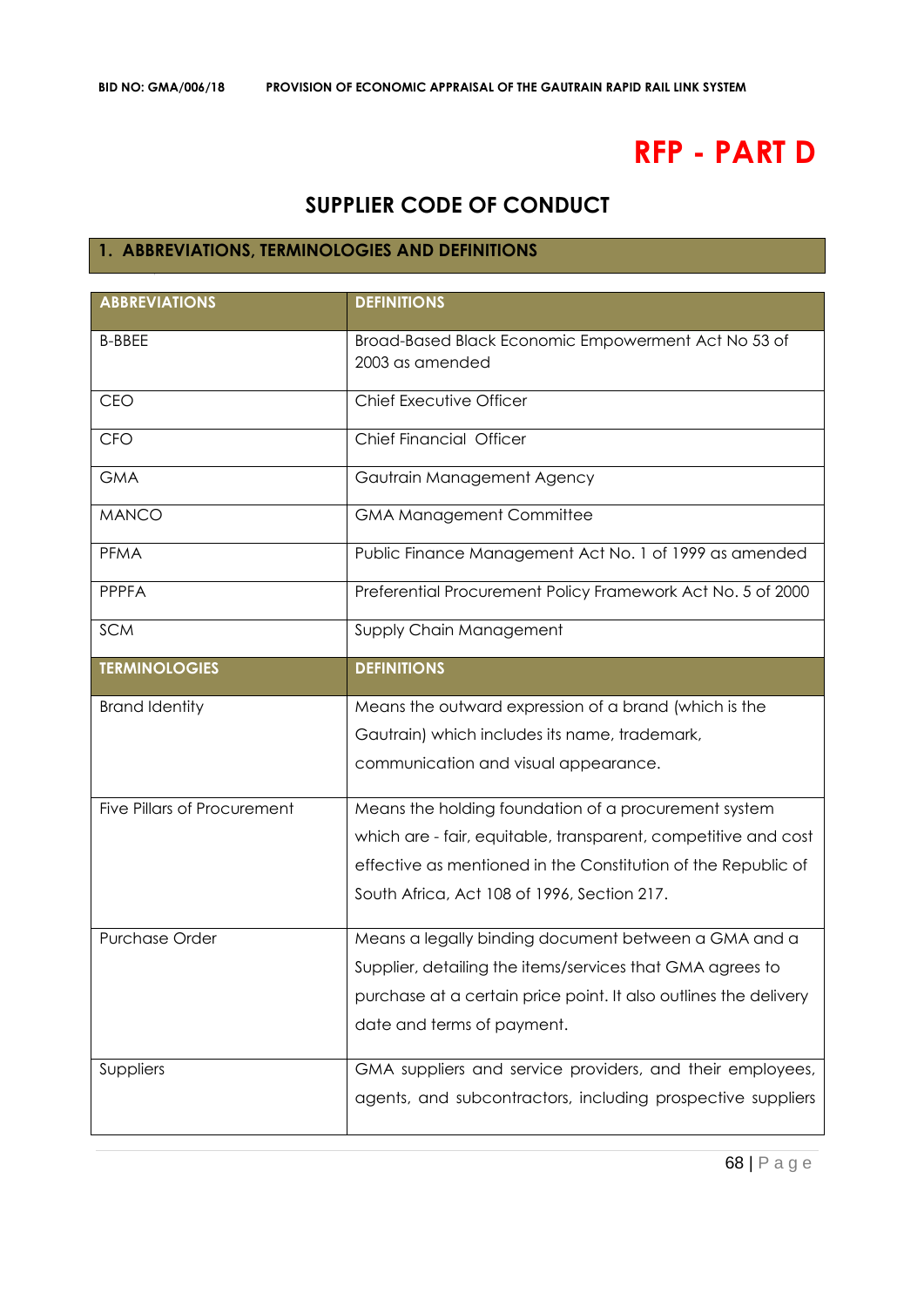# **RFP - PART D**

# **SUPPLIER CODE OF CONDUCT**

### **1. ABBREVIATIONS, TERMINOLOGIES AND DEFINITIONS**

| <b>ABBREVIATIONS</b>        | <b>DEFINITIONS</b>                                                     |
|-----------------------------|------------------------------------------------------------------------|
| <b>B-BBEE</b>               | Broad-Based Black Economic Empowerment Act No 53 of<br>2003 as amended |
| <b>CEO</b>                  | Chief Executive Officer                                                |
| <b>CFO</b>                  | <b>Chief Financial Officer</b>                                         |
| <b>GMA</b>                  | Gautrain Management Agency                                             |
| <b>MANCO</b>                | <b>GMA Management Committee</b>                                        |
| <b>PFMA</b>                 | Public Finance Management Act No. 1 of 1999 as amended                 |
| <b>PPPFA</b>                | Preferential Procurement Policy Framework Act No. 5 of 2000            |
| <b>SCM</b>                  | Supply Chain Management                                                |
| <b>TERMINOLOGIES</b>        | <b>DEFINITIONS</b>                                                     |
| <b>Brand Identity</b>       | Means the outward expression of a brand (which is the                  |
|                             | Gautrain) which includes its name, trademark,                          |
|                             | communication and visual appearance.                                   |
| Five Pillars of Procurement | Means the holding foundation of a procurement system                   |
|                             | which are - fair, equitable, transparent, competitive and cost         |
|                             | effective as mentioned in the Constitution of the Republic of          |
|                             | South Africa, Act 108 of 1996, Section 217.                            |
| <b>Purchase Order</b>       | Means a legally binding document between a GMA and a                   |
|                             | Supplier, detailing the items/services that GMA agrees to              |
|                             | purchase at a certain price point. It also outlines the delivery       |
|                             | date and terms of payment.                                             |
| Suppliers                   | GMA suppliers and service providers, and their employees,              |
|                             | agents, and subcontractors, including prospective suppliers            |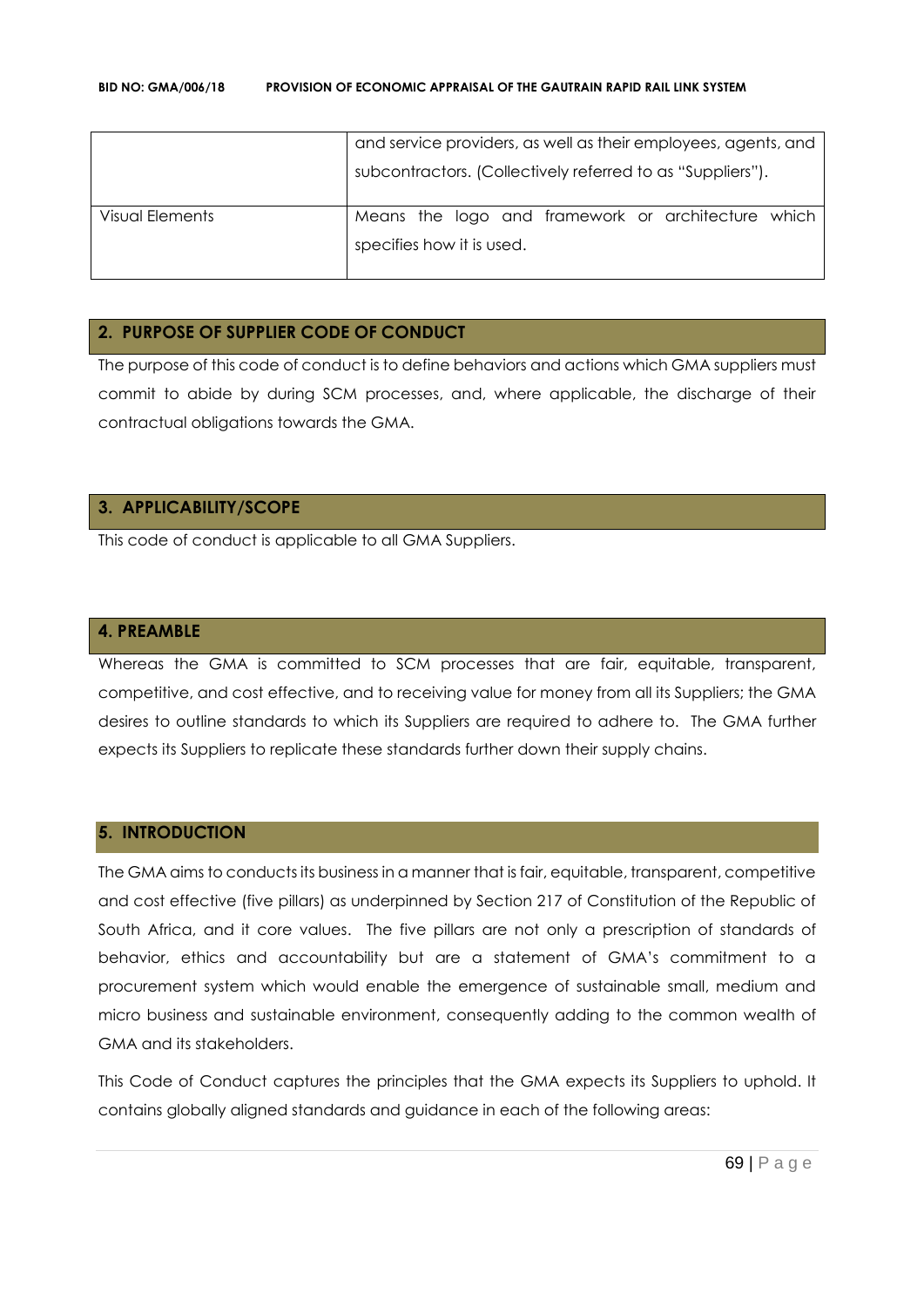|                 | and service providers, as well as their employees, agents, and |
|-----------------|----------------------------------------------------------------|
|                 | subcontractors. (Collectively referred to as "Suppliers").     |
| Visual Elements | Means the logo and framework or architecture which             |
|                 | specifies how it is used.                                      |
|                 |                                                                |

#### **2. PURPOSE OF SUPPLIER CODE OF CONDUCT**

The purpose of this code of conduct is to define behaviors and actions which GMA suppliers must commit to abide by during SCM processes, and, where applicable, the discharge of their contractual obligations towards the GMA.

### **3. APPLICABILITY/SCOPE**

This code of conduct is applicable to all GMA Suppliers.

#### **4. PREAMBLE**

Whereas the GMA is committed to SCM processes that are fair, equitable, transparent, competitive, and cost effective, and to receiving value for money from all its Suppliers; the GMA desires to outline standards to which its Suppliers are required to adhere to. The GMA further expects its Suppliers to replicate these standards further down their supply chains.

#### **5. INTRODUCTION**

The GMA aims to conducts its business in a manner that is fair, equitable, transparent, competitive and cost effective (five pillars) as underpinned by Section 217 of Constitution of the Republic of South Africa, and it core values. The five pillars are not only a prescription of standards of behavior, ethics and accountability but are a statement of GMA's commitment to a procurement system which would enable the emergence of sustainable small, medium and micro business and sustainable environment, consequently adding to the common wealth of GMA and its stakeholders.

This Code of Conduct captures the principles that the GMA expects its Suppliers to uphold. It contains globally aligned standards and guidance in each of the following areas: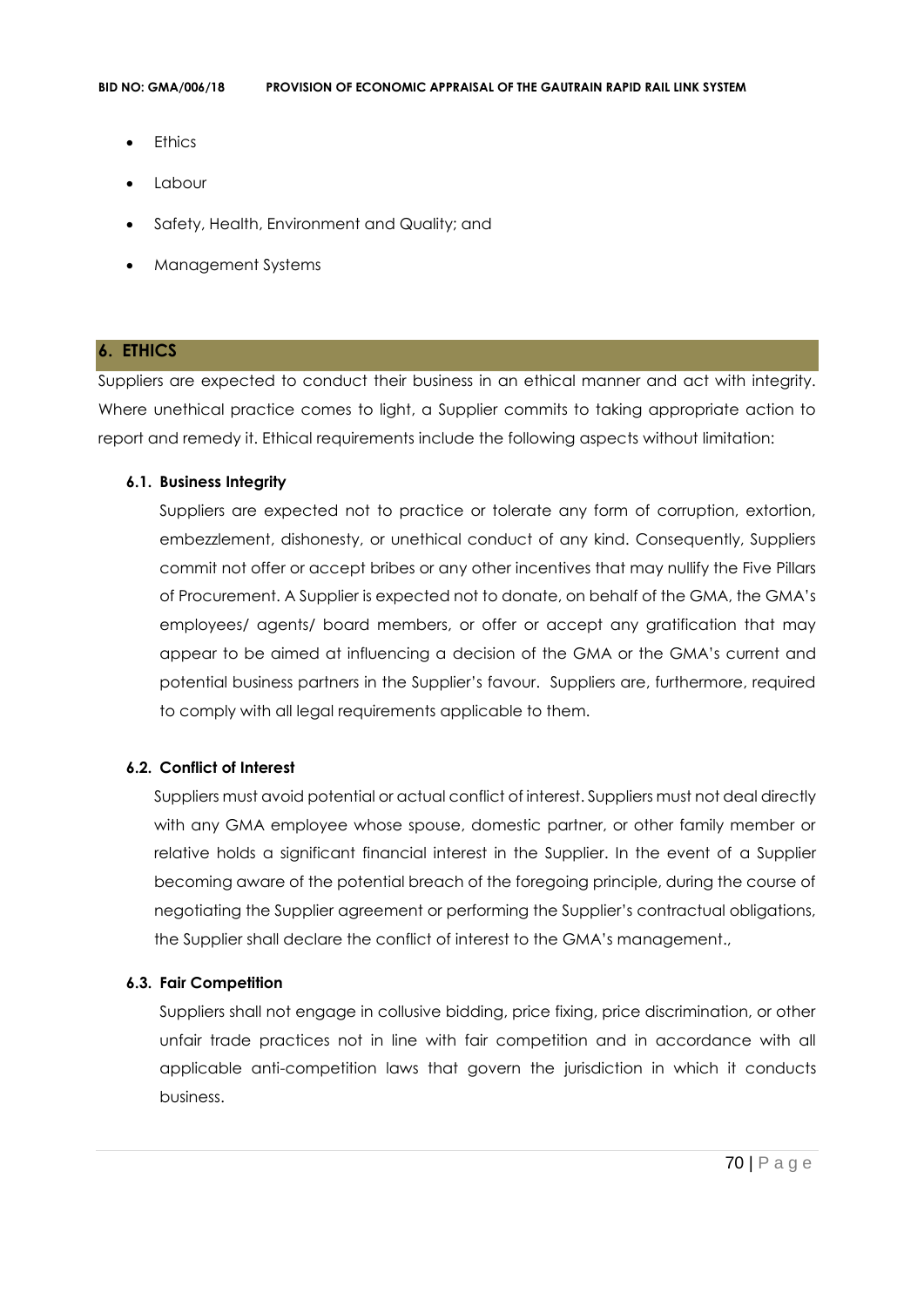- **Ethics**
- Labour
- Safety, Health, Environment and Quality; and
- Management Systems

#### **6. ETHICS**

Suppliers are expected to conduct their business in an ethical manner and act with integrity. Where unethical practice comes to light, a Supplier commits to taking appropriate action to report and remedy it. Ethical requirements include the following aspects without limitation:

#### **6.1. Business Integrity**

Suppliers are expected not to practice or tolerate any form of corruption, extortion, embezzlement, dishonesty, or unethical conduct of any kind. Consequently, Suppliers commit not offer or accept bribes or any other incentives that may nullify the Five Pillars of Procurement. A Supplier is expected not to donate, on behalf of the GMA, the GMA's employees/ agents/ board members, or offer or accept any gratification that may appear to be aimed at influencing a decision of the GMA or the GMA's current and potential business partners in the Supplier's favour. Suppliers are, furthermore, required to comply with all legal requirements applicable to them.

#### **6.2. Conflict of Interest**

Suppliers must avoid potential or actual conflict of interest. Suppliers must not deal directly with any GMA employee whose spouse, domestic partner, or other family member or relative holds a significant financial interest in the Supplier. In the event of a Supplier becoming aware of the potential breach of the foregoing principle, during the course of negotiating the Supplier agreement or performing the Supplier's contractual obligations, the Supplier shall declare the conflict of interest to the GMA's management.,

#### **6.3. Fair Competition**

Suppliers shall not engage in collusive bidding, price fixing, price discrimination, or other unfair trade practices not in line with fair competition and in accordance with all applicable anti-competition laws that govern the jurisdiction in which it conducts business.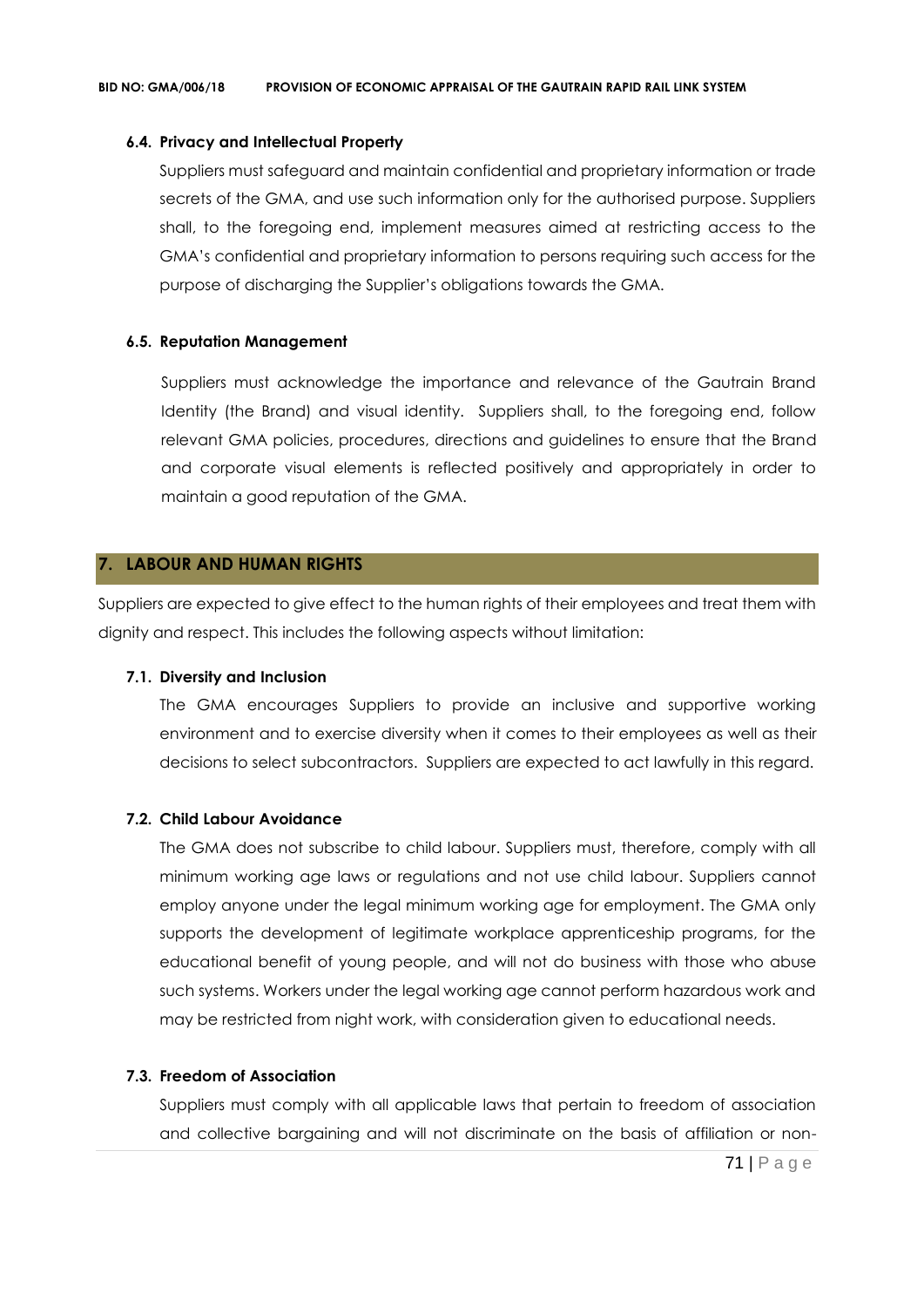#### **6.4. Privacy and Intellectual Property**

Suppliers must safeguard and maintain confidential and proprietary information or trade secrets of the GMA, and use such information only for the authorised purpose. Suppliers shall, to the foregoing end, implement measures aimed at restricting access to the GMA's confidential and proprietary information to persons requiring such access for the purpose of discharging the Supplier's obligations towards the GMA.

#### **6.5. Reputation Management**

Suppliers must acknowledge the importance and relevance of the Gautrain Brand Identity (the Brand) and visual identity. Suppliers shall, to the foregoing end, follow relevant GMA policies, procedures, directions and guidelines to ensure that the Brand and corporate visual elements is reflected positively and appropriately in order to maintain a good reputation of the GMA.

#### **7. LABOUR AND HUMAN RIGHTS**

Suppliers are expected to give effect to the human rights of their employees and treat them with dignity and respect. This includes the following aspects without limitation:

#### **7.1. Diversity and Inclusion**

The GMA encourages Suppliers to provide an inclusive and supportive working environment and to exercise diversity when it comes to their employees as well as their decisions to select subcontractors. Suppliers are expected to act lawfully in this regard.

#### **7.2. Child Labour Avoidance**

The GMA does not subscribe to child labour. Suppliers must, therefore, comply with all minimum working age laws or regulations and not use child labour. Suppliers cannot employ anyone under the legal minimum working age for employment. The GMA only supports the development of legitimate workplace apprenticeship programs, for the educational benefit of young people, and will not do business with those who abuse such systems. Workers under the legal working age cannot perform hazardous work and may be restricted from night work, with consideration given to educational needs.

#### **7.3. Freedom of Association**

Suppliers must comply with all applicable laws that pertain to freedom of association and collective bargaining and will not discriminate on the basis of affiliation or non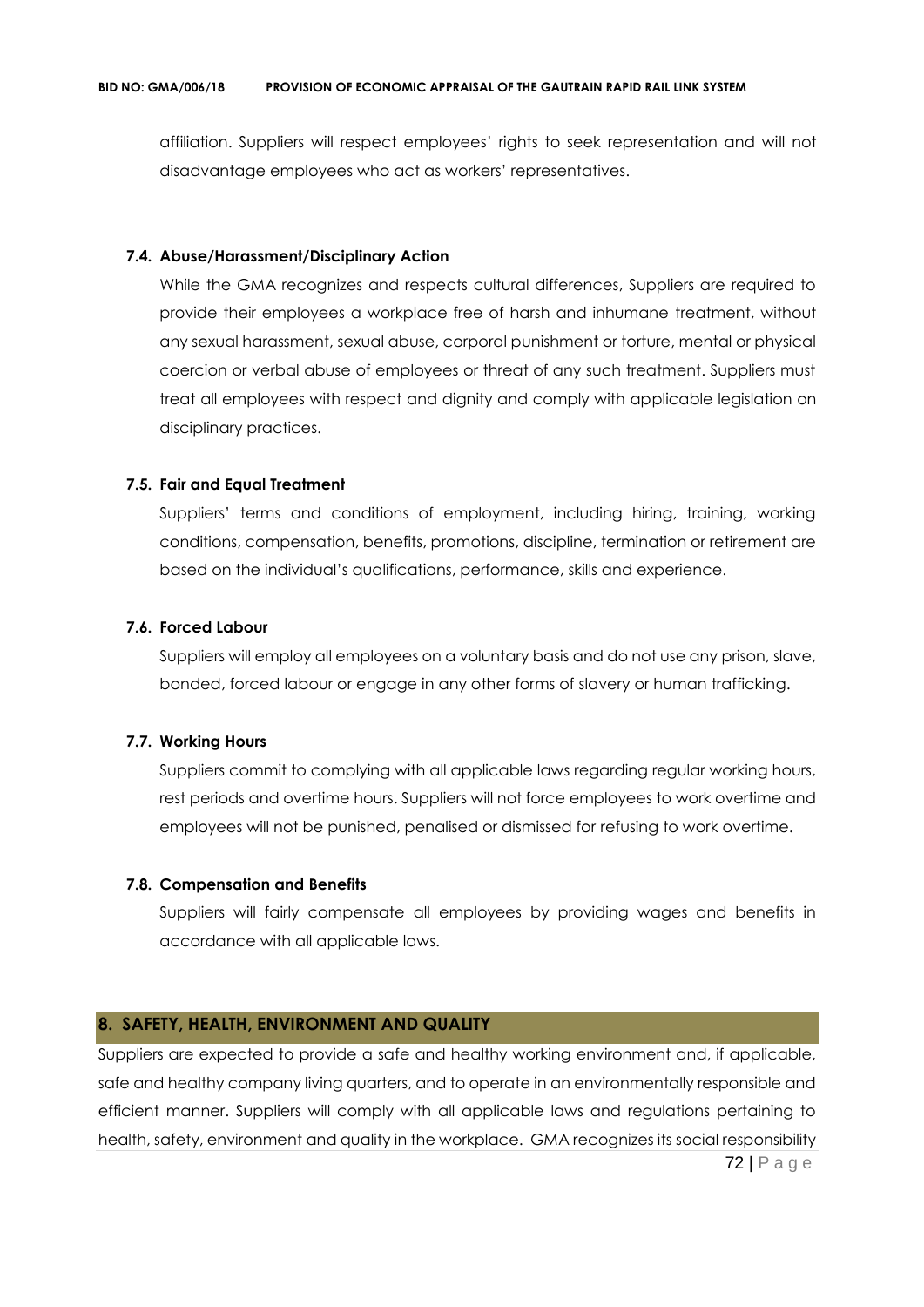affiliation. Suppliers will respect employees' rights to seek representation and will not disadvantage employees who act as workers' representatives.

#### **7.4. Abuse/Harassment/Disciplinary Action**

While the GMA recognizes and respects cultural differences, Suppliers are required to provide their employees a workplace free of harsh and inhumane treatment, without any sexual harassment, sexual abuse, corporal punishment or torture, mental or physical coercion or verbal abuse of employees or threat of any such treatment. Suppliers must treat all employees with respect and dignity and comply with applicable legislation on disciplinary practices.

#### **7.5. Fair and Equal Treatment**

Suppliers' terms and conditions of employment, including hiring, training, working conditions, compensation, benefits, promotions, discipline, termination or retirement are based on the individual's qualifications, performance, skills and experience.

#### **7.6. Forced Labour**

Suppliers will employ all employees on a voluntary basis and do not use any prison, slave, bonded, forced labour or engage in any other forms of slavery or human trafficking.

#### **7.7. Working Hours**

Suppliers commit to complying with all applicable laws regarding regular working hours, rest periods and overtime hours. Suppliers will not force employees to work overtime and employees will not be punished, penalised or dismissed for refusing to work overtime.

#### **7.8. Compensation and Benefits**

Suppliers will fairly compensate all employees by providing wages and benefits in accordance with all applicable laws.

#### **8. SAFETY, HEALTH, ENVIRONMENT AND QUALITY**

72 | P a g e Suppliers are expected to provide a safe and healthy working environment and, if applicable, safe and healthy company living quarters, and to operate in an environmentally responsible and efficient manner. Suppliers will comply with all applicable laws and regulations pertaining to health, safety, environment and quality in the workplace. GMA recognizes its social responsibility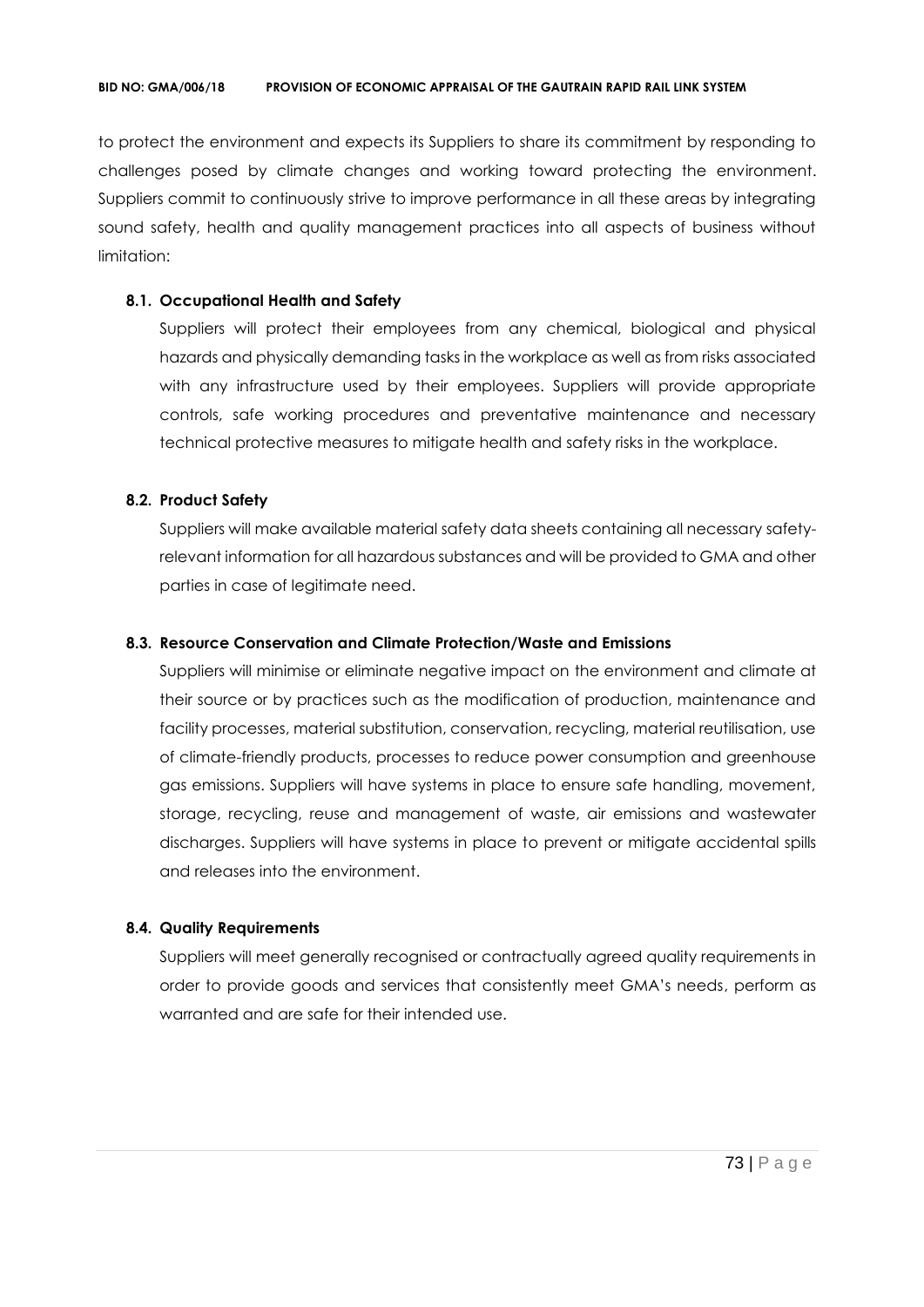to protect the environment and expects its Suppliers to share its commitment by responding to challenges posed by climate changes and working toward protecting the environment. Suppliers commit to continuously strive to improve performance in all these areas by integrating sound safety, health and quality management practices into all aspects of business without limitation:

#### **8.1. Occupational Health and Safety**

Suppliers will protect their employees from any chemical, biological and physical hazards and physically demanding tasks in the workplace as well as from risks associated with any infrastructure used by their employees. Suppliers will provide appropriate controls, safe working procedures and preventative maintenance and necessary technical protective measures to mitigate health and safety risks in the workplace.

# **8.2. Product Safety**

Suppliers will make available material safety data sheets containing all necessary safetyrelevant information for all hazardous substances and will be provided to GMA and other parties in case of legitimate need.

## **8.3. Resource Conservation and Climate Protection/Waste and Emissions**

Suppliers will minimise or eliminate negative impact on the environment and climate at their source or by practices such as the modification of production, maintenance and facility processes, material substitution, conservation, recycling, material reutilisation, use of climate-friendly products, processes to reduce power consumption and greenhouse gas emissions. Suppliers will have systems in place to ensure safe handling, movement, storage, recycling, reuse and management of waste, air emissions and wastewater discharges. Suppliers will have systems in place to prevent or mitigate accidental spills and releases into the environment.

#### **8.4. Quality Requirements**

Suppliers will meet generally recognised or contractually agreed quality requirements in order to provide goods and services that consistently meet GMA's needs, perform as warranted and are safe for their intended use.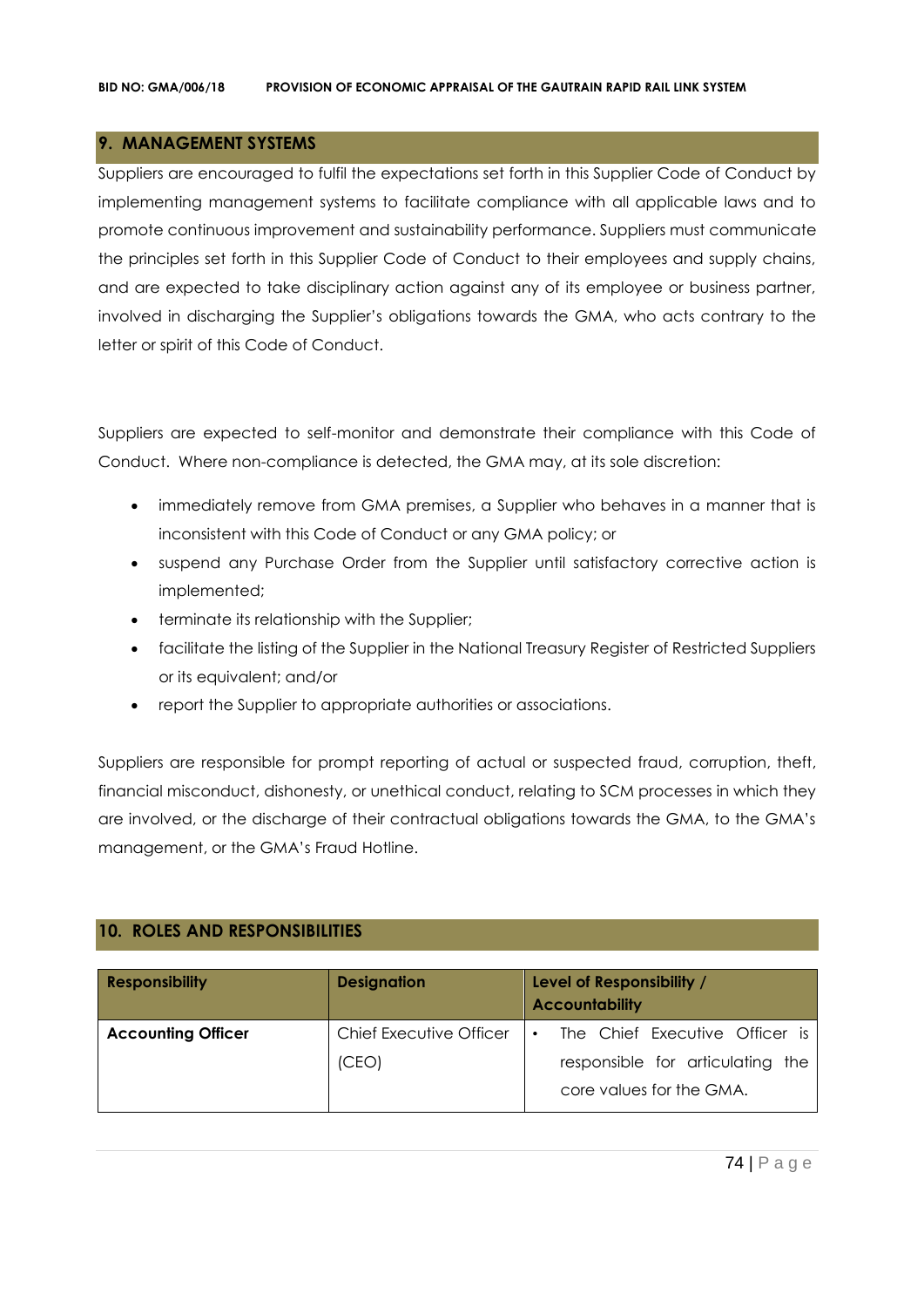## **9. MANAGEMENT SYSTEMS**

Suppliers are encouraged to fulfil the expectations set forth in this Supplier Code of Conduct by implementing management systems to facilitate compliance with all applicable laws and to promote continuous improvement and sustainability performance. Suppliers must communicate the principles set forth in this Supplier Code of Conduct to their employees and supply chains, and are expected to take disciplinary action against any of its employee or business partner, involved in discharging the Supplier's obligations towards the GMA, who acts contrary to the letter or spirit of this Code of Conduct.

Suppliers are expected to self-monitor and demonstrate their compliance with this Code of Conduct. Where non-compliance is detected, the GMA may, at its sole discretion:

- immediately remove from GMA premises, a Supplier who behaves in a manner that is inconsistent with this Code of Conduct or any GMA policy; or
- suspend any Purchase Order from the Supplier until satisfactory corrective action is implemented;
- terminate its relationship with the Supplier;
- facilitate the listing of the Supplier in the National Treasury Register of Restricted Suppliers or its equivalent; and/or
- report the Supplier to appropriate authorities or associations.

Suppliers are responsible for prompt reporting of actual or suspected fraud, corruption, theft, financial misconduct, dishonesty, or unethical conduct, relating to SCM processes in which they are involved, or the discharge of their contractual obligations towards the GMA, to the GMA's management, or the GMA's Fraud Hotline.

# **10. ROLES AND RESPONSIBILITIES**

| <b>Responsibility</b>     | <b>Designation</b>      | Level of Responsibility /<br><b>Accountability</b>           |
|---------------------------|-------------------------|--------------------------------------------------------------|
| <b>Accounting Officer</b> | Chief Executive Officer | The Chief Executive Officer is<br>$\bullet$                  |
|                           | (CEO)                   | responsible for articulating the<br>core values for the GMA. |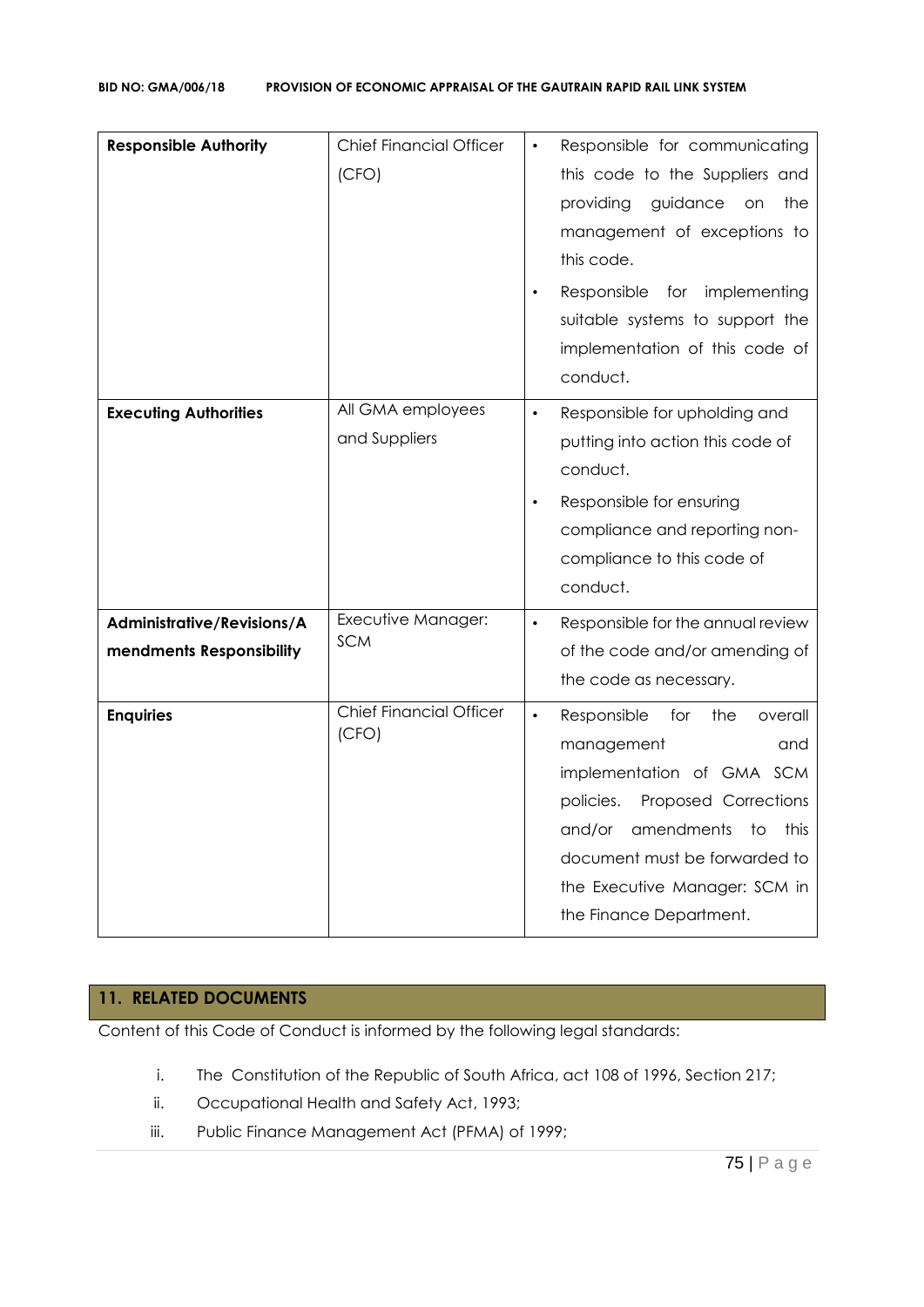| <b>Responsible Authority</b>                           | <b>Chief Financial Officer</b><br>(CFO) | Responsible for communicating<br>this code to the Suppliers and<br>providing<br>guidance<br>the<br>on<br>management of exceptions to<br>this code.<br>Responsible for implementing<br>suitable systems to support the<br>implementation of this code of<br>conduct.         |
|--------------------------------------------------------|-----------------------------------------|-----------------------------------------------------------------------------------------------------------------------------------------------------------------------------------------------------------------------------------------------------------------------------|
| <b>Executing Authorities</b>                           | All GMA employees<br>and Suppliers      | Responsible for upholding and<br>$\bullet$<br>putting into action this code of<br>conduct.<br>Responsible for ensuring<br>$\bullet$<br>compliance and reporting non-<br>compliance to this code of<br>conduct.                                                              |
| Administrative/Revisions/A<br>mendments Responsibility | Executive Manager:<br><b>SCM</b>        | Responsible for the annual review<br>$\bullet$<br>of the code and/or amending of<br>the code as necessary.                                                                                                                                                                  |
| <b>Enquiries</b>                                       | <b>Chief Financial Officer</b><br>(CFO) | Responsible<br>for<br>$\bullet$<br>the<br>overall<br>management<br>and<br>implementation of GMA SCM<br>policies.<br>Proposed Corrections<br>and/or<br>amendments<br>to<br>this<br>document must be forwarded to<br>the Executive Manager: SCM in<br>the Finance Department. |

# **11. RELATED DOCUMENTS**

Content of this Code of Conduct is informed by the following legal standards:

- i. The Constitution of the Republic of South Africa, act 108 of 1996, Section 217;
- ii. Occupational Health and Safety Act, 1993;
- iii. Public Finance Management Act (PFMA) of 1999;